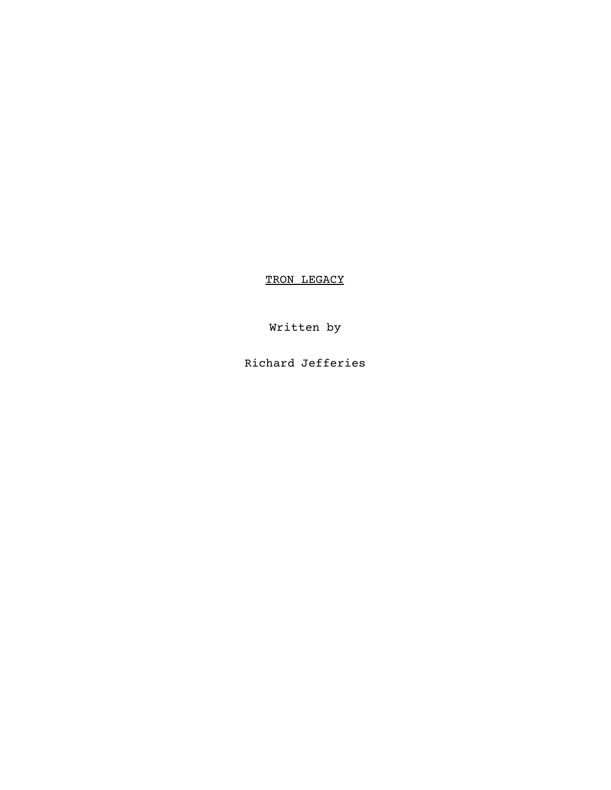TRON LEGACY

Written by

Richard Jefferies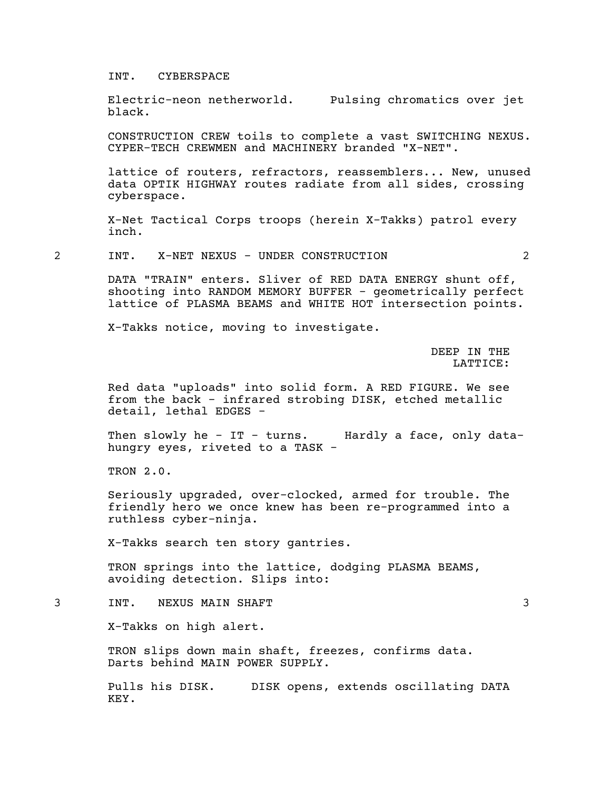#### INT. CYBERSPACE

Electric-neon netherworld. Pulsing chromatics over jet black.

CONSTRUCTION CREW toils to complete <sup>a</sup> vast SWITCHING NEXUS. CYPER-TECH CREWMEN and MACHINERY branded "X-NET".

lattice of routers, refractors, reassemblers... New, unused data OPTIK HIGHWAY routes radiate from all sides, crossing cyberspace.

X-Net Tactical Corps troops (herein X-Takks) patrol every inch.

2 INT. X-NET NEXUS - UNDER CONSTRUCTION 2

DATA "TRAIN" enters. Sliver of RED DATA ENERGY shunt off,<br>shooting into RANDOM MEMORY BUFFER - geometrically perfect lattice of PLASMA BEAMS and WHITE HOT intersection points.

X-Takks notice, moving to investigate.

DEEP IN THE LATTICE:

Red data "uploads" into solid form. A RED FIGURE. We see from the back - infrared strobing DISK, etched metallic detail, lethal EDGES -

Then slowly he - IT - turns. Hardly a face, only datahungry eyes, riveted to a TASK -

TRON 2.0.

Seriously upgraded, over-clocked, armed for trouble. The friendly hero we once knew has been re-programmed into a ruthless cyber-ninja.

X-Takks search ten story gantries.

TRON springs into the lattice, dodging PLASMA BEAMS, avoiding detection. Slips into:

3 INT. NEXUS MAIN SHAFT 3

X-Takks on high alert.

TRON slips down main shaft, freezes, confirms data. Darts behind MAIN POWER SUPPLY.

Pulls his DISK. DISK opens, extends oscillating DATA KEY.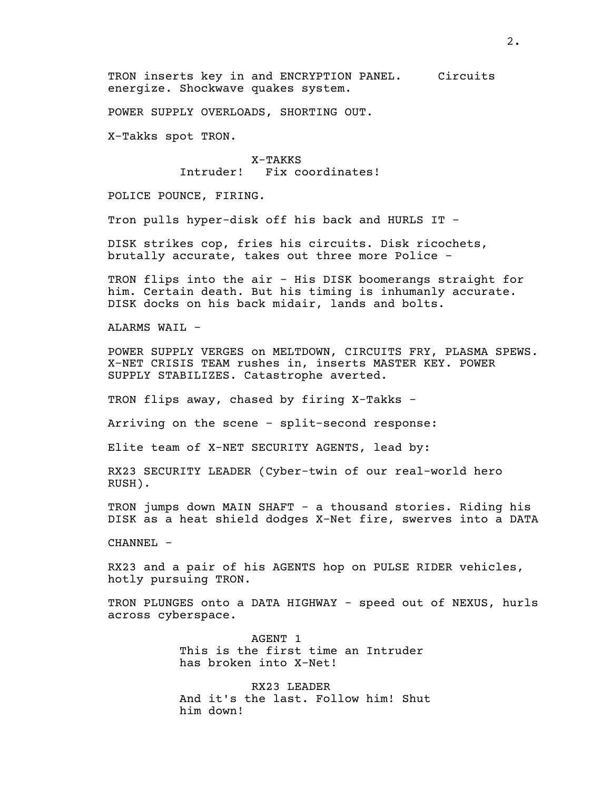TRON inserts key in and ENCRYPTION PANEL. Circuits energize. Shockwave quakes system.

POWER SUPPLY OVERLOADS, SHORTING OUT.

X-Takks spot TRON.

X-TAKKS Intruder! Fix coordinates!

POLICE POUNCE, FIRING.

Tron pulls hyper-disk off his back and HURLS IT -

DISK strikes cop, fries his circuits. Disk ricochets, brutally accurate, takes out three more Police -

TRON flips into the air - His DISK boomerangs straight for him. Certain death. But his timing is inhumanly accurate. DISK docks on his back midair, lands and bolts.

ALARMS WAIL -

POWER SUPPLY VERGES on MELTDOWN, CIRCUITS FRY, PLASMA SPEWS. X-NET CRISIS TEAM rushes in, inserts MASTER KEY. POWER SUPPLY STABILIZES. Catastrophe averted.

TRON flips away, chased by firing X-Takks -

Arriving on the scene - split-second response:

Elite team of X-NET SECURITY AGENTS, lead by:

RX23 SECURITY LEADER (Cyber-twin of our real-world hero RUSH).

TRON jumps down MAIN SHAFT - a thousand stories. Riding his DISK as a heat shield dodges X-Net fire, swerves into a DATA

CHANNEL -

RX23 and a pair of his AGENTS hop on PULSE RIDER vehicles, hotly pursuing TRON.

TRON PLUNGES onto a DATA HIGHWAY - speed out of NEXUS, hurls across cyberspace.

> AGENT 1 This is the first time an Intruder has broken into X-Net!

RX23 LEADER And it's the last. Follow him! Shut him down!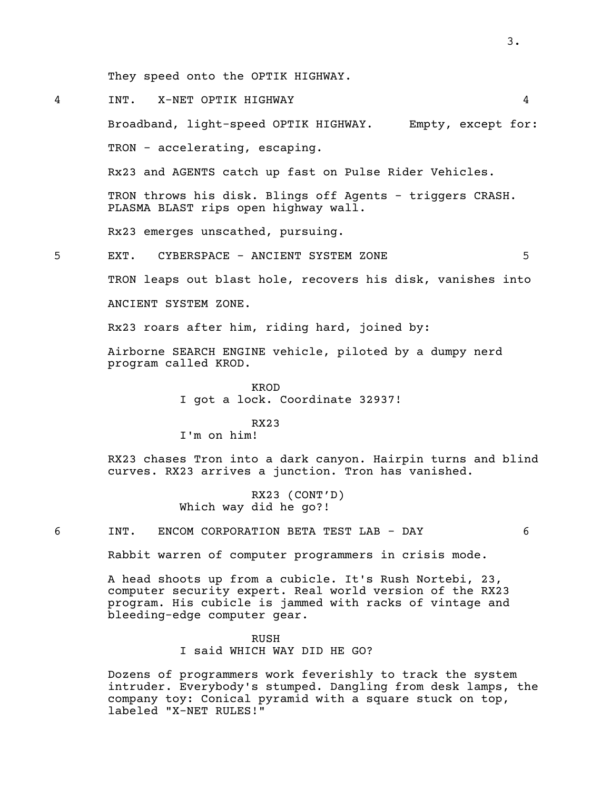They speed onto the OPTIK HIGHWAY.

4 INT. X-NET OPTIK HIGHWAY 4

Broadband, light-speed OPTIK HIGHWAY. Empty, except for: TRON - accelerating, escaping.

Rx23 and AGENTS catch up fast on Pulse Rider Vehicles.

TRON throws his disk. Blings off Agents - triggers CRASH. PLASMA BLAST rips open highway wall.

Rx23 emerges unscathed, pursuing.

5 EXT. CYBERSPACE - ANCIENT SYSTEM ZONE 5

TRON leaps out blast hole, recovers his disk, vanishes into

ANCIENT SYSTEM ZONE.

Rx23 roars after him, riding hard, joined by:

Airborne SEARCH ENGINE vehicle, piloted by a dumpy nerd program called KROD.

> KROD I got a lock. Coordinate 32937!

> > RX23

I'm on him!

RX23 chases Tron into a dark canyon. Hairpin turns and blind curves. RX23 arrives a junction. Tron has vanished.

> RX23 (CONT'D) Which way did he go?!

6 INT. ENCOM CORPORATION BETA TEST LAB - DAY 6

Rabbit warren of computer programmers in crisis mode.

A head shoots up from a cubicle. It's Rush Nortebi, 23, computer security expert. Real world version of the RX23 program. His cubicle is jammed with racks of vintage and bleeding-edge computer gear.

> RUSH I said WHICH WAY DID HE GO?

Dozens of programmers work feverishly to track the system intruder. Everybody's stumped. Dangling from desk lamps, the company toy: Conical pyramid with a square stuck on top, labeled "X-NET RULES!"

3.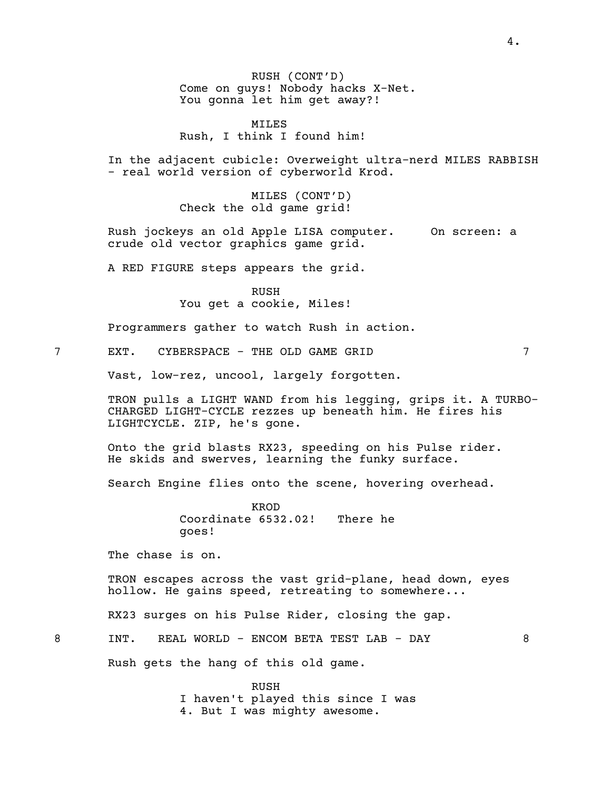RUSH (CONT'D) Come on guys! Nobody hacks X-Net. You gonna let him get away?!

MILES Rush, I think I found him!

In the adjacent cubicle: Overweight ultra-nerd MILES RABBISH - real world version of cyberworld Krod.

MILES (CONT'D) Check the old game grid!

Rush jockeys an old Apple LISA computer. On screen: a crude old vector graphics game grid.

A RED FIGURE steps appears the grid.

RUSH You get a cookie, Miles!

Programmers gather to watch Rush in action.

7 EXT. CYBERSPACE - THE OLD GAME GRID 7

Vast, low-rez, uncool, largely forgotten.

TRON pulls <sup>a</sup> LIGHT WAND from his legging, grips it. <sup>A</sup> TURBO- CHARGED LIGHT-CYCLE rezzes up beneath him. He fires his LIGHTCYCLE. ZIP, he's gone.

Onto the grid blasts RX23, speeding on his Pulse rider. He skids and swerves, learning the funky surface.

Search Engine flies onto the scene, hovering overhead.

KROD Coordinate 6532.02! There he goes!

The chase is on.

TRON escapes across the vast grid-plane, head down, eyes hollow. He gains speed, retreating to somewhere...

RX23 surges on his Pulse Rider, closing the gap.

8 INT. REAL WORLD - ENCOM BETA TEST LAB - DAY 8

Rush gets the hang of this old game.

RUSH I haven't played this since I was 4. But I was mighty awesome.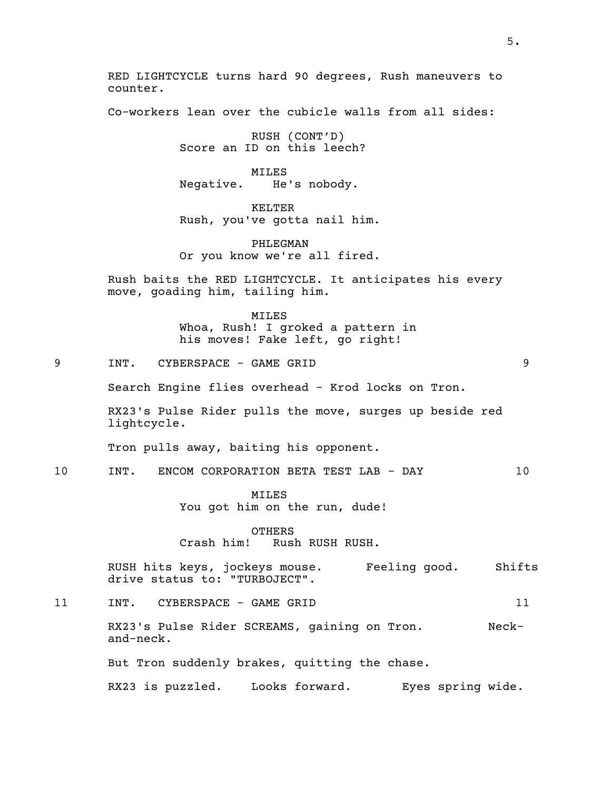RED LIGHTCYCLE turns hard 90 degrees, Rush maneuvers to counter.

Co-workers lean over the cubicle walls from all sides:

RUSH (CONT'D) Score an ID on this leech?

MILES Negative. He's nobody.

KELTER Rush, you've gotta nail him.

PHLEGMAN Or you know we're all fired.

Rush baits the RED LIGHTCYCLE. It anticipates his every move, goading him, tailing him.

> MILES Whoa, Rush! I groked a pattern in his moves! Fake left, go right!

9 INT. CYBERSPACE - GAME GRID 9

Search Engine flies overhead - Krod locks on Tron.

RX23's Pulse Rider pulls the move, surges up beside red lightcycle.

Tron pulls away, baiting his opponent.

10 INT. ENCOM CORPORATION BETA TEST LAB - DAY 10

MILES You got him on the run, dude!

OTHERS Crash him! Rush RUSH RUSH.

RUSH hits keys, jockeys mouse. Feeling good. Shifts drive status to: "TURBOJECT".

11 INT. CYBERSPACE - GAME GRID 11

RX23's Pulse Rider SCREAMS, gaining on Tron. Neck-<br>and-neck.

But Tron suddenly brakes, quitting the chase.

RX23 is puzzled. Looks forward. Eyes spring wide.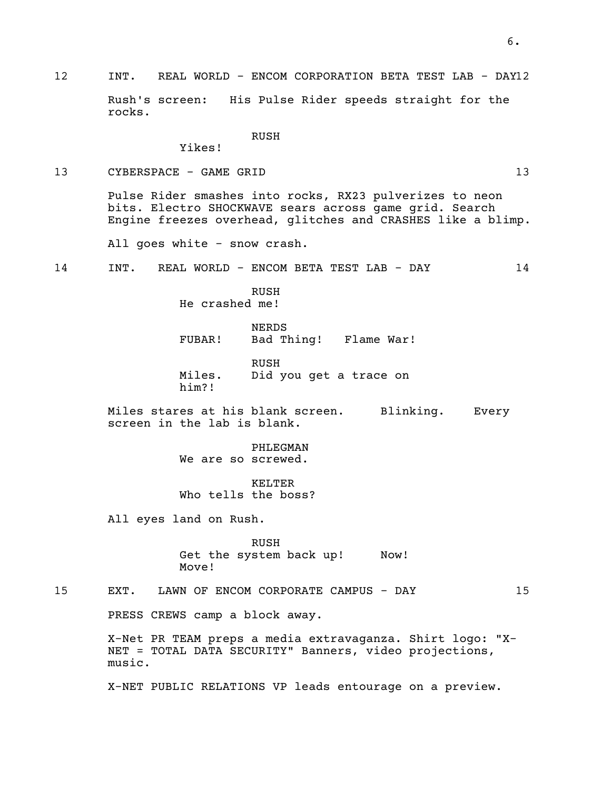# 12 INT. REAL WORLD - ENCOM CORPORATION BETA TEST LAB - DAY12

Rush's screen: His Pulse Rider speeds straight for the rocks.

RUSH

Yikes!

# 13 CYBERSPACE - GAME GRID 13 13

Pulse Rider smashes into rocks, RX23 pulverizes to neon bits. Electro SHOCKWAVE sears across game grid. Search Engine freezes overhead, glitches and CRASHES like a blimp.

All goes white - snow crash.

14 INT. REAL WORLD - ENCOM BETA TEST LAB - DAY 14

RUSH He crashed me!

NERDS FUBAR! Bad Thing! Flame War!

RUSH Miles. Did you get a trace on him?!

Miles stares at his blank screen. Blinking. Every screen in the lab is blank.

> PHLEGMAN We are so screwed.

KELTER Who tells the boss?

All eyes land on Rush.

RUSH Get the system back up! Now! Move!

15 EXT. LAWN OF ENCOM CORPORATE CAMPUS - DAY 15

PRESS CREWS camp a block away.

X-Net PR TEAM preps <sup>a</sup> media extravaganza. Shirt logo: "X- NET <sup>=</sup> TOTAL DATA SECURITY" Banners, video projections, music.

X-NET PUBLIC RELATIONS VP leads entourage on a preview.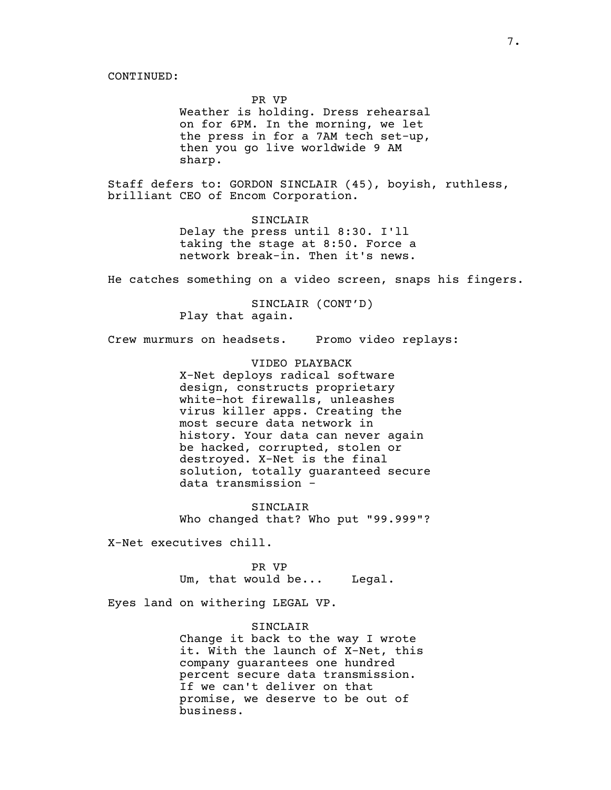PR VP Weather is holding. Dress rehearsal on for 6PM. In the morning, we let<br>the press in for a 7AM tech set-up, then you go live worldwide 9 AM sharp.

Staff defers to: GORDON SINCLAIR (45), boyish, ruthless, brilliant CEO of Encom Corporation.

SINCLAIR Delay the press until 8:30. I'll taking the stage at 8:50. Force a network break-in. Then it's news.

He catches something on a video screen, snaps his fingers.

SINCLAIR (CONT'D) Play that again.

Crew murmurs on headsets. Promo video replays:

VIDEO PLAYBACK X-Net deploys radical software design, constructs proprietary white-hot firewalls, unleashes virus killer apps. Creating the most secure data network in history. Your data can never again be hacked, corrupted, stolen or destroyed. X-Net is the final solution, totally guaranteed secure data transmission -

SINCLAIR Who changed that? Who put "99.999"?

X-Net executives chill.

PR VP Um, that would be... Legal.

Eyes land on withering LEGAL VP.

SINCLAIR Change it back to the way I wrote it. With the launch of X-Net, this company guarantees one hundred percent secure data transmission. If we can't deliver on that promise, we deserve to be out of business.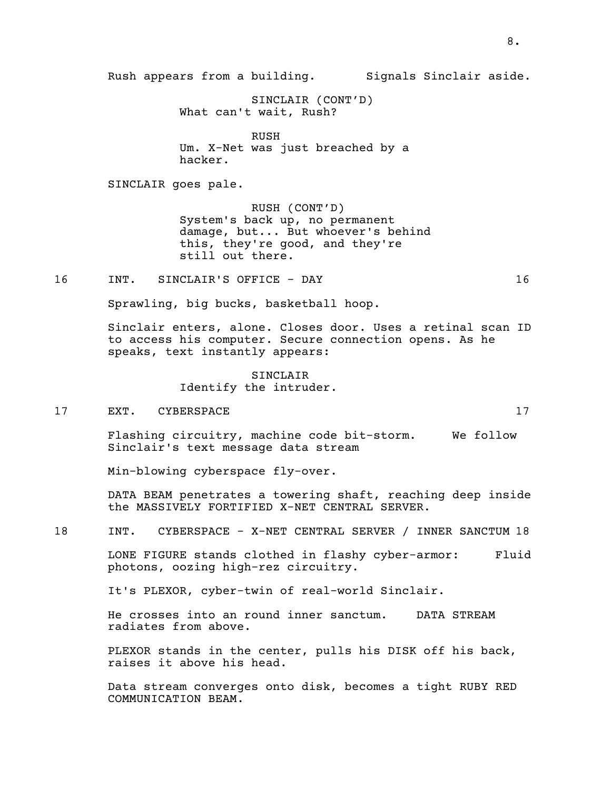SINCLAIR (CONT'D) What can't wait, Rush?

RUSH Um. X-Net was just breached by a hacker.

SINCLAIR goes pale.

RUSH (CONT'D) System's back up, no permanent damage, but... But whoever's behind this, they're good, and they're still out there.

16 INT. SINCLAIR'S OFFICE - DAY 16

Sprawling, big bucks, basketball hoop.

Sinclair enters, alone. Closes door. Uses a retinal scan ID to access his computer. Secure connection opens. As he speaks, text instantly appears:

> SINCLAIR Identify the intruder.

17 EXT. CYBERSPACE 17

Flashing circuitry, machine code bit-storm. We follow Sinclair's text message data stream

Min-blowing cyberspace fly-over.

DATA BEAM penetrates a towering shaft, reaching deep inside the MASSIVELY FORTIFIED X-NET CENTRAL SERVER.

18 INT. CYBERSPACE - X-NET CENTRAL SERVER / INNER SANCTUM 18

LONE FIGURE stands clothed in flashy cyber-armor: Fluid photons, oozing high-rez circuitry.

It's PLEXOR, cyber-twin of real-world Sinclair.

He crosses into an round inner sanctum. DATA STREAM radiates from above.

PLEXOR stands in the center, pulls his DISK off his back, raises it above his head.

Data stream converges onto disk, becomes a tight RUBY RED COMMUNICATION BEAM.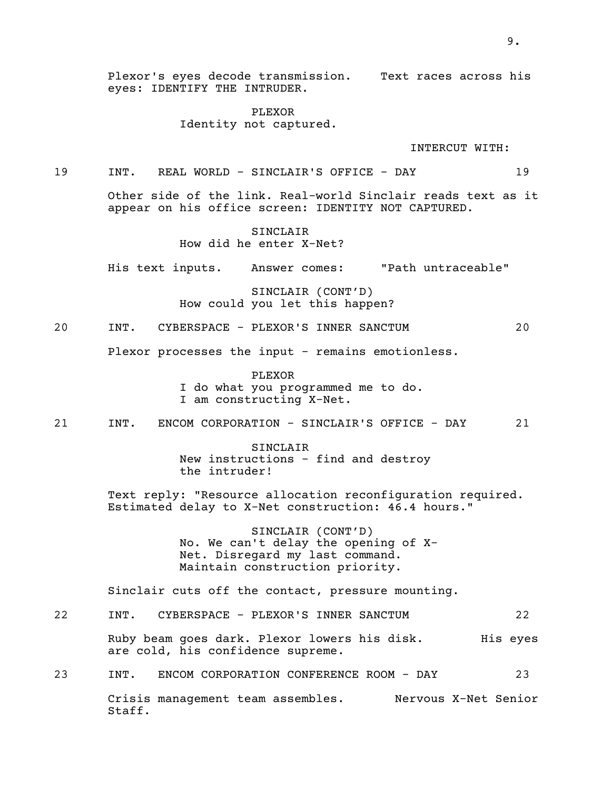Plexor's eyes decode transmission. Text races across his eyes: IDENTIFY THE INTRUDER.

> PLEXOR Identity not captured.

> > INTERCUT WITH:

19 INT. REAL WORLD - SINCLAIR'S OFFICE - DAY 19

Other side of the link. Real-world Sinclair reads text as it appear on his office screen: IDENTITY NOT CAPTURED.

> SINCLAIR How did he enter X-Net?

His text inputs. Answer comes: "Path untraceable"

SINCLAIR (CONT'D) How could you let this happen?

20 INT. CYBERSPACE - PLEXOR'S INNER SANCTUM 20

Plexor processes the input - remains emotionless.

PLEXOR <sup>I</sup> do what you programmed me to do. <sup>I</sup> am constructing X-Net.

21 INT. ENCOM CORPORATION - SINCLAIR'S OFFICE - DAY 21

SINCLAIR New instructions - find and destroy the intruder!

Text reply: "Resource allocation reconfiguration required. Estimated delay to X-Net construction: 46.4 hours."

> SINCLAIR (CONT'D) No. We can't delay the opening of X-Net. Disregard my last command. Maintain construction priority.

Sinclair cuts off the contact, pressure mounting.

22 INT. CYBERSPACE - PLEXOR'S INNER SANCTUM 22 Ruby beam goes dark. Plexor lowers his disk. His eyes are cold, his confidence supreme.

23 INT. ENCOM CORPORATION CONFERENCE ROOM - DAY 23

Crisis management team assembles. Nervous X-Net Senior Staff.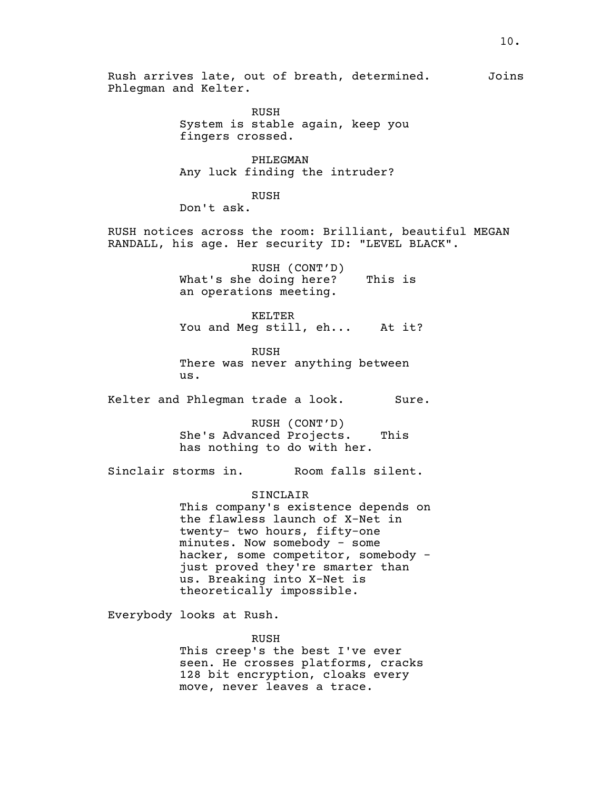Rush arrives late, out of breath, determined. Joins Phlegman and Kelter. RUSH System is stable again, keep you fingers crossed. PHLEGMAN Any luck finding the intruder? RUSH Don't ask. RUSH notices across the room: Brilliant, beautiful MEGAN RANDALL, his age. Her security ID: "LEVEL BLACK". RUSH (CONT'D) What's she doing here? This is an operations meeting. KELTER You and Meg still, eh... At it? RUSH There was never anything between us. Kelter and Phlegman trade a look. Sure. RUSH (CONT'D) She's Advanced Projects. This has nothing to do with her. Sinclair storms in. Room falls silent. SINCLAIR This company's existence depends on the flawless launch of X-Net in twenty- two hours, fifty-one minutes. Now somebody - some hacker, some competitor, somebody just proved they're smarter than us. Breaking into X-Net is theoretically impossible. Everybody looks at Rush. RUSH This creep's the best I've ever seen. He crosses platforms, cracks 128 bit encryption, cloaks every

move, never leaves a trace.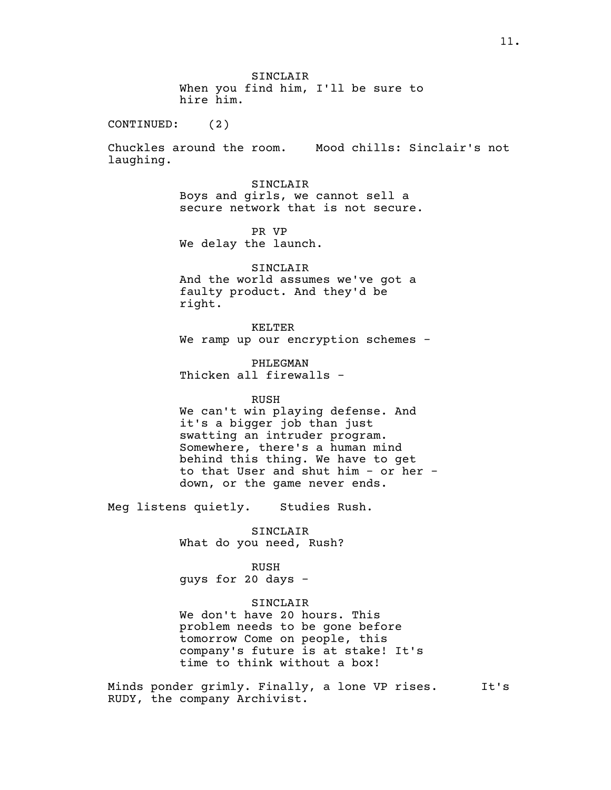SINCLAIR When you find him, I'll be sure to hire him.

CONTINUED: (2)

Chuckles around the room. Mood chills: Sinclair's not laughing.

> SINCLAIR Boys and girls, we cannot sell a secure network that is not secure.

PR VP We delay the launch.

SINCLAIR And the world assumes we've got a faulty product. And they'd be right.

KELTER We ramp up our encryption schemes -

PHLEGMAN Thicken all firewalls -

RUSH

We can't win playing defense. And it's a bigger job than just swatting an intruder program. Somewhere, there's a human mind behind this thing. We have to get to that User and shut him - or her down, or the game never ends.

Meg listens quietly. Studies Rush.

SINCLAIR What do you need, Rush?

RUSH guys for 20 days -

SINCLAIR

We don't have 20 hours. This problem needs to be gone before tomorrow Come on people, this company's future is at stake! It's time to think without a box!

Minds ponder grimly. Finally, a lone VP rises. It's RUDY, the company Archivist.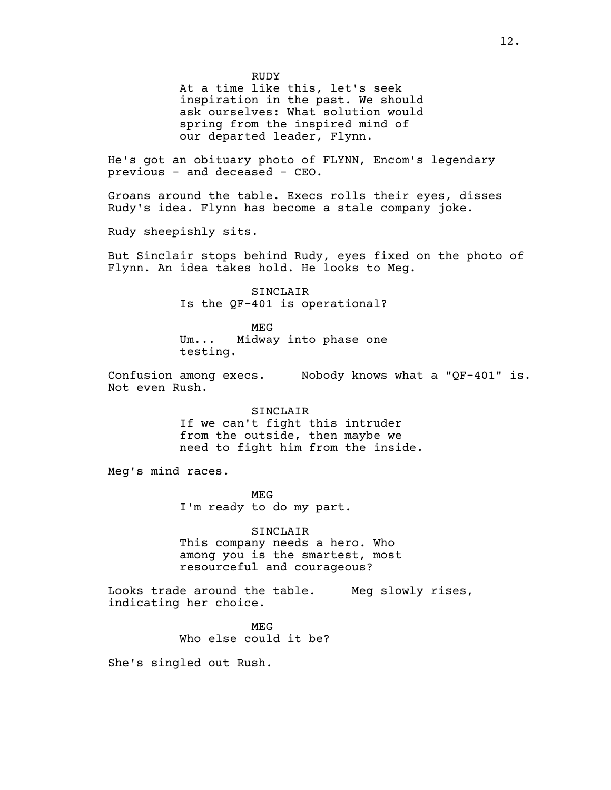RUDY

At a time like this, let's seek inspiration in the past. We should ask ourselves: What solution would spring from the inspired mind of our departed leader, Flynn.

He's got an obituary photo of FLYNN, Encom's legendary previous - and deceased - CEO.

Groans around the table. Execs rolls their eyes, disses Rudy's idea. Flynn has become a stale company joke.

Rudy sheepishly sits.

But Sinclair stops behind Rudy, eyes fixed on the photo of Flynn. An idea takes hold. He looks to Meg.

> SINCLAIR Is the QF-401 is operational?

> MEG Um... Midway into phase one testing.

Confusion among execs. Nobody knows what a "QF-401" is.<br>Not even Rush.

SINCLAIR If we can't fight this intruder from the outside, then maybe we need to fight him from the inside.

Meg's mind races.

MEG I'm ready to do my part.

SINCLAIR This company needs a hero. Who among you is the smartest, most resourceful and courageous?

Looks trade around the table. Meg slowly rises, indicating her choice.

> MEG Who else could it be?

She's singled out Rush.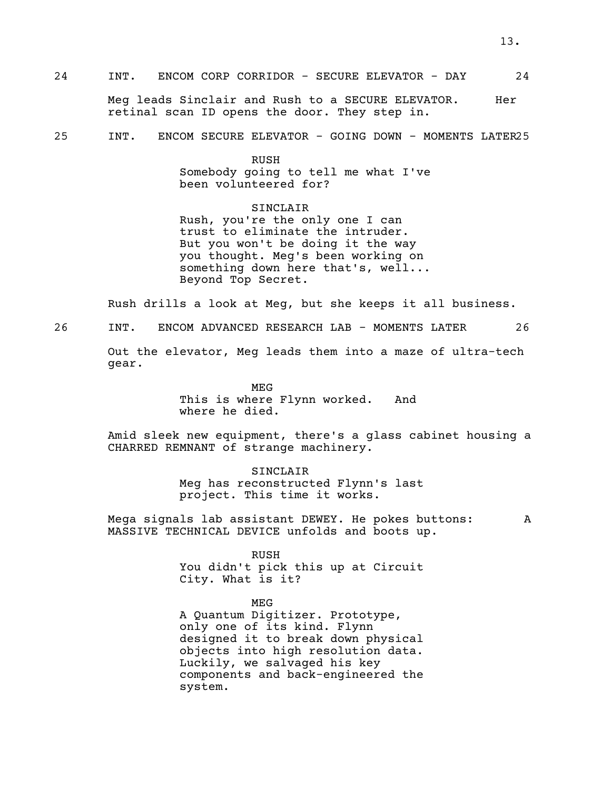Meg leads Sinclair and Rush to a SECURE ELEVATOR. Her retinal scan ID opens the door. They step in.

25 INT. ENCOM SECURE ELEVATOR - GOING DOWN - MOMENTS LATER25

RUSH

Somebody going to tell me what I've been volunteered for?

SINCLAIR Rush, you're the only one I can<br>trust to eliminate the intruder. But you won't be doing it the way you thought. Meg's been working on something down here that's, well... Beyond Top Secret.

Rush drills a look at Meg, but she keeps it all business.

26 INT. ENCOM ADVANCED RESEARCH LAB - MOMENTS LATER 26

Out the elevator, Meg leads them into a maze of ultra-tech gear.

> MEG This is where Flynn worked. And where he died.

Amid sleek new equipment, there's a glass cabinet housing a CHARRED REMNANT of strange machinery.

> SINCLAIR Meg has reconstructed Flynn's last project. This time it works.

Mega signals lab assistant DEWEY. He pokes buttons: A MASSIVE TECHNICAL DEVICE unfolds and boots up.

RUSH

You didn't pick this up at Circuit City. What is it?

MEG

<sup>A</sup> Quantum Digitizer. Prototype, only one of its kind. Flynn designed it to break down physical objects into high resolution data. Luckily, we salvaged his key components and back-engineered the system.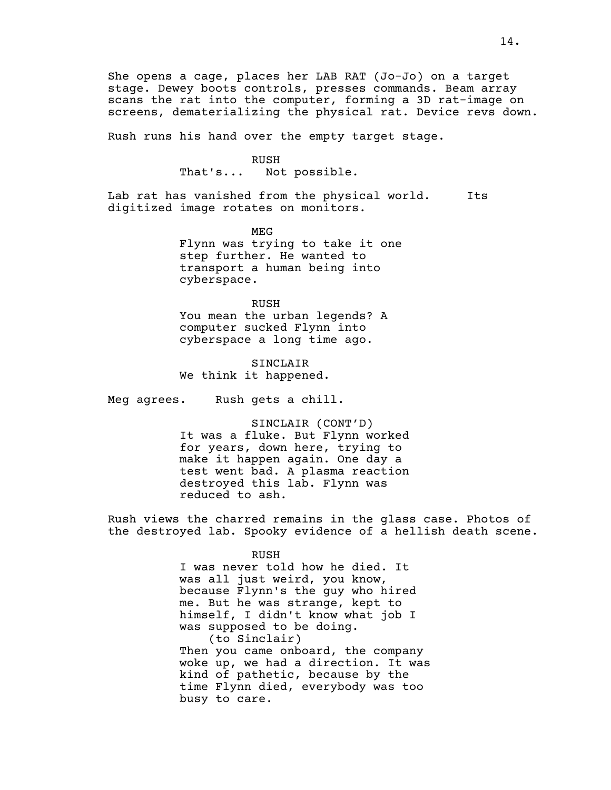Rush runs his hand over the empty target stage.

RUSH<br>That's... No Not possible.

Lab rat has vanished from the physical world. Its digitized image rotates on monitors.

> MEG Flynn was trying to take it one step further. He wanted to transport a human being into cyberspace.

RUSH You mean the urban legends? A computer sucked Flynn into cyberspace a long time ago.

SINCLAIR We think it happened.

Meg agrees. Rush gets a chill.

SINCLAIR (CONT'D) It was a fluke. But Flynn worked for years, down here, trying to make it happen again. One day a test went bad. A plasma reaction destroyed this lab. Flynn was reduced to ash.

Rush views the charred remains in the glass case. Photos of the destroyed lab. Spooky evidence of a hellish death scene.

RUSH

I was never told how he died. It was all just weird, you know, because Flynn's the guy who hired me. But he was strange, kept to himself, I didn't know what job I was supposed to be doing. (to Sinclair) Then you came onboard, the company woke up, we had a direction. It was kind of pathetic, because by the time Flynn died, everybody was too busy to care.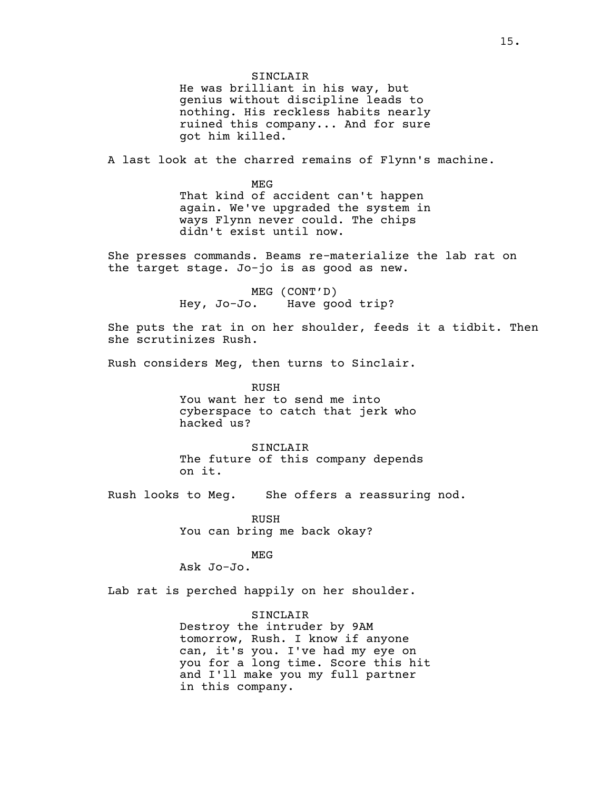SINCLAIR He was brilliant in his way, but genius without discipline leads to nothing. His reckless habits nearly ruined this company... And for sure got him killed.

A last look at the charred remains of Flynn's machine.

MEG That kind of accident can't happen again. We've upgraded the system in ways Flynn never could. The chips didn't exist until now.

She presses commands. Beams re-materialize the lab rat on the target stage. Jo-jo is as good as new.

> MEG (CONT'D) Hey, Jo-Jo. Have good trip?

She puts the rat in on her shoulder, feeds it a tidbit. Then she scrutinizes Rush.

Rush considers Meg, then turns to Sinclair.

RUSH You want her to send me into cyberspace to catch that jerk who hacked us?

SINCLAIR The future of this company depends on it.

Rush looks to Meg. She offers a reassuring nod.

RUSH You can bring me back okay?

MEG

Ask Jo-Jo.

Lab rat is perched happily on her shoulder.

SINCLAIR Destroy the intruder by 9AM tomorrow, Rush. I know if anyone can, it's you. I've had my eye on you for a long time. Score this hit and I'll make you my full partner in this company.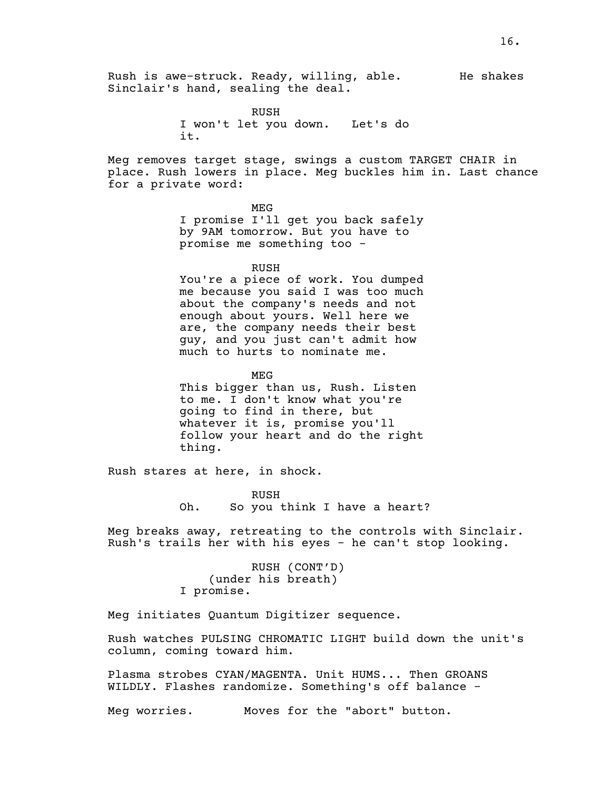RUSH I won't let you down. Let's do it.

Meg removes target stage, swings a custom TARGET CHAIR in place. Rush lowers in place. Meg buckles him in. Last chance for a private word:

> MEG I promise I'll get you back safely by 9AM tomorrow. But you have to promise me something too -

> > RUSH

You're a piece of work. You dumped me because you said I was too much about the company's needs and not enough about yours. Well here we are, the company needs their best guy, and you just can't admit how much to hurts to nominate me.

MEG

This bigger than us, Rush. Listen to me. I don't know what you're going to find in there, but whatever it is, promise you'll follow your heart and do the right thing.

Rush stares at here, in shock.

RUSH Oh. So you think I have a heart?

Meg breaks away, retreating to the controls with Sinclair. Rush's trails her with his eyes - he can't stop looking.

> RUSH (CONT'D) (under his breath) I promise.

Meg initiates Quantum Digitizer sequence.

Rush watches PULSING CHROMATIC LIGHT build down the unit's column, coming toward him.

Plasma strobes CYAN/MAGENTA. Unit HUMS... Then GROANS WILDLY. Flashes randomize. Something's off balance -

Meg worries. Moves for the "abort" button.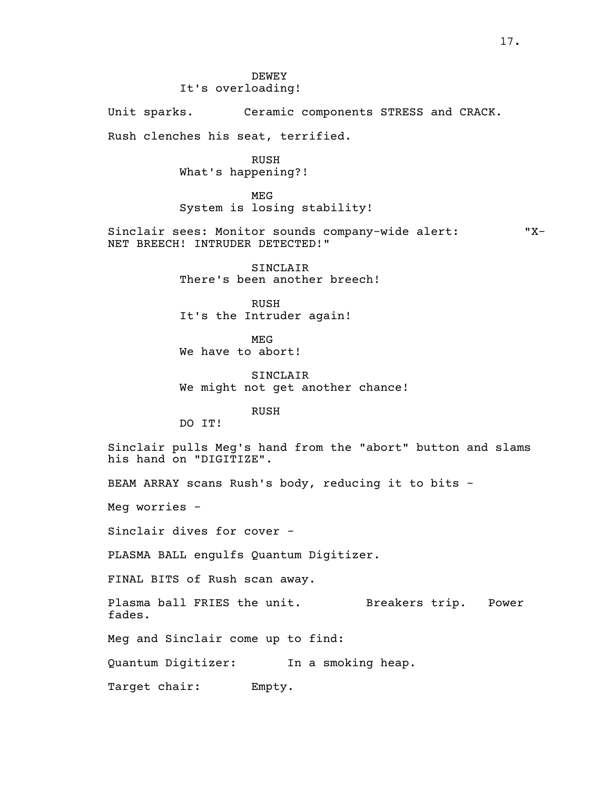DEWEY It's overloading! Unit sparks. Ceramic components STRESS and CRACK. Rush clenches his seat, terrified. RUSH What's happening?! MEG System is losing stability! Sinclair sees: Monitor sounds company-wide alert: "X-<br>NET BREECH! INTRUDER DETECTED!" SINCLAIR There's been another breech! RUSH It's the Intruder again! MEG We have to abort! SINCLAIR We might not get another chance! RUSH DO IT! Sinclair pulls Meg's hand from the "abort" button and slams his hand on "DIGITIZE". BEAM ARRAY scans Rush's body, reducing it to bits - Meg worries - Sinclair dives for cover - PLASMA BALL engulfs Quantum Digitizer. FINAL BITS of Rush scan away. Plasma ball FRIES the unit. Breakers trip. Power fades. Meg and Sinclair come up to find: Quantum Digitizer: In a smoking heap. Target chair: Empty.

17.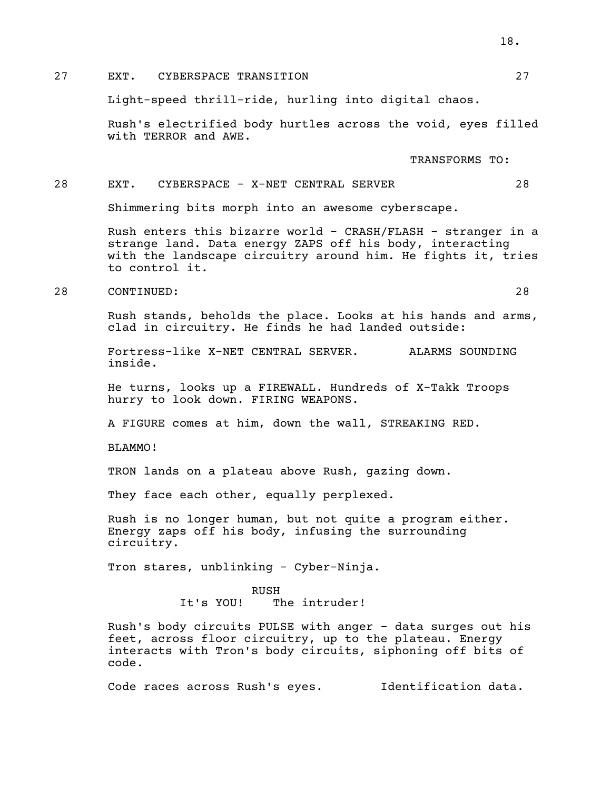### 27 EXT. CYBERSPACE TRANSITION 27

Light-speed thrill-ride, hurling into digital chaos.

Rush's electrified body hurtles across the void, eyes filled with TERROR and AWE.

TRANSFORMS TO:

#### 28 EXT. CYBERSPACE - X-NET CENTRAL SERVER 28

Shimmering bits morph into an awesome cyberscape.

Rush enters this bizarre world - CRASH/FLASH - stranger in a strange land. Data energy ZAPS off his body, interacting with the landscape circuitry around him. He fights it, tries to control it.

28 CONTINUED: 28

Rush stands, beholds the place. Looks at his hands and arms, clad in circuitry. He finds he had landed outside:

Fortress-like X-NET CENTRAL SERVER. ALARMS SOUNDING inside.

He turns, looks up a FIREWALL. Hundreds of X-Takk Troops hurry to look down. FIRING WEAPONS.

A FIGURE comes at him, down the wall, STREAKING RED.

BLAMMO!

TRON lands on a plateau above Rush, gazing down.

They face each other, equally perplexed.

Rush is no longer human, but not quite a program either. Energy zaps off his body, infusing the surrounding circuitry.

Tron stares, unblinking - Cyber-Ninja.

RUSH It's YOU! The intruder!

Rush's body circuits PULSE with anger - data surges out his feet, across floor circuitry, up to the plateau. Energy interacts with Tron's body circuits, siphoning off bits of code.

Code races across Rush's eyes. Identification data.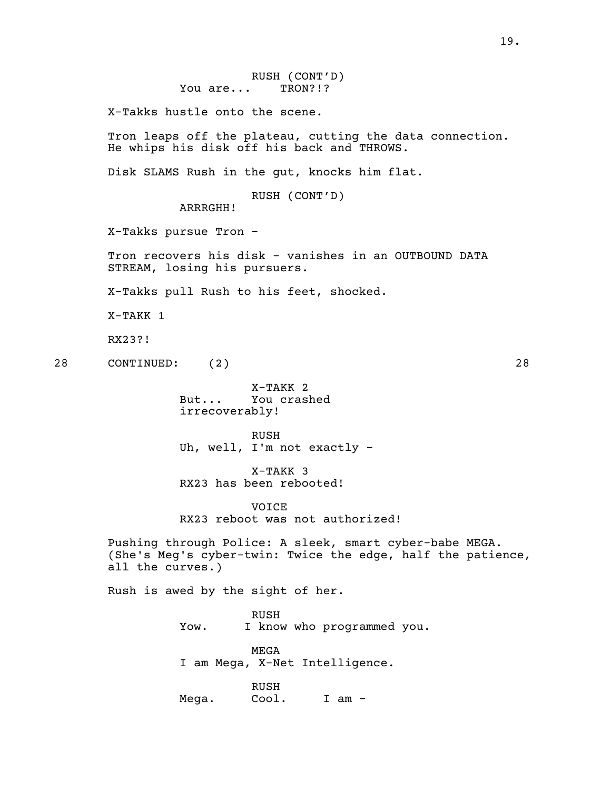X-Takks hustle onto the scene.

Tron leaps off the plateau, cutting the data connection. He whips his disk off his back and THROWS.

Disk SLAMS Rush in the gut, knocks him flat.

RUSH (CONT'D)

ARRRGHH!

X-Takks pursue Tron -

Tron recovers his disk - vanishes in an OUTBOUND DATA STREAM, losing his pursuers.

X-Takks pull Rush to his feet, shocked.

X-TAKK 1

RX23?!

28 CONTINUED: (2) 28

X-TAKK 2 But... You crashed irrecoverably!

RUSH Uh, well, I'm not exactly -

X-TAKK 3 RX23 has been rebooted!

VOICE RX23 reboot was not authorized!

Pushing through Police: A sleek, smart cyber-babe MEGA. (She's Meg's cyber-twin: Twice the edge, half the patience, all the curves.)

Rush is awed by the sight of her.

RUSH Yow. I know who programmed you.

MEGA I am Mega, X-Net Intelligence.

RUSH Mega. Cool. I am -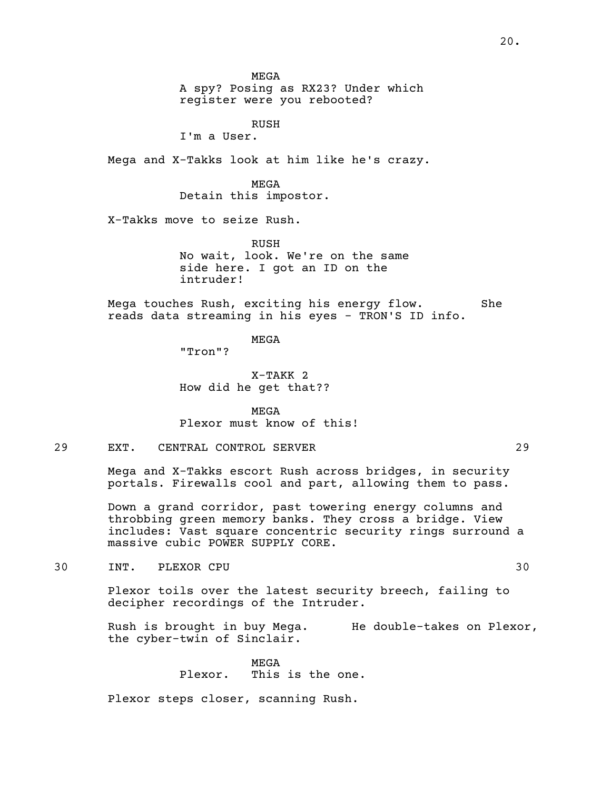MEGA

A spy? Posing as RX23? Under which register were you rebooted?

RUSH

I'm a User.

Mega and X-Takks look at him like he's crazy.

MEGA Detain this impostor.

X-Takks move to seize Rush.

RUSH No wait, look. We're on the same side here. I got an ID on the intruder!

Mega touches Rush, exciting his energy flow. She reads data streaming in his eyes - TRON'S ID info.

MEGA "Tron"?

X-TAKK 2 How did he get that??

MEGA Plexor must know of this!

## 29 EXT. CENTRAL CONTROL SERVER 29

Mega and X-Takks escort Rush across bridges, in security portals. Firewalls cool and part, allowing them to pass.

Down a grand corridor, past towering energy columns and throbbing green memory banks. They cross a bridge. View includes: Vast square concentric security rings surround a massive cubic POWER SUPPLY CORE.

30 INT. PLEXOR CPU 30

Plexor toils over the latest security breech, failing to decipher recordings of the Intruder.

Rush is brought in buy Mega. He double-takes on Plexor,<br>the cyber-twin of Sinclair.

MEGA

Plexor. This is the one.

Plexor steps closer, scanning Rush.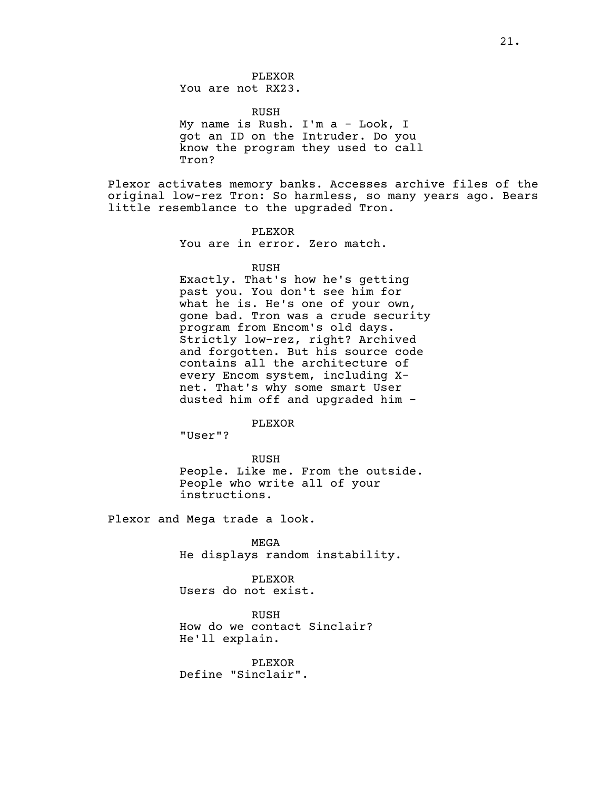PLEXOR You are not RX23.

RUSH

My name is Rush. I'm a - Look, I got an ID on the Intruder. Do you know the program they used to call Tron?

Plexor activates memory banks. Accesses archive files of the original low-rez Tron: So harmless, so many years ago. Bears little resemblance to the upgraded Tron.

> PLEXOR You are in error. Zero match.

> > RUSH

Exactly. That's how he's getting past you. You don't see him for gone bad. Tron was a crude security<br>program from Encom's old days. Strictly low-rez, right? Archived and forgotten. But his source code contains all the architecture of every Encom system, including X- net. That's why some smart User dusted him off and upgraded him -

PLEXOR

"User"?

RUSH People. Like me. From the outside. People who write all of your instructions.

Plexor and Mega trade a look.

MEGA He displays random instability.

PLEXOR Users do not exist.

RUSH How do we contact Sinclair? He'll explain.

PLEXOR Define "Sinclair".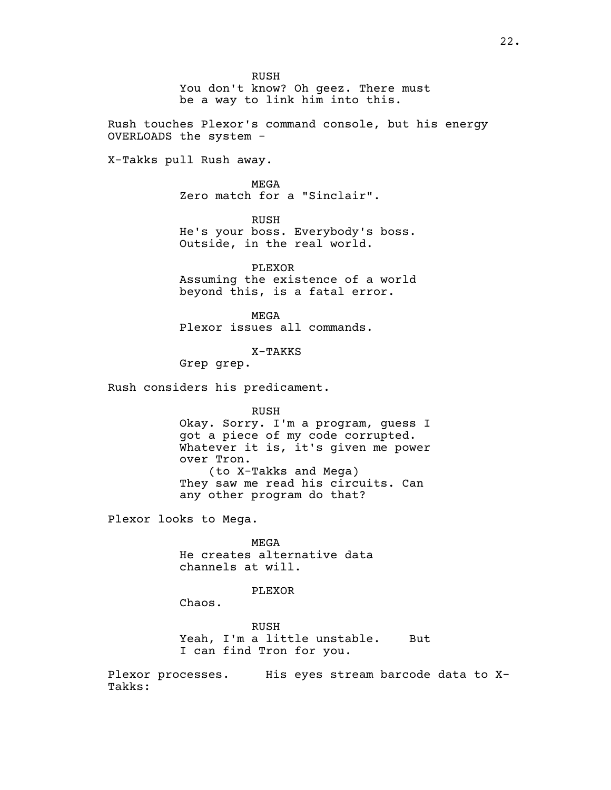RUSH You don't know? Oh geez. There must be a way to link him into this. Rush touches Plexor's command console, but his energy OVERLOADS the system - X-Takks pull Rush away. MEGA Zero match for a "Sinclair". RUSH He's your boss. Everybody's boss. Outside, in the real world. PLEXOR Assuming the existence of a world beyond this, is a fatal error. MEGA Plexor issues all commands. X-TAKKS Grep grep. Rush considers his predicament. RUSH Okay. Sorry. I'm a program, guess I got a piece of my code corrupted. Whatever it is, it's given me power over Tron. (to X-Takks and Mega) They saw me read his circuits. Can any other program do that? Plexor looks to Mega. MEGA He creates alternative data channels at will. PLEXOR Chaos. RUSH Yeah, I'm a little unstable. But I can find Tron for you. Plexor processes. His eyes stream barcode data to X- Takks:

22.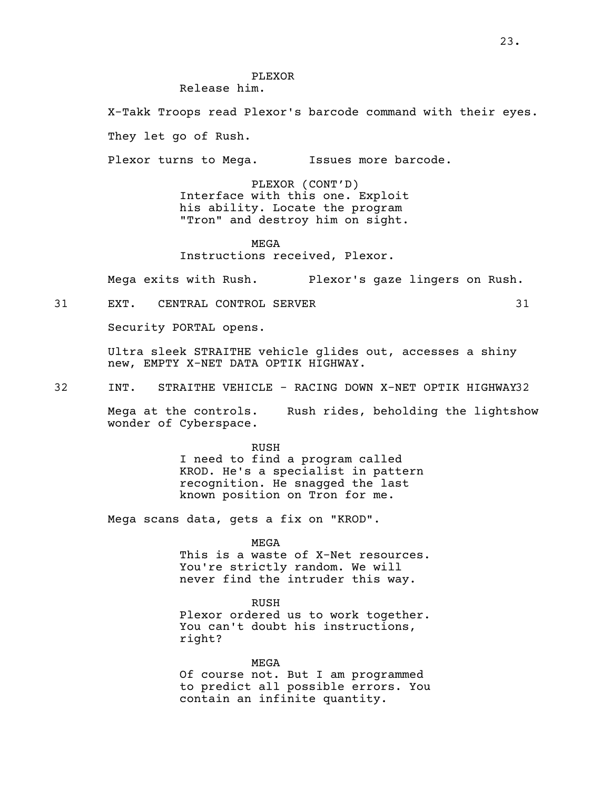#### PLEXOR Release him.

X-Takk Troops read Plexor's barcode command with their eyes.

They let go of Rush.

Plexor turns to Mega. Issues more barcode.

PLEXOR (CONT'D) Interface with this one. Exploit<br>his ability. Locate the program "Tron" and destroy him on sight.

MEGA Instructions received, Plexor.

Mega exits with Rush. Plexor's gaze lingers on Rush.

31 EXT. CENTRAL CONTROL SERVER 31

Security PORTAL opens.

Ultra sleek STRAITHE vehicle glides out, accesses a shiny new, EMPTY X-NET DATA OPTIK HIGHWAY.

32 INT. STRAITHE VEHICLE - RACING DOWN X-NET OPTIK HIGHWAY32

Mega at the controls. Rush rides, beholding the lightshow wonder of Cyberspace.

> RUSH I need to find a program called KROD. He's a specialist in pattern recognition. He snagged the last known position on Tron for me.

Mega scans data, gets a fix on "KROD".

MEGA

This is a waste of X-Net resources. You're strictly random. We will never find the intruder this way.

RUSH<br>Plexor ordered us to work together. You can't doubt his instructions,<br>right?

MEGA Of course not. But I am programmed to predict all possible errors. You contain an infinite quantity.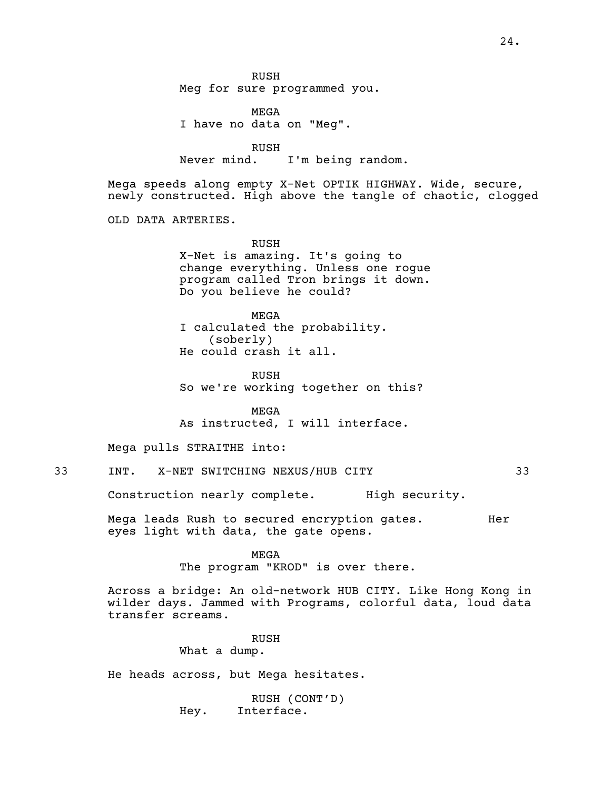RUSH Meg for sure programmed you.

MEGA I have no data on "Meg".

RUSH Never mind. I'm being random.

Mega speeds along empty X-Net OPTIK HIGHWAY. Wide, secure,<br>newly constructed. High above the tangle of chaotic, clogged

OLD DATA ARTERIES.

RUSH X-Net is amazing. It's going to change everything. Unless one rogue program called Tron brings it down. Do you believe he could?

MEGA <sup>I</sup> calculated the probability. (soberly) He could crash it all.

RUSH So we're working together on this?

MEGA As instructed, I will interface.

Mega pulls STRAITHE into:

33 INT. X-NET SWITCHING NEXUS/HUB CITY 33

Construction nearly complete. High security.

Mega leads Rush to secured encryption gates. Ther eyes light with data, the gate opens.

MEGA

The program "KROD" is over there.

Across a bridge: An old-network HUB CITY. Like Hong Kong in wilder days. Jammed with Programs, colorful data, loud data transfer screams.

RUSH

What a dump.

He heads across, but Mega hesitates.

RUSH (CONT'D) Hey. Interface.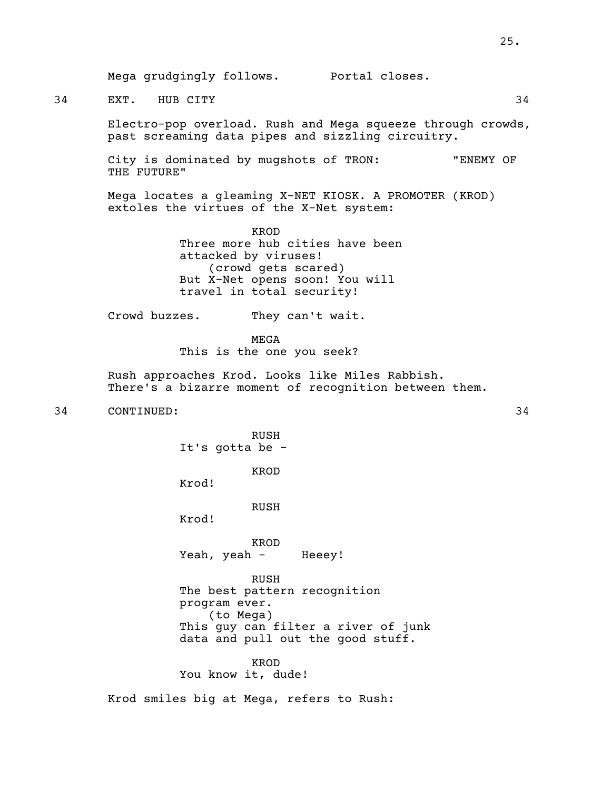34 EXT. HUB CITY 34

Electro-pop overload. Rush and Mega squeeze through crowds, past screaming data pipes and sizzling circuitry.

City is dominated by mugshots of TRON: "ENEMY OF THE FUTURE"

Mega locates a gleaming X-NET KIOSK. A PROMOTER (KROD) extoles the virtues of the X-Net system:

> KROD Three more hub cities have been attacked by viruses! (crowd gets scared) But X-Net opens soon! You will travel in total security!

Crowd buzzes. They can't wait.

MEGA This is the one you seek?

Rush approaches Krod. Looks like Miles Rabbish. There's <sup>a</sup> bizarre moment of recognition between them.

34 CONTINUED: 34

RUSH It's gotta be -

KROD

Krod!

RUSH

Krod!

KROD Yeah, yeah - Heeey!

RUSH The best pattern recognition program ever. (to Mega) This guy can filter a river of junk data and pull out the good stuff.

KROD

You know it, dude!

Krod smiles big at Mega, refers to Rush: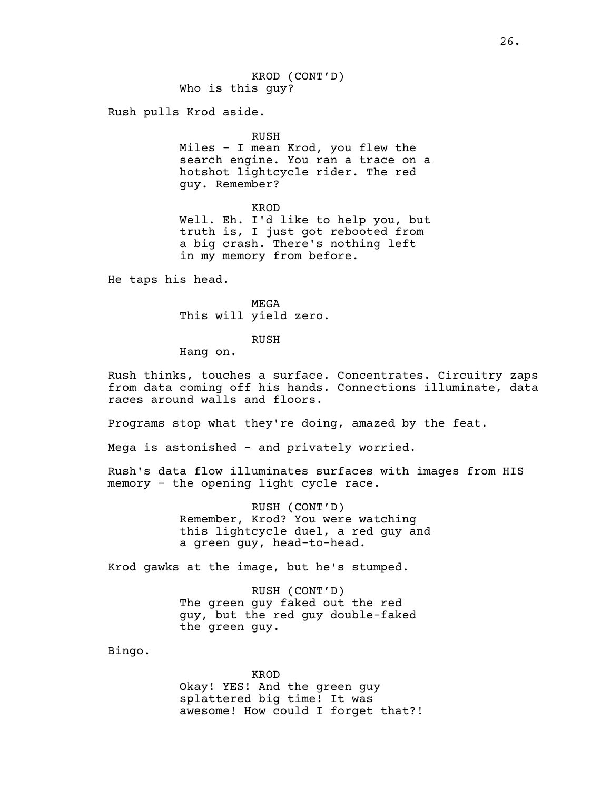KROD (CONT'D) Who is this guy?

Rush pulls Krod aside.

#### RUSH

Miles - I mean Krod, you flew the search engine. You ran a trace on a hotshot lightcycle rider. The red guy. Remember?

KROD

Well. Eh. I'd like to help you, but truth is, I just got rebooted from a big crash. There's nothing left in my memory from before.

He taps his head.

MEGA This will yield zero.

#### RUSH

Hang on.

Rush thinks, touches a surface. Concentrates. Circuitry zaps from data coming off his hands. Connections illuminate, data races around walls and floors.

Programs stop what they're doing, amazed by the feat.

Mega is astonished - and privately worried.

Rush's data flow illuminates surfaces with images from HIS memory - the opening light cycle race.

> RUSH (CONT'D) Remember, Krod? You were watching this lightcycle duel, a red guy and a green guy, head-to-head.

Krod gawks at the image, but he's stumped.

RUSH (CONT'D) The green guy faked out the red guy, but the red guy double-faked the green guy.

Bingo.

KROD

Okay! YES! And the green guy splattered big time! It was awesome! How could I forget that?!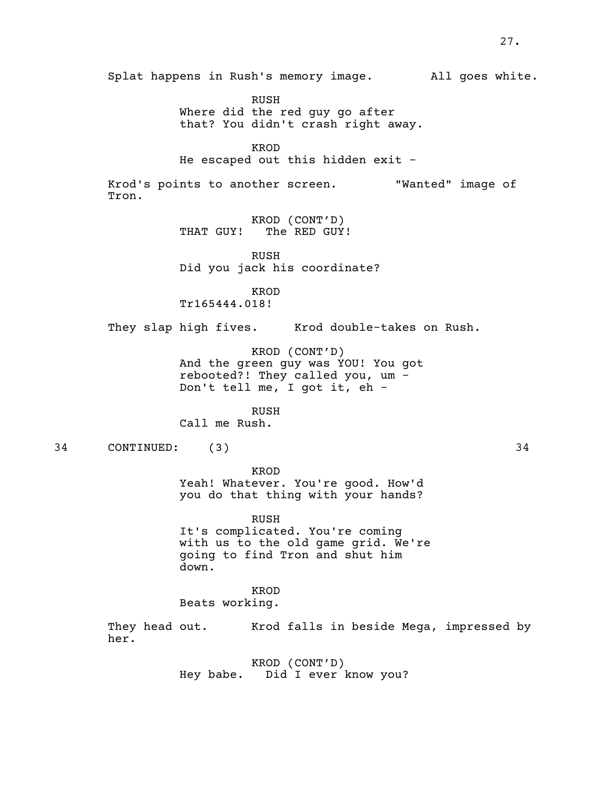Splat happens in Rush's memory image. All goes white. RUSH Where did the red guy go after that? You didn't crash right away. KROD He escaped out this hidden exit - Krod's points to another screen. "Wanted" image of Tron. KROD (CONT'D) THAT GUY! The RED GUY! RUSH Did you jack his coordinate? KROD Tr165444.018! They slap high fives. Krod double-takes on Rush. KROD (CONT'D) And the green guy was YOU! You got rebooted?! They called you, um - Don't tell me, <sup>I</sup> got it, eh - RUSH Call me Rush. 34 CONTINUED: (3) 34 KROD Yeah! Whatever. You're good. How'd you do that thing with your hands? RUSH It's complicated. You're coming with us to the old game grid. We're going to find Tron and shut him down. KROD Beats working. They head out. Krod falls in beside Mega, impressed by her. KROD (CONT'D) Hey babe. Did I ever know you?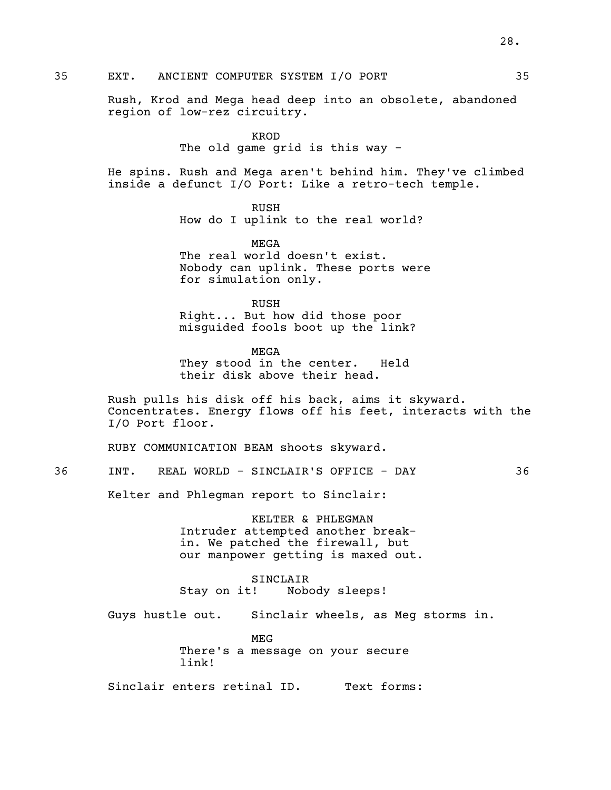# 35 EXT. ANCIENT COMPUTER SYSTEM I/O PORT 35

Rush, Krod and Mega head deep into an obsolete, abandoned region of low-rez circuitry.

> KROD The old game grid is this way -

He spins. Rush and Mega aren't behind him. They've climbed inside a defunct I/O Port: Like a retro-tech temple.

> RUSH How do I uplink to the real world?

MEGA<br>The real world doesn't exist. Nobody can uplink. These ports were for simulation only.

RUSH Right... But how did those poor misguided fools boot up the link?

MEGA They stood in the center. Held their disk above their head.

Rush pulls his disk off his back, aims it skyward. Concentrates. Energy flows off his feet, interacts with the I/O Port floor.

RUBY COMMUNICATION BEAM shoots skyward.

36 INT. REAL WORLD - SINCLAIR'S OFFICE - DAY 36

Kelter and Phlegman report to Sinclair:

KELTER & PHLEGMAN Intruder attempted another breakin. We patched the firewall, but our manpower getting is maxed out.

SINCLAIR Stay on it! Nobody sleeps!

Guys hustle out. Sinclair wheels, as Meg storms in.

MEG There's a message on your secure link!

Sinclair enters retinal ID. Text forms: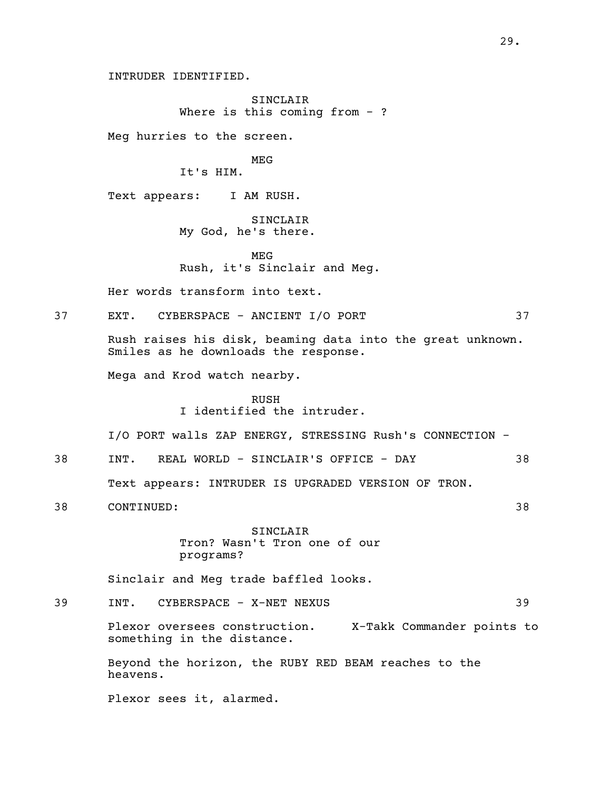INTRUDER IDENTIFIED.

SINCLAIR Where is this coming from  $-$  ?

Meg hurries to the screen.

MEG

It's HIM.

Text appears: I AM RUSH.

SINCLAIR My God, he's there.

MEG Rush, it's Sinclair and Meg.

Her words transform into text.

37 EXT. CYBERSPACE - ANCIENT I/O PORT 37

Rush raises his disk, beaming data into the great unknown. Smiles as he downloads the response.

Mega and Krod watch nearby.

RUSH I identified the intruder.

I/O PORT walls ZAP ENERGY, STRESSING Rush's CONNECTION -

38 INT. REAL WORLD - SINCLAIR'S OFFICE - DAY 38

Text appears: INTRUDER IS UPGRADED VERSION OF TRON.

38 CONTINUED: 38

SINCLAIR Tron? Wasn't Tron one of our programs?

Sinclair and Meg trade baffled looks.

39 INT. CYBERSPACE - X-NET NEXUS 39

Plexor oversees construction. X-Takk Commander points to something in the distance.

Beyond the horizon, the RUBY RED BEAM reaches to the heavens.

Plexor sees it, alarmed.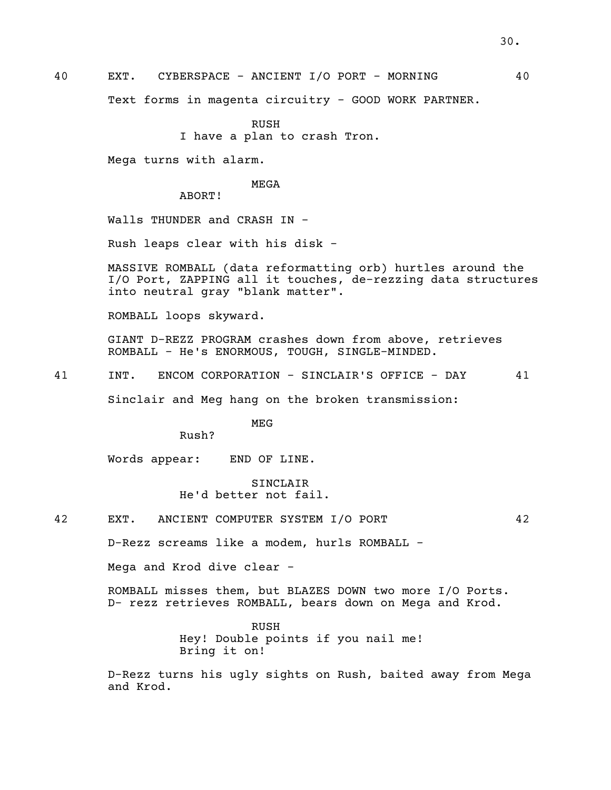Text forms in magenta circuitry - GOOD WORK PARTNER.

RUSH I have a plan to crash Tron.

Mega turns with alarm.

#### MEGA

ABORT!

Walls THUNDER and CRASH IN -

Rush leaps clear with his disk -

MASSIVE ROMBALL (data reformatting orb) hurtles around the I/O Port, ZAPPING all it touches, de-rezzing data structures into neutral gray "blank matter".

ROMBALL loops skyward.

GIANT D-REZZ PROGRAM crashes down from above, retrieves ROMBALL - He's ENORMOUS, TOUGH, SINGLE-MINDED.

41 INT. ENCOM CORPORATION - SINCLAIR'S OFFICE - DAY 41

Sinclair and Meg hang on the broken transmission:

MEG

Rush?

Words appear: END OF LINE.

SINCLAIR He'd better not fail.

42 EXT. ANCIENT COMPUTER SYSTEM I/O PORT 42

D-Rezz screams like a modem, hurls ROMBALL -

Mega and Krod dive clear -

ROMBALL misses them, but BLAZES DOWN two more I/O Ports. D- rezz retrieves ROMBALL, bears down on Mega and Krod.

> RUSH Hey! Double points if you nail me! Bring it on!

D-Rezz turns his ugly sights on Rush, baited away from Mega and Krod.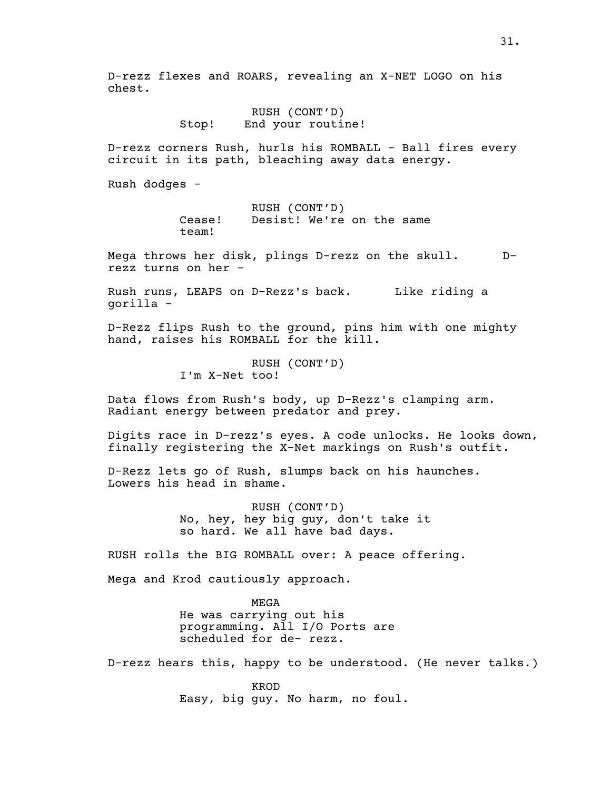D-rezz flexes and ROARS, revealing an X-NET LOGO on his chest.

> RUSH (CONT'D) Stop! End your routine!

D-rezz corners Rush, hurls his ROMBALL - Ball fires every circuit in its path, bleaching away data energy.

Rush dodges -

RUSH (CONT'D) Cease! Desist! We're on the same team!

Mega throws her disk, plings D-rezz on the skull. D- rezz turns on her -

Rush runs, LEAPS on D-Rezz's back. Like riding a gorilla -

D-Rezz flips Rush to the ground, pins him with one mighty hand, raises his ROMBALL for the kill.

> RUSH (CONT'D) I'm X-Net too!

Data flows from Rush's body, up D-Rezz's clamping arm. Radiant energy between predator and prey.

Digits race in D-rezz's eyes. A code unlocks. He looks down, finally registering the X-Net markings on Rush's outfit.

D-Rezz lets go of Rush, slumps back on his haunches. Lowers his head in shame.

> RUSH (CONT'D) No, hey, hey big guy, don't take it so hard. We all have bad days.

RUSH rolls the BIG ROMBALL over: A peace offering.

Mega and Krod cautiously approach.

MEGA He was carrying out his programming. All I/O Ports are scheduled for de- rezz.

D-rezz hears this, happy to be understood. (He never talks.)

KROD Easy, big guy. No harm, no foul.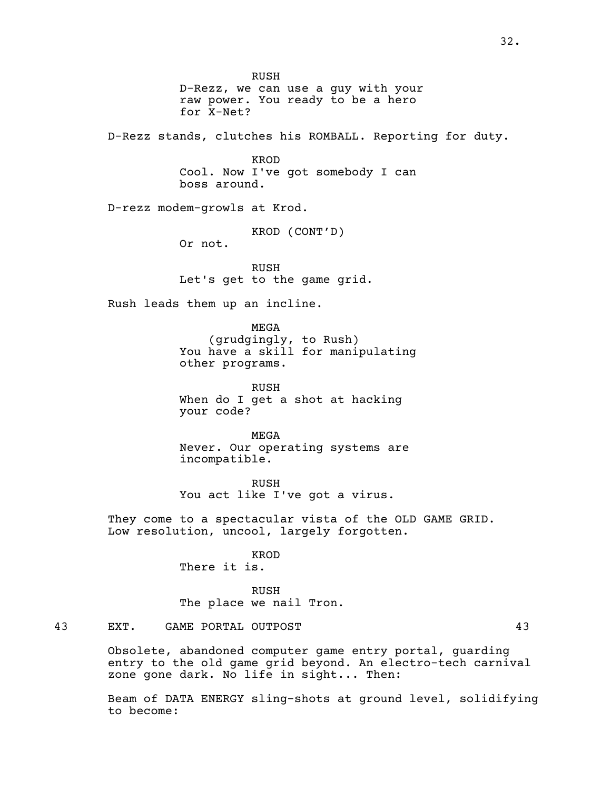RUSH D-Rezz, we can use a guy with your raw power. You ready to be a hero for X-Net? D-Rezz stands, clutches his ROMBALL. Reporting for duty. KROD Cool. Now I've got somebody I can boss around. D-rezz modem-growls at Krod. KROD (CONT'D) Or not. RUSH Let's get to the game grid. Rush leads them up an incline. MEGA (grudgingly, to Rush) You have a skill for manipulating other programs. RUSH When do I get a shot at hacking your code? MEGA Never. Our operating systems are incompatible. RUSH You act like I've got a virus. They come to a spectacular vista of the OLD GAME GRID. Low resolution, uncool, largely forgotten. KROD There it is. RUSH The place we nail Tron. 43 EXT. GAME PORTAL OUTPOST 43 Obsolete, abandoned computer game entry portal, guarding entry to the old game grid beyond. An electro-tech carnival zone gone dark. No life in sight... Then:

Beam of DATA ENERGY sling-shots at ground level, solidifying to become: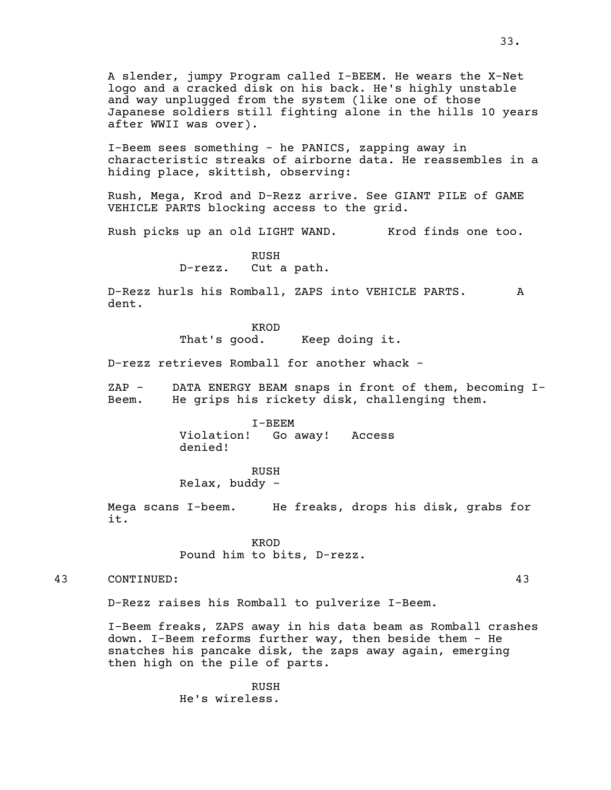A slender, jumpy Program called I-BEEM. He wears the X-Net logo and a cracked disk on his back. He's highly unstable and way unplugged from the system (like one of those Japanese soldiers still fighting alone in the hills 10 years after WWII was over).

I-Beem sees something - he PANICS, zapping away in characteristic streaks of airborne data. He reassembles in a hiding place, skittish, observing:

Rush, Mega, Krod and D-Rezz arrive. See GIANT PILE of GAME VEHICLE PARTS blocking access to the grid.

Rush picks up an old LIGHT WAND. Krod finds one too.

RUSH D-rezz. Cut a path.

D-Rezz hurls his Romball, ZAPS into VEHICLE PARTS. A dent.

> KROD That's good. Keep doing it.

D-rezz retrieves Romball for another whack -

ZAP - DATA ENERGY BEAM snaps in front of them, becoming I-<br>Beem. He grips his rickety disk, challenging them.

I-BEEM Violation! Go away! Access denied!

RUSH

Relax, buddy -

Mega scans I-beem. He freaks, drops his disk, grabs for it.

> KROD Pound him to bits, D-rezz.

43 CONTINUED: 43

D-Rezz raises his Romball to pulverize I-Beem.

I-Beem freaks, ZAPS away in his data beam as Romball crashes down. I-Beem reforms further way, then beside them - He snatches his pancake disk, the zaps away again, emerging then high on the pile of parts.

> RUSH He's wireless.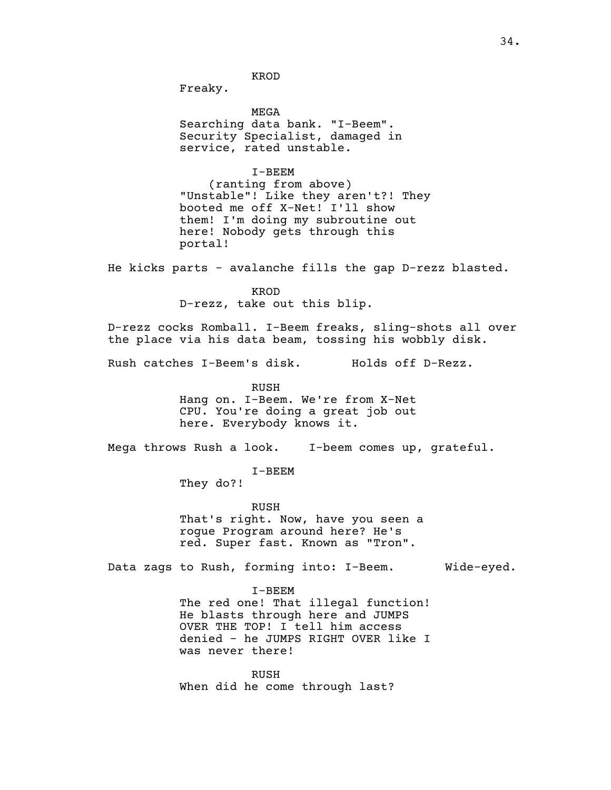KROD

Freaky.

MEGA<br>Searching data bank. "I-Beem". Security Specialist, damaged in service, rated unstable.

I-BEEM<br>(ranting from above) "Unstable"! Like they aren't?! They booted me off X-Net! I'll show them! I'm doing my subroutine out here! Nobody gets through this portal!

He kicks parts - avalanche fills the gap D-rezz blasted.

KROD D-rezz, take out this blip.

D-rezz cocks Romball. I-Beem freaks, sling-shots all over the place via his data beam, tossing his wobbly disk.

Rush catches I-Beem's disk. Holds off D-Rezz.

RUSH Hang on. I-Beem. We're from X-Net CPU. You're doing a great job out here. Everybody knows it.

Mega throws Rush a look. I-beem comes up, grateful.

I-BEEM

They do?!

RUSH That's right. Now, have you seen a rogue Program around here? He's red. Super fast. Known as "Tron".

Data zags to Rush, forming into: I-Beem. Wide-eyed.

I-BEEM

The red one! That illegal function! He blasts through here and JUMPS OVER THE TOP! I tell him access denied - he JUMPS RIGHT OVER like I was never there!

RUSH When did he come through last?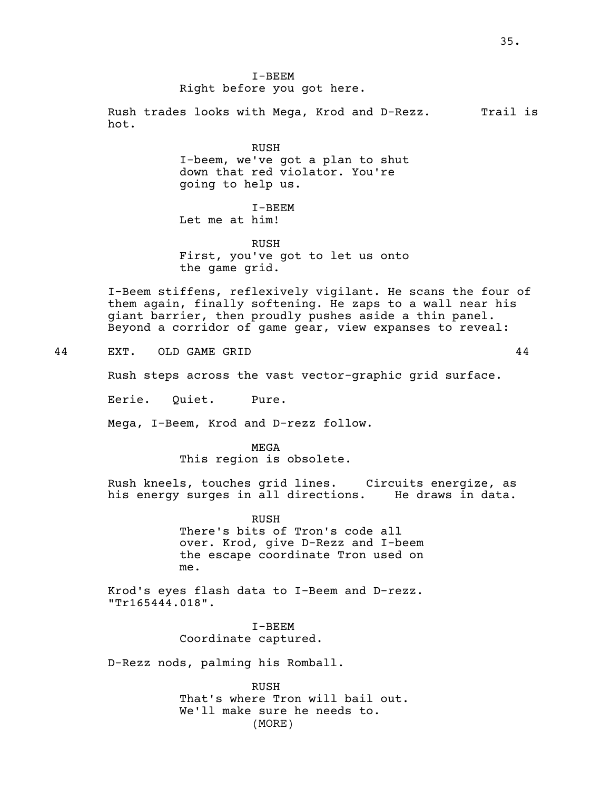I-BEEM Right before you got here.

Rush trades looks with Mega, Krod and D-Rezz. Trail is hot.

> RUSH I-beem, we've got a plan to shut down that red violator. You're going to help us.

I-BEEM Let me at him!

RUSH First, you've got to let us onto the game grid.

I-Beem stiffens, reflexively vigilant. He scans the four of them again, finally softening. He zaps to a wall near his<br>giant barrier, then proudly pushes aside a thin panel. Beyond a corridor of game gear, view expanses to reveal:

44 EXT. OLD GAME GRID 44

Rush steps across the vast vector-graphic grid surface.

Eerie. Quiet. Pure.

Mega, I-Beem, Krod and D-rezz follow.

MEGA This region is obsolete.

Rush kneels, touches grid lines. Circuits energize, as his energy surges in all directions.

> RUSH There's bits of Tron's code all over. Krod, give D-Rezz and I-beem the escape coordinate Tron used on me.

Krod's eyes flash data to I-Beem and D-rezz. "Tr165444.018".

> I-BEEM Coordinate captured.

D-Rezz nods, palming his Romball.

RUSH That's where Tron will bail out. We'll make sure he needs to. (MORE)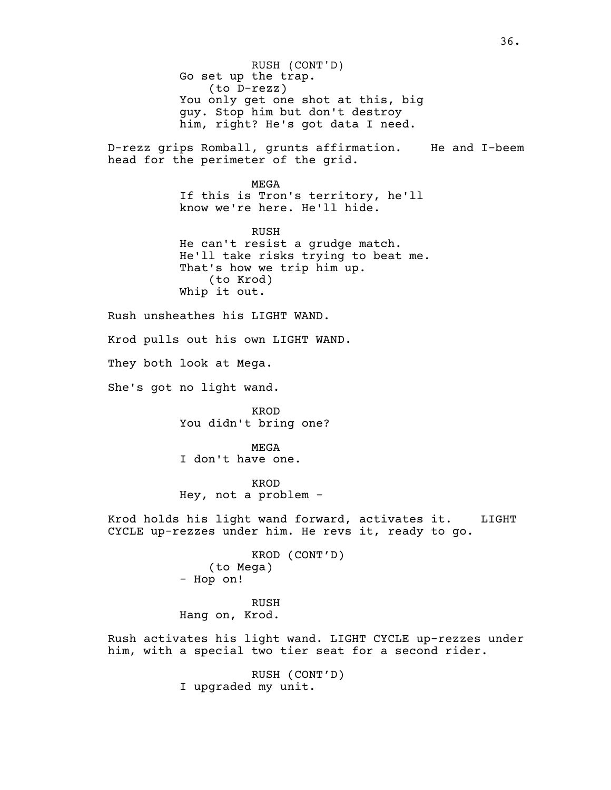Go set up the trap.<br>(to D-rezz) You only get one shot at this, big guy. Stop him but don't destroy him, right? He's got data I need. D-rezz grips Romball, grunts affirmation. He and I-beem head for the perimeter of the grid. MEGA If this is Tron's territory, he'll know we're here. He'll hide. RUSH<br>He can't resist a grudge match. He'll take risks trying to beat me.<br>That's how we trip him up.<br>(to Krod) Whip it out. Rush unsheathes his LIGHT WAND. Krod pulls out his own LIGHT WAND. They both look at Mega. She's got no light wand. KROD You didn't bring one? MEGA I don't have one. KROD Hey, not a problem - Krod holds his light wand forward, activates it. LIGHT CYCLE up-rezzes under him. He revs it, ready to go. KROD (CONT'D) (to Mega) - Hop on! RUSH Hang on, Krod. Rush activates his light wand. LIGHT CYCLE up-rezzes under him, with a special two tier seat for a second rider. RUSH (CONT'D) RUSH (CONT'D)

36.

I upgraded my unit.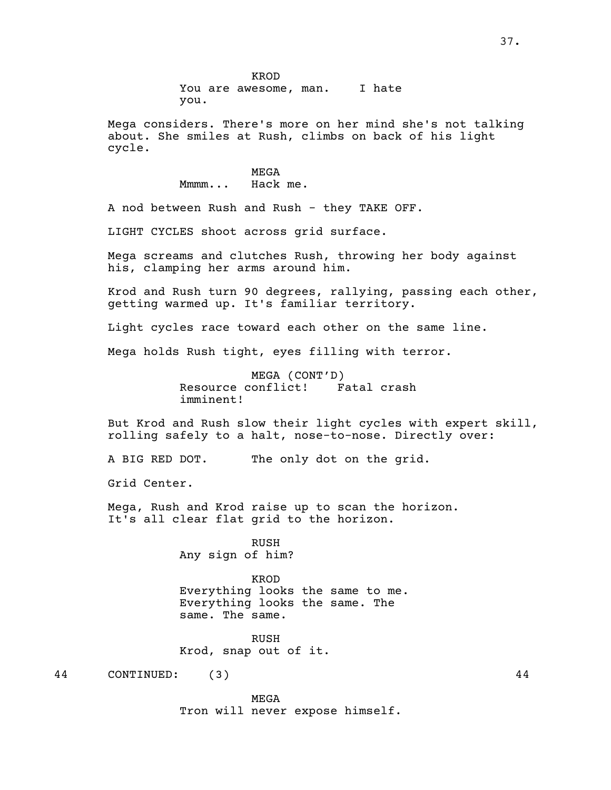KROD You are awesome, man. I hate you.

Mega considers. There's more on her mind she's not talking about. She smiles at Rush, climbs on back of his light cycle.

> MEGA Mmmm... Hack me.

A nod between Rush and Rush - they TAKE OFF.

LIGHT CYCLES shoot across grid surface.

Mega screams and clutches Rush, throwing her body against his, clamping her arms around him.

Krod and Rush turn <sup>90</sup> degrees, rallying, passing each other, getting warmed up. It's familiar territory.

Light cycles race toward each other on the same line.

Mega holds Rush tight, eyes filling with terror.

MEGA (CONT'D)<br>:onflict! Fatal crash Resource conflict! imminent!

But Krod and Rush slow their light cycles with expert skill, rolling safely to a halt, nose-to-nose. Directly over:

A BIG RED DOT. The only dot on the grid.

Grid Center.

Mega, Rush and Krod raise up to scan the horizon. It's all clear flat grid to the horizon.

> RUSH Any sign of him?

KROD Everything looks the same to me. Everything looks the same. The same. The same.

RUSH Krod, snap out of it.

44 CONTINUED: (3) 44

MEGA Tron will never expose himself.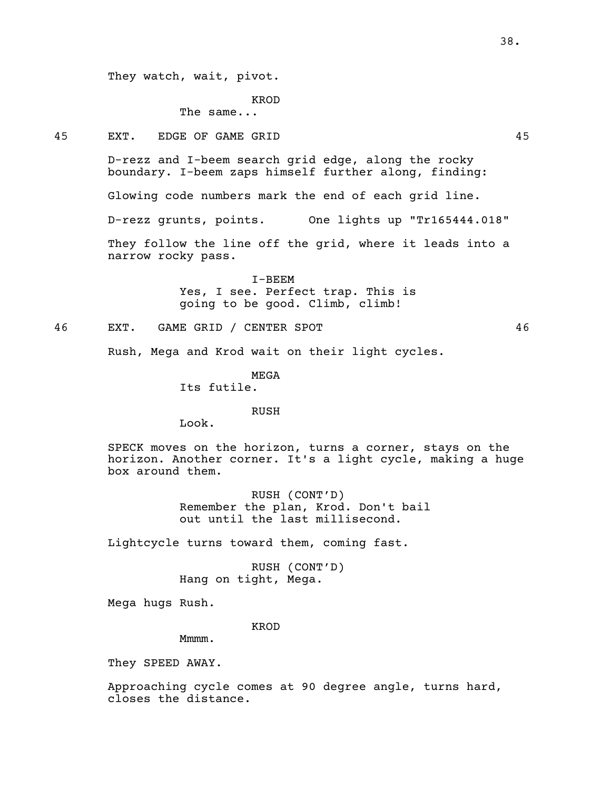They watch, wait, pivot.

KROD

The same...

45 EXT. EDGE OF GAME GRID 45

D-rezz and I-beem search grid edge, along the rocky boundary. I-beem zaps himself further along, finding:

Glowing code numbers mark the end of each grid line.

D-rezz grunts, points. One lights up "Tr165444.018"

They follow the line off the grid, where it leads into a narrow rocky pass.

> I-BEEM Yes, I see. Perfect trap. This is going to be good. Climb, climb!

46 EXT. GAME GRID / CENTER SPOT 46

Rush, Mega and Krod wait on their light cycles.

MEGA

Its futile.

RUSH

Look.

SPECK moves on the horizon, turns a corner, stays on the horizon. Another corner. It's a light cycle, making a huge box around them.

> RUSH (CONT'D) Remember the plan, Krod. Don't bail out until the last millisecond.

Lightcycle turns toward them, coming fast.

RUSH (CONT'D) Hang on tight, Mega.

Mega hugs Rush.

KROD

Mmmm.

They SPEED AWAY.

Approaching cycle comes at 90 degree angle, turns hard, closes the distance.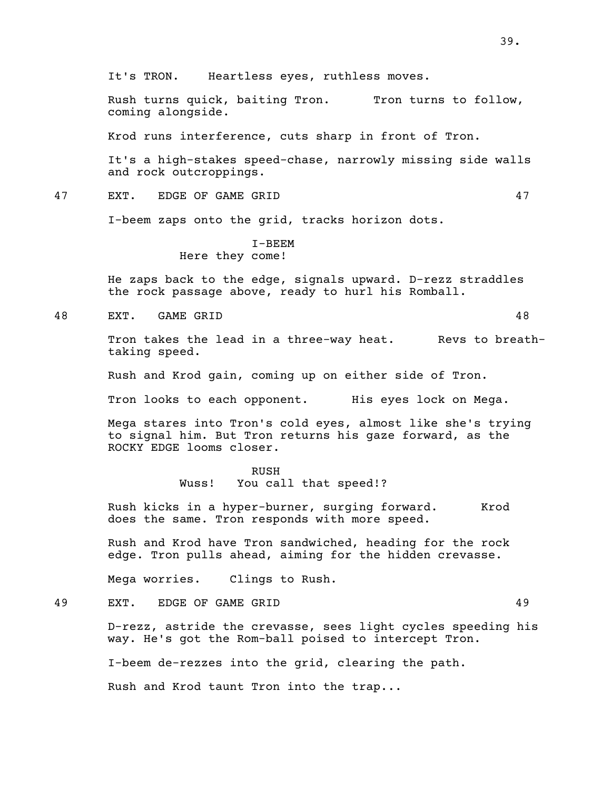Rush turns quick, baiting Tron. Tron turns to follow, coming alongside.

Krod runs interference, cuts sharp in front of Tron.

It's a high-stakes speed-chase, narrowly missing side walls and rock outcroppings.

47 EXT. EDGE OF GAME GRID 47

I-beem zaps onto the grid, tracks horizon dots.

I-BEEM Here they come!

He zaps back to the edge, signals upward. D-rezz straddles the rock passage above, ready to hurl his Romball.

48 EXT. GAME GRID 48

Tron takes the lead in a three-way heat. Revs to breath-<br>taking speed.

Rush and Krod gain, coming up on either side of Tron.

Tron looks to each opponent. His eyes lock on Mega.

Mega stares into Tron's cold eyes, almost like she's trying to signal him. But Tron returns his gaze forward, as the ROCKY EDGE looms closer.

#### RUSH

Wuss! You call that speed!?

Rush kicks in a hyper-burner, surging forward. Krod does the same. Tron responds with more speed.

Rush and Krod have Tron sandwiched, heading for the rock edge. Tron pulls ahead, aiming for the hidden crevasse.

Mega worries. Clings to Rush.

49 EXT. EDGE OF GAME GRID 49

D-rezz, astride the crevasse, sees light cycles speeding his way. He's got the Rom-ball poised to intercept Tron.

I-beem de-rezzes into the grid, clearing the path.

Rush and Krod taunt Tron into the trap...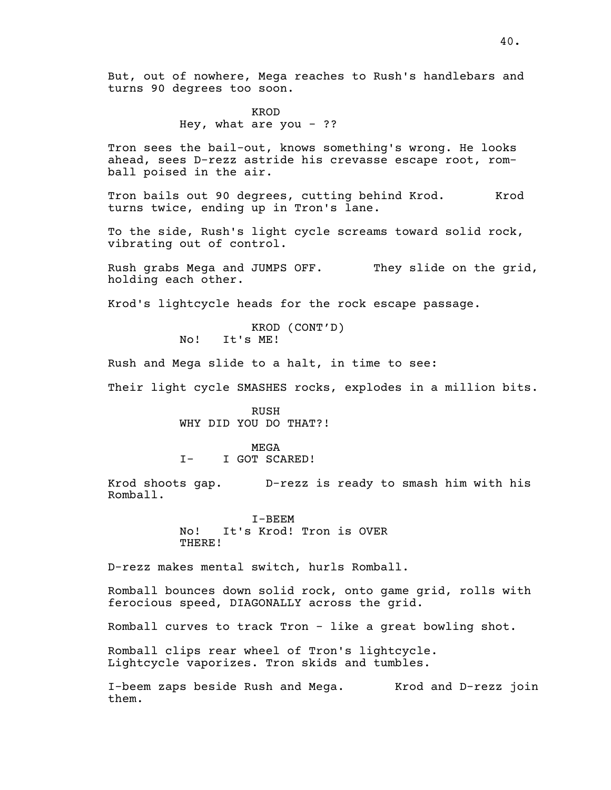KROD Hey, what are you  $-$  ??

Tron sees the bail-out, knows something's wrong. He looks ahead, sees D-rezz astride his crevasse escape root, rom- ball poised in the air.

Tron bails out 90 degrees, cutting behind Krod. Krod turns twice, ending up in Tron's lane.

To the side, Rush's light cycle screams toward solid rock, vibrating out of control.

Rush grabs Mega and JUMPS OFF. They slide on the grid, holding each other.

Krod's lightcycle heads for the rock escape passage.

KROD (CONT'D) No! It's ME!

Rush and Mega slide to a halt, in time to see:

Their light cycle SMASHES rocks, explodes in a million bits.

RUSH WHY DID YOU DO THAT?!

MEGA I- I GOT SCARED!

Krod shoots gap. D-rezz is ready to smash him with his Romball.

> I-BEEM No! It's Krod! Tron is OVER THERE!

D-rezz makes mental switch, hurls Romball.

Romball bounces down solid rock, onto game grid, rolls with ferocious speed, DIAGONALLY across the grid.

Romball curves to track Tron - like a great bowling shot.

Romball clips rear wheel of Tron's lightcycle. Lightcycle vaporizes. Tron skids and tumbles.

I-beem zaps beside Rush and Mega. Krod and D-rezz join them.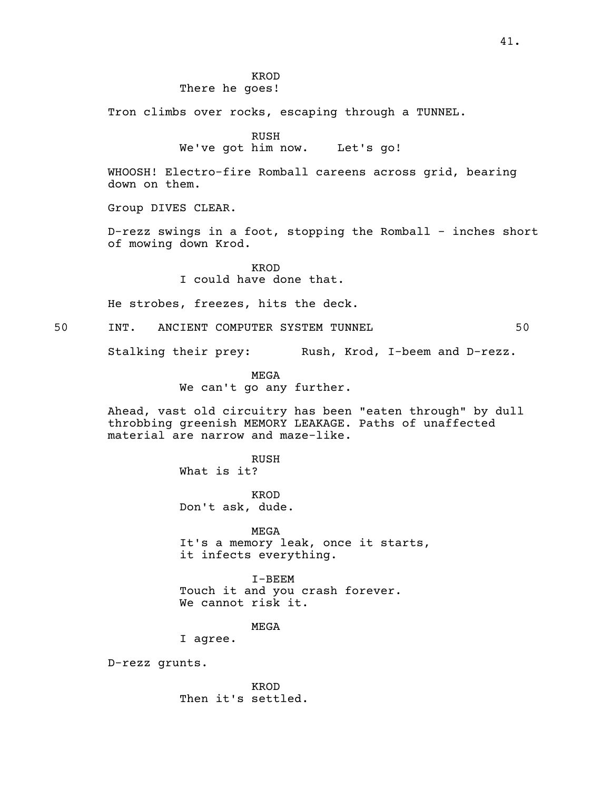KROD There he goes!

Tron climbs over rocks, escaping through a TUNNEL.

RUSH

We've got him now. Let's go!

WHOOSH! Electro-fire Romball careens across grid, bearing down on them.

Group DIVES CLEAR.

D-rezz swings in a foot, stopping the Romball - inches short of mowing down Krod.

> KROD I could have done that.

He strobes, freezes, hits the deck.

50 INT. ANCIENT COMPUTER SYSTEM TUNNEL 50

Stalking their prey: Rush, Krod, I-beem and D-rezz.

MEGA We can't go any further.

Ahead, vast old circuitry has been "eaten through" by dull throbbing greenish MEMORY LEAKAGE. Paths of unaffected material are narrow and maze-like.

> RUSH What is it?

KROD Don't ask, dude.

MEGA It's a memory leak, once it starts, it infects everything.

I-BEEM Touch it and you crash forever. We cannot risk it.

MEGA

I agree.

D-rezz grunts.

KROD Then it's settled.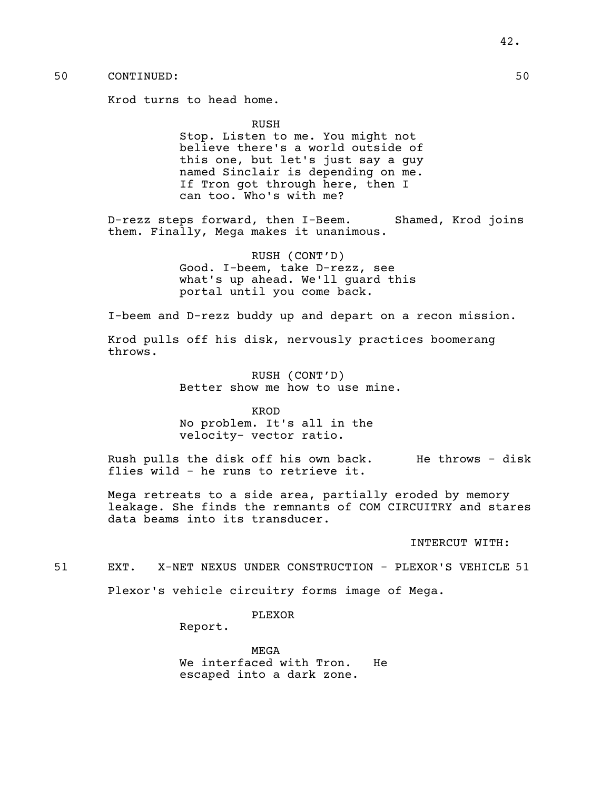Krod turns to head home.

### RUSH

Stop. Listen to me. You might not believe there's a world outside of this one, but let's just say a guy<br>named Sinclair is depending on me. If Tron got through here, then I can too. Who's with me?

D-rezz steps forward, then I-Beem. Shamed, Krod joins them. Finally, Mega makes it unanimous.

> RUSH (CONT'D) Good. I-beem, take D-rezz, see what's up ahead. We'll guard this portal until you come back.

I-beem and D-rezz buddy up and depart on a recon mission.

Krod pulls off his disk, nervously practices boomerang throws.

> RUSH (CONT'D) Better show me how to use mine.

KROD No problem. It's all in the velocity- vector ratio.

Rush pulls the disk off his own back. He throws - disk flies wild - he runs to retrieve it.

Mega retreats to a side area, partially eroded by memory leakage. She finds the remnants of COM CIRCUITRY and stares data beams into its transducer.

INTERCUT WITH:

51 EXT. X-NET NEXUS UNDER CONSTRUCTION - PLEXOR'S VEHICLE 51

Plexor's vehicle circuitry forms image of Mega.

PLEXOR

Report.

MEGA We interfaced with Tron. He escaped into a dark zone.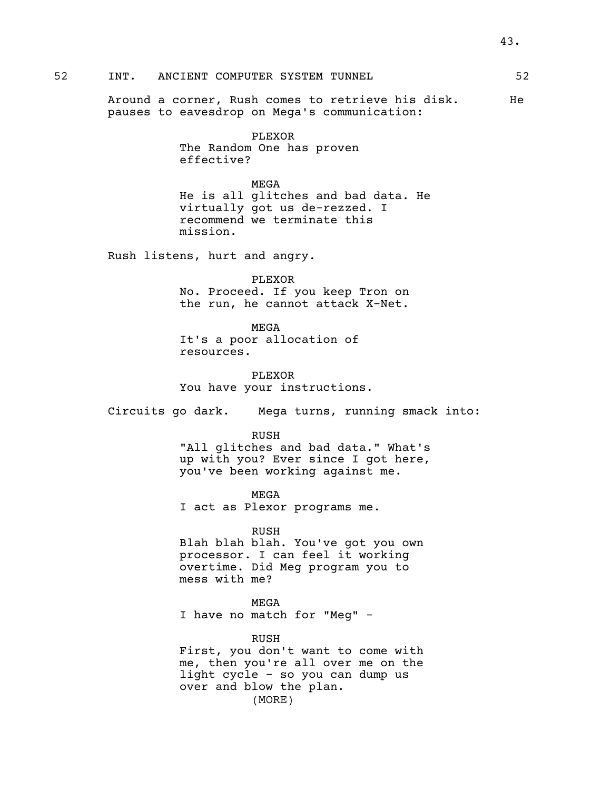# 52 INT. ANCIENT COMPUTER SYSTEM TUNNEL 52

Around a corner, Rush comes to retrieve his disk. He pauses to eavesdrop on Mega's communication:

> PLEXOR The Random One has proven effective?

MEGA He is all glitches and bad data. He virtually got us de-rezzed. I recommend we terminate this mission.

Rush listens, hurt and angry.

PLEXOR No. Proceed. If you keep Tron on the run, he cannot attack X-Net.

MEGA It's a poor allocation of resources.

PLEXOR You have your instructions.

Circuits go dark. Mega turns, running smack into:

RUSH

"All glitches and bad data." What's up with you? Ever since I got here, you've been working against me.

MEGA I act as Plexor programs me.

RUSH

Blah blah blah. You've got you own processor. I can feel it working overtime. Did Meg program you to mess with me?

MEGA I have no match for "Meg" -

RUSH First, you don't want to come with me, then you're all over me on the light cycle - so you can dump us over and blow the plan. (MORE)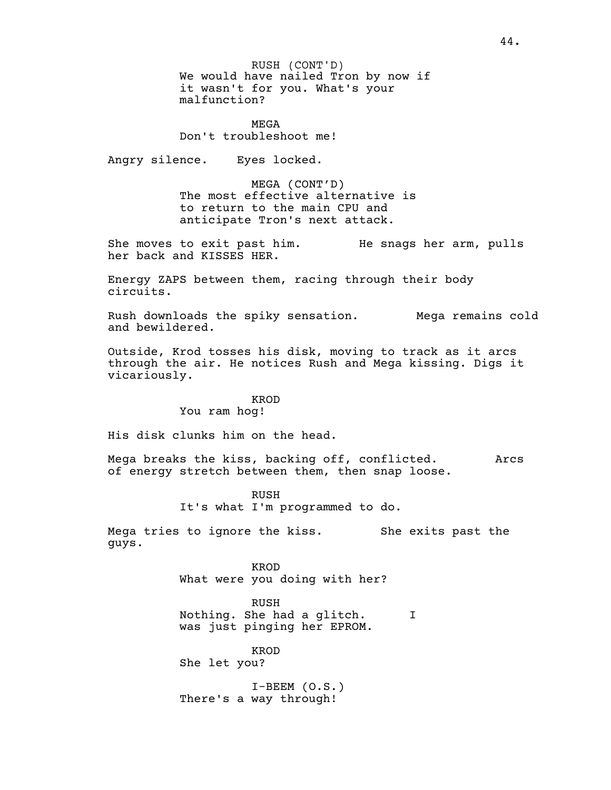We would have nailed Tron by now if it wasn't for you. What's your malfunction? RUSH (CONT'D)

MEGA Don't troubleshoot me!

Angry silence. Eyes locked.

MEGA (CONT'D) The most effective alternative is to return to the main CPU and anticipate Tron's next attack.

She moves to exit past him. He snags her arm, pulls her back and KISSES HER.

Energy ZAPS between them, racing through their body circuits.

Rush downloads the spiky sensation. Mega remains cold and bewildered.

Outside, Krod tosses his disk, moving to track as it arcs through the air. He notices Rush and Mega kissing. Digs it vicariously.

### KROD

You ram hog!

His disk clunks him on the head.

Mega breaks the kiss, backing off, conflicted. Arcs of energy stretch between them, then snap loose.

> RUSH It's what I'm programmed to do.

Mega tries to ignore the kiss. She exits past the guys.

> KROD What were you doing with her?

RUSH Nothing. She had a glitch. I was just pinging her EPROM.

KROD She let you?

I-BEEM (O.S.) There's a way through!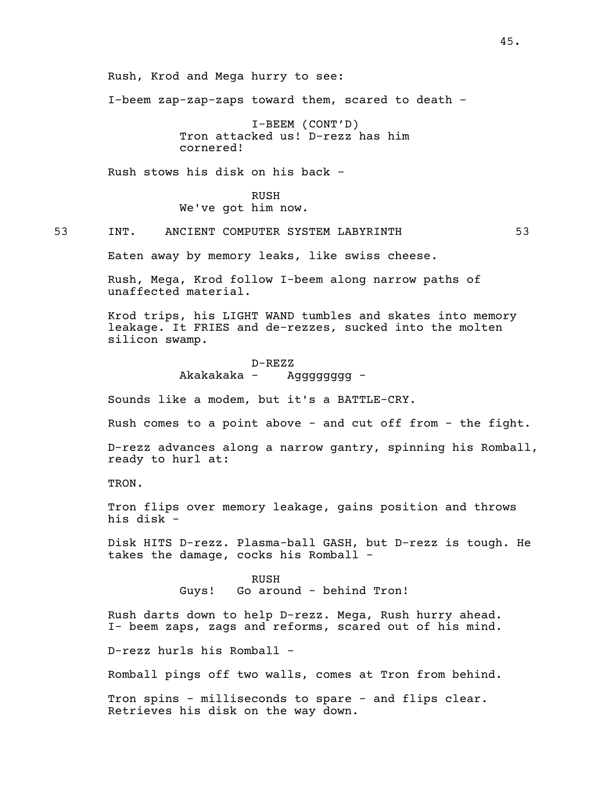Rush, Krod and Mega hurry to see:

I-beem zap-zap-zaps toward them, scared to death -

I-BEEM (CONT'D) Tron attacked us! D-rezz has him cornered!

Rush stows his disk on his back -

RUSH We've got him now.

53 INT. ANCIENT COMPUTER SYSTEM LABYRINTH 53

Eaten away by memory leaks, like swiss cheese.

Rush, Mega, Krod follow I-beem along narrow paths of unaffected material.

Krod trips, his LIGHT WAND tumbles and skates into memory leakage. It FRIES and de-rezzes, sucked into the molten silicon swamp.

> D-REZZ Akakakaka - Agggggggg -

Sounds like a modem, but it's a BATTLE-CRY.

Rush comes to a point above - and cut off from - the fight.

D-rezz advances along a narrow gantry, spinning his Romball, ready to hurl at:

TRON.

Tron flips over memory leakage, gains position and throws his disk -

Disk HITS D-rezz. Plasma-ball GASH, but D-rezz is tough. He takes the damage, cocks his Romball -

> RUSH Guys! Go around - behind Tron!

Rush darts down to help D-rezz. Mega, Rush hurry ahead. I- beem zaps, zags and reforms, scared out of his mind.

D-rezz hurls his Romball -

Romball pings off two walls, comes at Tron from behind.

Tron spins - milliseconds to spare - and flips clear. Retrieves his disk on the way down.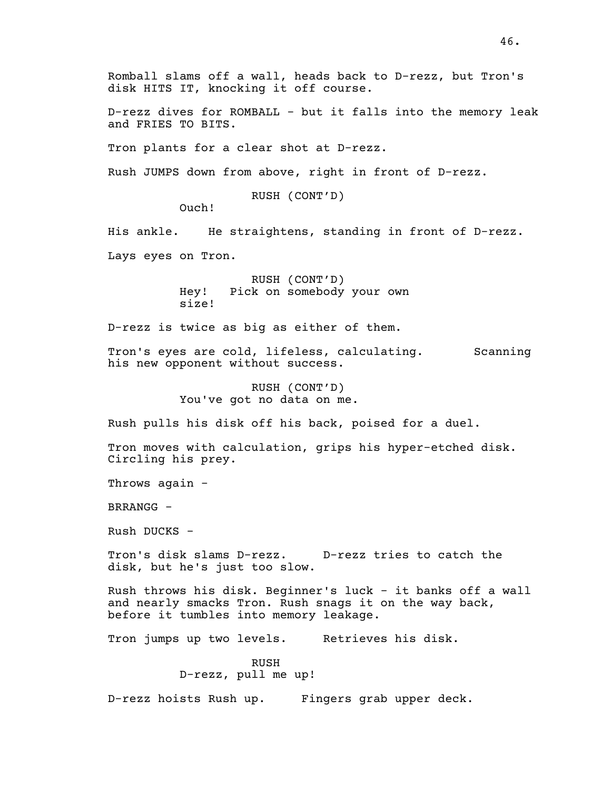Romball slams off a wall, heads back to D-rezz, but Tron's disk HITS IT, knocking it off course.

D-rezz dives for ROMBALL - but it falls into the memory leak and FRIES TO BITS.

Tron plants for a clear shot at D-rezz.

Rush JUMPS down from above, right in front of D-rezz.

RUSH (CONT'D)

Ouch!

His ankle. He straightens, standing in front of D-rezz.

Lays eyes on Tron.

RUSH (CONT'D) Hey! Pick on somebody your own size!

D-rezz is twice as big as either of them.

Tron's eyes are cold, lifeless, calculating. Scanning his new opponent without success.

> RUSH (CONT'D) You've got no data on me.

Rush pulls his disk off his back, poised for a duel.

Tron moves with calculation, grips his hyper-etched disk. Circling his prey.

Throws again -

BRRANGG -

Rush DUCKS -

Tron's disk slams D-rezz. D-rezz tries to catch the disk, but he's just too slow.

Rush throws his disk. Beginner's luck - it banks off a wall and nearly smacks Tron. Rush snags it on the way back, before it tumbles into memory leakage.

Tron jumps up two levels. Retrieves his disk.

RUSH D-rezz, pull me up!

D-rezz hoists Rush up. Fingers grab upper deck.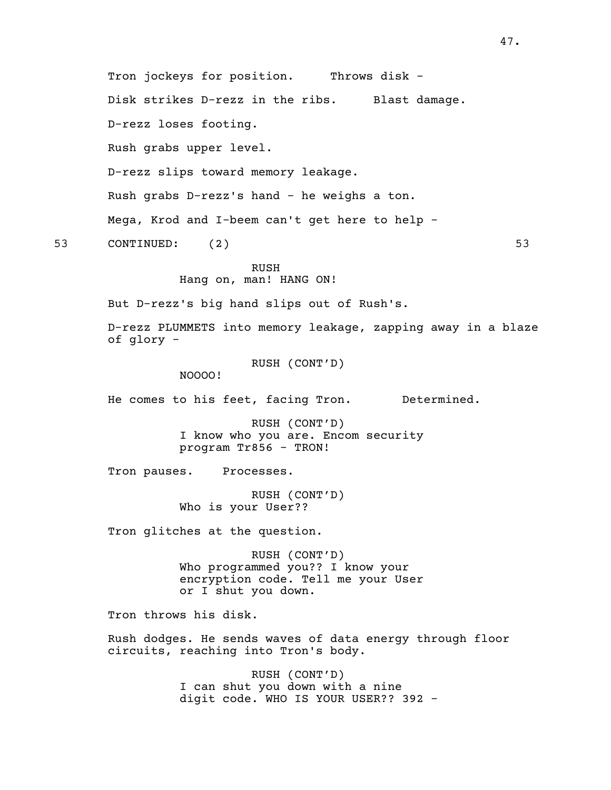Tron jockeys for position. Throws disk -Disk strikes D-rezz in the ribs. Blast damage. D-rezz loses footing. Rush grabs upper level. D-rezz slips toward memory leakage. Rush grabs D-rezz's hand - he weighs a ton. Mega, Krod and I-beem can't get here to help - 53 CONTINUED: (2) 53 RUSH Hang on, man! HANG ON! But D-rezz's big hand slips out of Rush's. D-rezz PLUMMETS into memory leakage, zapping away in a blaze of glory - RUSH (CONT'D) NOOOO! He comes to his feet, facing Tron. Determined. RUSH (CONT'D) I know who you are. Encom security program Tr856 - TRON! Tron pauses. Processes. RUSH (CONT'D) Who is your User?? Tron glitches at the question. RUSH (CONT'D) Who programmed you?? I know your encryption code. Tell me your User or I shut you down. Tron throws his disk. Rush dodges. He sends waves of data energy through floor circuits, reaching into Tron's body. RUSH (CONT'D) I can shut you down with a nine digit code. WHO IS YOUR USER?? 392 -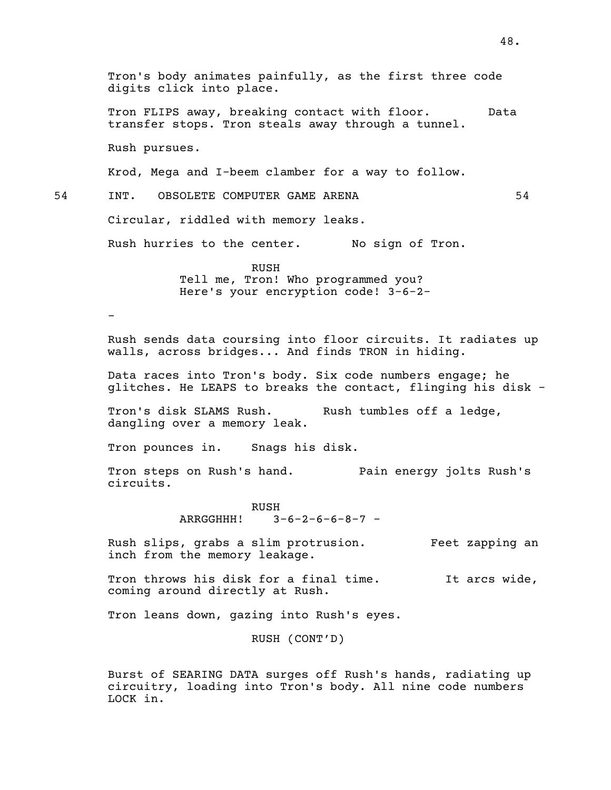Tron's body animates painfully, as the first three code digits click into place. Tron FLIPS away, breaking contact with floor. Data transfer stops. Tron steals away through a tunnel. Rush pursues. Krod, Mega and I-beem clamber for a way to follow. 54 INT. OBSOLETE COMPUTER GAME ARENA 54 Circular, riddled with memory leaks. Rush hurries to the center. No sign of Tron. RUSH Tell me, Tron! Who programmed you? Here's your encryption code! 3-6-2- - Rush sends data coursing into floor circuits. It radiates up walls, across bridges... And finds TRON in hiding. Data races into Tron's body. Six code numbers engage; he glitches. He LEAPS to breaks the contact, flinging his disk - Tron's disk SLAMS Rush. Rush tumbles off a ledge, dangling over a memory leak. Tron pounces in. Snags his disk. Tron steps on Rush's hand. Pain energy jolts Rush's circuits. RUSH ARRGGHHH! 3-6-2-6-6-8-7 - Rush slips, grabs a slim protrusion. Feet zapping an inch from the memory leakage. Tron throws his disk for a final time. It arcs wide, coming around directly at Rush. Tron leans down, gazing into Rush's eyes. RUSH (CONT'D) Burst of SEARING DATA surges off Rush's hands, radiating up circuitry, loading into Tron's body. All nine code numbers LOCK in.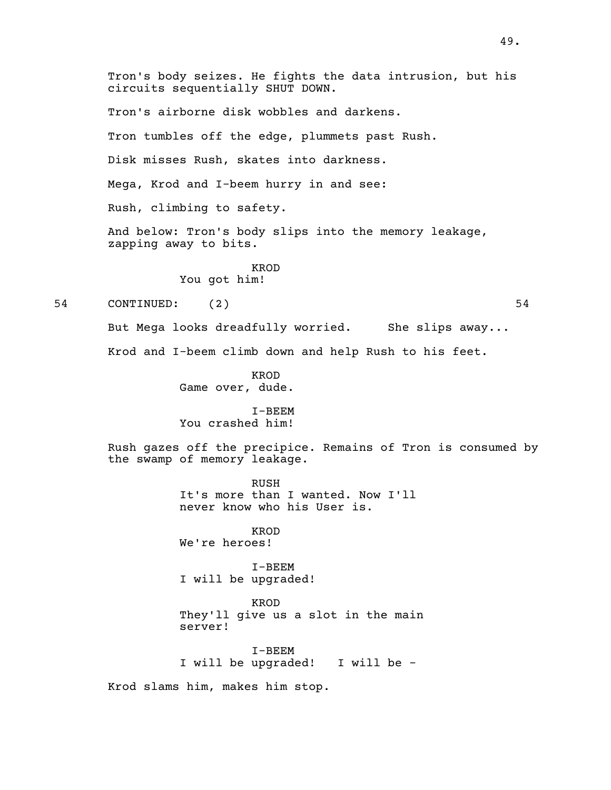Tron's body seizes. He fights the data intrusion, but his circuits sequentially SHUT DOWN. Tron's airborne disk wobbles and darkens. Tron tumbles off the edge, plummets past Rush. Disk misses Rush, skates into darkness. Mega, Krod and I-beem hurry in and see: Rush, climbing to safety. And below: Tron's body slips into the memory leakage, zapping away to bits. KROD You got him! 54 CONTINUED: (2) 54 But Mega looks dreadfully worried. She slips away... Krod and I-beem climb down and help Rush to his feet. KROD Game over, dude. I-BEEM You crashed him! Rush gazes off the precipice. Remains of Tron is consumed by the swamp of memory leakage. RUSH It's more than I wanted. Now I'll never know who his User is. KROD We're heroes! I-BEEM I will be upgraded! KROD They'll give us a slot in the main server! I-BEEM I will be upgraded! I will be - Krod slams him, makes him stop.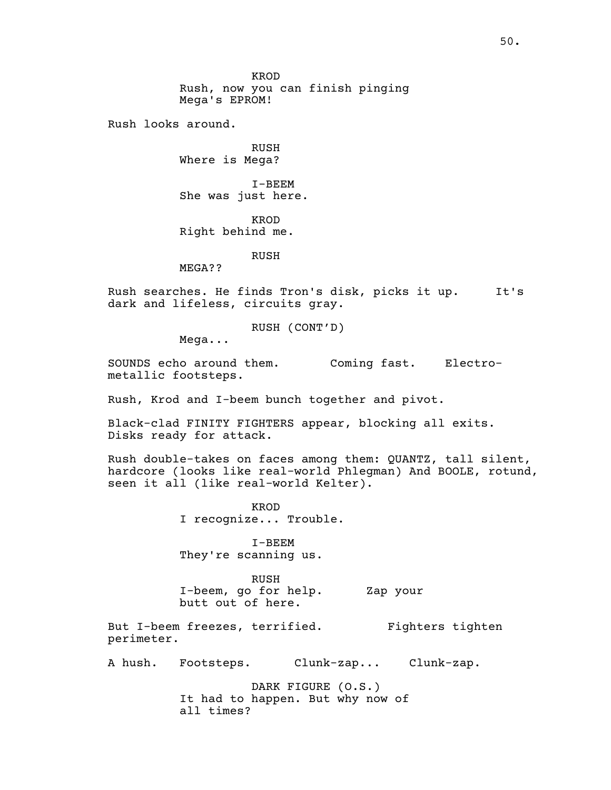KROD Rush, now you can finish pinging Mega's EPROM!

Rush looks around.

RUSH Where is Mega?

I-BEEM She was just here.

KROD Right behind me.

RUSH

MEGA??

Rush searches. He finds Tron's disk, picks it up. It's dark and lifeless, circuits gray.

RUSH (CONT'D)

Mega...

SOUNDS echo around them. Coming fast. Electro-<br>metallic footsteps.

Rush, Krod and I-beem bunch together and pivot.

Black-clad FINITY FIGHTERS appear, blocking all exits. Disks ready for attack.

Rush double-takes on faces among them: QUANTZ, tall silent, hardcore (looks like real-world Phlegman) And BOOLE, rotund, seen it all (like real-world Kelter).

> KROD I recognize... Trouble.

I-BEEM They're scanning us.

RUSH I-beem, go for help. Zap your butt out of here.

But I-beem freezes, terrified. Fighters tighten perimeter.

A hush. Footsteps. Clunk-zap... Clunk-zap.

DARK FIGURE (O.S.) It had to happen. But why now of all times?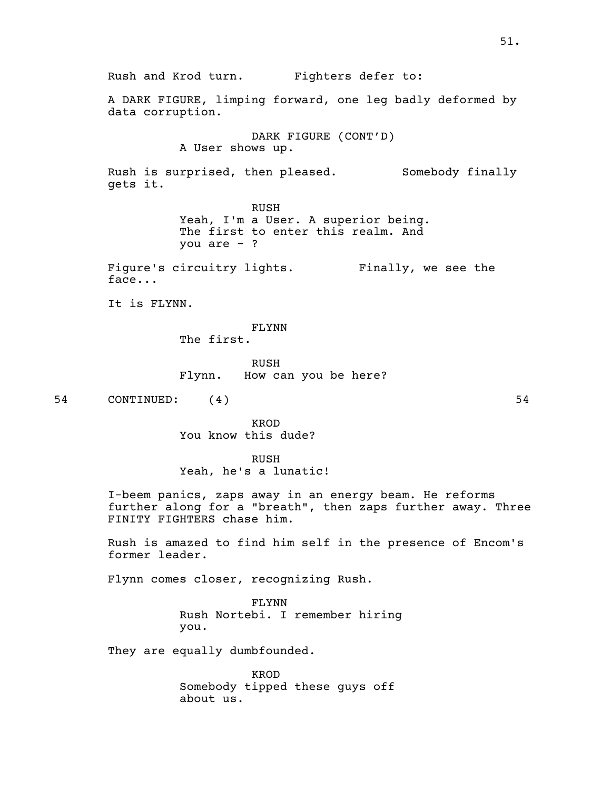Rush and Krod turn. Fighters defer to: A DARK FIGURE, limping forward, one leg badly deformed by data corruption. DARK FIGURE (CONT'D) A User shows up. Rush is surprised, then pleased. Somebody finally gets it. RUSH<br>Yeah, I'm a User. A superior being. The first to enter this realm. And you are - ? Figure's circuitry lights. Finally, we see the face... It is FLYNN. FLYNN The first. RUSH Flynn. How can you be here? 54 CONTINUED: (4) 54 KROD You know this dude? RUSH Yeah, he's a lunatic! I-beem panics, zaps away in an energy beam. He reforms further along for a "breath", then zaps further away. Three FINITY FIGHTERS chase him. Rush is amazed to find him self in the presence of Encom's former leader. Flynn comes closer, recognizing Rush. FLYNN Rush Nortebi. I remember hiring you. They are equally dumbfounded.

> KROD Somebody tipped these guys off about us.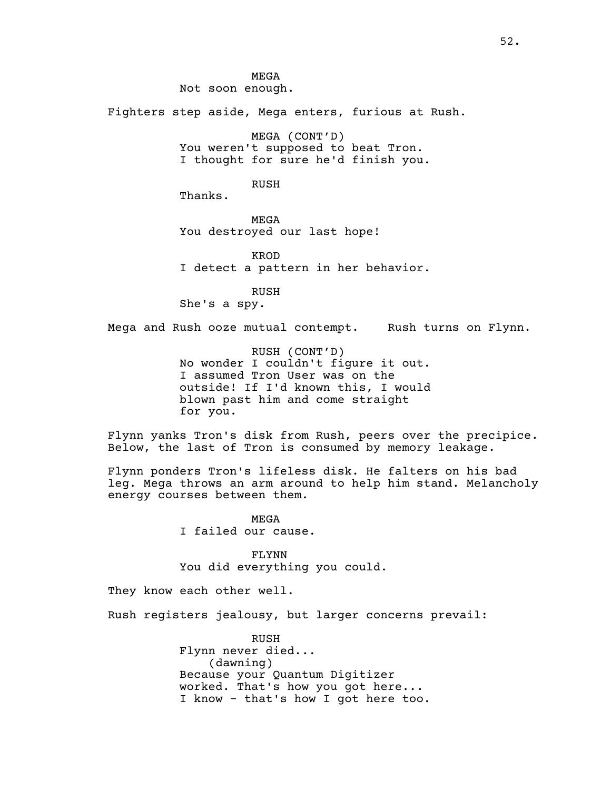MEGA Not soon enough. Fighters step aside, Mega enters, furious at Rush. MEGA (CONT'D)<br>You weren't supposed to beat Tron. I thought for sure he'd finish you. RUSH Thanks. MEGA You destroyed our last hope! KROD I detect a pattern in her behavior. RUSH She's a spy. Mega and Rush ooze mutual contempt. Rush turns on Flynn. RUSH (CONT'D) No wonder <sup>I</sup> couldn't figure it out. <sup>I</sup> assumed Tron User was on the outside! If I'd known this, I would blown past him and come straight for you. Flynn yanks Tron's disk from Rush, peers over the precipice. Below, the last of Tron is consumed by memory leakage. Flynn ponders Tron's lifeless disk. He falters on his bad leg. Mega throws an arm around to help him stand. Melancholy energy courses between them. MEGA I failed our cause. FLYNN You did everything you could. They know each other well. Rush registers jealousy, but larger concerns prevail: RUSH

Flynn never died... (dawning) Because your Quantum Digitizer<br>worked. That's how you got here... I know - that's how I got here too.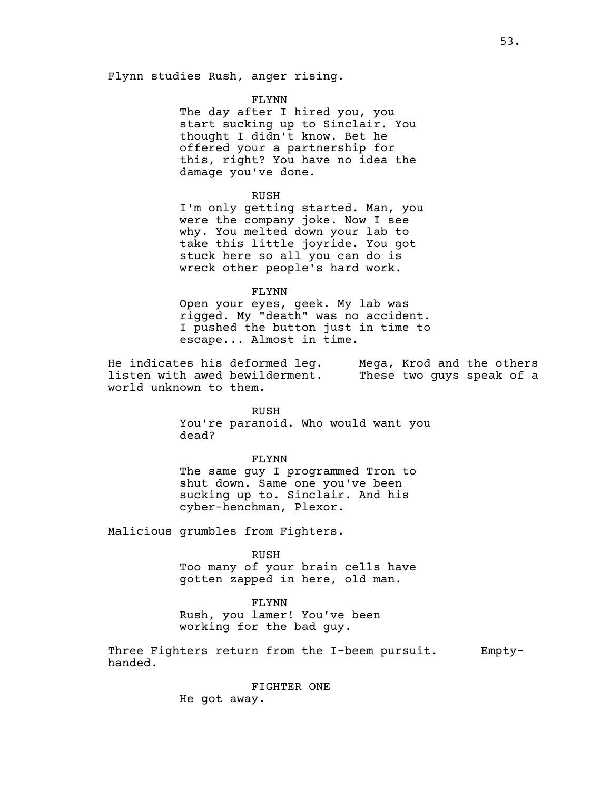Flynn studies Rush, anger rising.

#### FLYNN

The day after I hired you, you start sucking up to Sinclair. You thought I didn't know. Bet he offered your a partnership for this, right? You have no idea the damage you've done.

#### RUSH

I'm only getting started. Man, you were the company joke. Now I see why. You melted down your lab to take this little joyride. You got stuck here so all you can do is wreck other people's hard work.

#### FLYNN

Open your eyes, geek. My lab was rigged. My "death" was no accident. <sup>I</sup> pushed the button just in time to escape... Almost in time.

He indicates his deformed leg. Mega, Krod and the others listen with awed bewilderment. These two guys speak of a world unknown to them.

#### RUSH

You're paranoid. Who would want you dead?

#### FLYNN

The same guy I programmed Tron to shut down. Same one you've been sucking up to. Sinclair. And his cyber-henchman, Plexor.

Malicious grumbles from Fighters.

RUSH Too many of your brain cells have

gotten zapped in here, old man.

# FLYNN

Rush, you lamer! You've been working for the bad guy.

Three Fighters return from the I-beem pursuit. Empty-<br>handed.

FIGHTER ONE

He got away.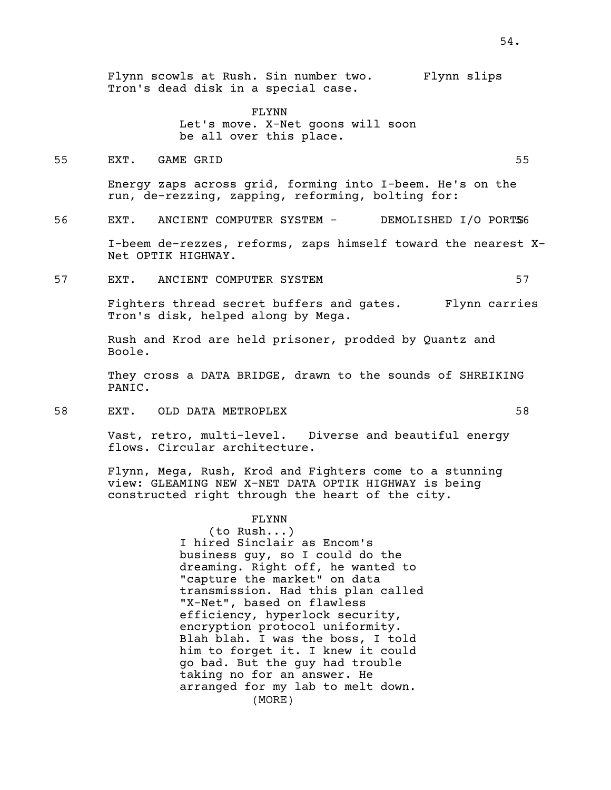Flynn scowls at Rush. Sin number two. Flynn slips Tron's dead disk in a special case.

> FLYNN Let's move. X-Net goons will soon be all over this place.

55 EXT. GAME GRID 55

Energy zaps across grid, forming into I-beem. He's on the run, de-rezzing, zapping, reforming, bolting for:

56 EXT. ANCIENT COMPUTER SYSTEM - DEMOLISHED I/O PORTS6

I-beem de-rezzes, reforms, zaps himself toward the nearest X- Net OPTIK HIGHWAY.

57 EXT. ANCIENT COMPUTER SYSTEM 57

Fighters thread secret buffers and gates. Flynn carries Tron's disk, helped along by Mega.

Rush and Krod are held prisoner, prodded by Quantz and Boole.

They cross a DATA BRIDGE, drawn to the sounds of SHREIKING PANIC.

58 EXT. OLD DATA METROPLEX 58

Vast, retro, multi-level. Diverse and beautiful energy flows. Circular architecture.

Flynn, Mega, Rush, Krod and Fighters come to a stunning view: GLEAMING NEW X-NET DATA OPTIK HIGHWAY is being constructed right through the heart of the city.

FLYNN

(to Rush...) I hired Sinclair as Encom's business guy, so I could do the dreaming. Right off, he wanted to "capture the market" on data transmission. Had this plan called "X-Net", based on flawless<br>efficiency, hyperlock security, encryption protocol uniformity.<br>Blah blah. I was the boss, I told him to forget it. I knew it could go bad. But the guy had trouble taking no for an answer. He arranged for my lab to melt down. (MORE)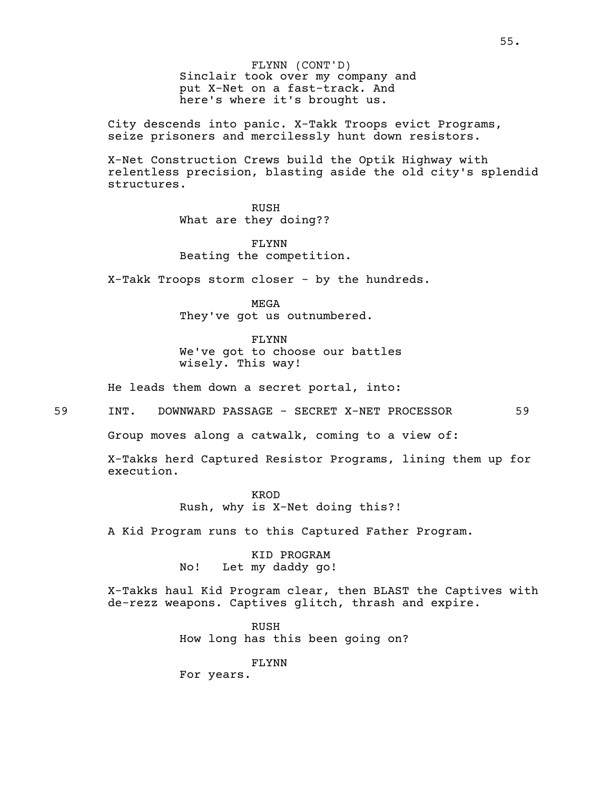Sinclair took over my company and put X-Net on a fast-track. And here's where it's brought us. FLYNN (CONT'D)

City descends into panic. X-Takk Troops evict Programs, seize prisoners and mercilessly hunt down resistors.

X-Net Construction Crews build the Optik Highway with relentless precision, blasting aside the old city's splendid structures.

> RUSH What are they doing??

FLYNN Beating the competition.

X-Takk Troops storm closer - by the hundreds.

MEGA They've got us outnumbered.

FLYNN We've got to choose our battles wisely. This way!

He leads them down a secret portal, into:

59 INT. DOWNWARD PASSAGE - SECRET X-NET PROCESSOR 59

Group moves along a catwalk, coming to a view of:

X-Takks herd Captured Resistor Programs, lining them up for execution.

> KROD Rush, why is X-Net doing this?!

A Kid Program runs to this Captured Father Program.

KID PROGRAM No! Let my daddy go!

X-Takks haul Kid Program clear, then BLAST the Captives with de-rezz weapons. Captives glitch, thrash and expire.

> RUSH How long has this been going on?

> > FLYNN

For years.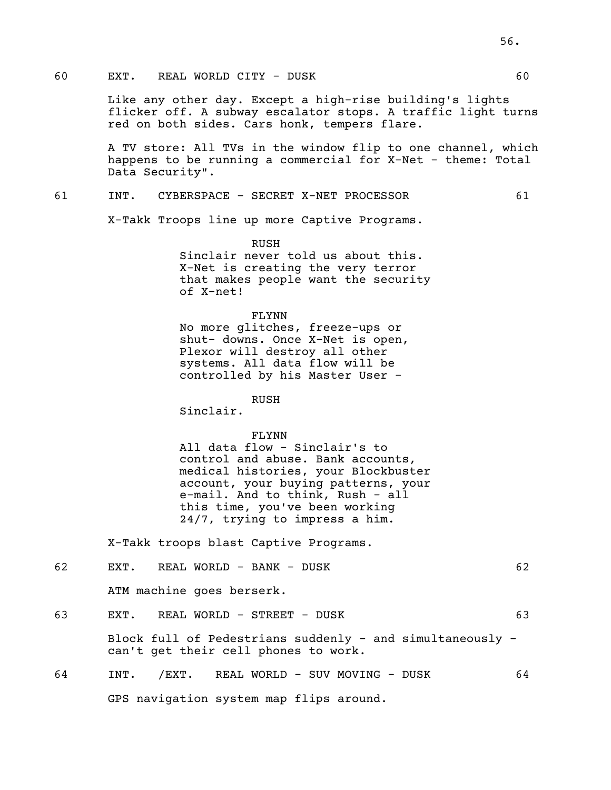## 60 EXT. REAL WORLD CITY - DUSK 60

Like any other day. Except a high-rise building's lights flicker off. A subway escalator stops. A traffic light turns red on both sides. Cars honk, tempers flare.

A TV store: All TVs in the window flip to one channel, which happens to be running a commercial for X-Net - theme: Total Data Security".

### 61 INT. CYBERSPACE - SECRET X-NET PROCESSOR 61

X-Takk Troops line up more Captive Programs.

RUSH<br>Sinclair never told us about this. X-Net is creating the very terror that makes people want the security of X-net!

#### FLYNN

No more glitches, freeze-ups or<br>shut- downs. Once X-Net is open, Plexor will destroy all other systems. All data flow will be controlled by his Master User -

RUSH

Sinclair.

### FLYNN

All data flow - Sinclair's to control and abuse. Bank accounts, medical histories, your Blockbuster account, your buying patterns, your e-mail. And to think, Rush - all this time, you've been working 24/7, trying to impress a him.

X-Takk troops blast Captive Programs.

| 62 | REAL WORLD - BANK - DUSK<br>EXT.                                                                  | 62 |
|----|---------------------------------------------------------------------------------------------------|----|
|    | ATM machine goes berserk.                                                                         |    |
| 63 | REAL WORLD - STREET - DUSK<br>EXT.                                                                | 63 |
|    | Block full of Pedestrians suddenly - and simultaneously -<br>can't get their cell phones to work. |    |
| 64 | /EXT. REAL WORLD - SUV MOVING - DUSK<br>INT.                                                      | 64 |
|    | GPS navigation system map flips around.                                                           |    |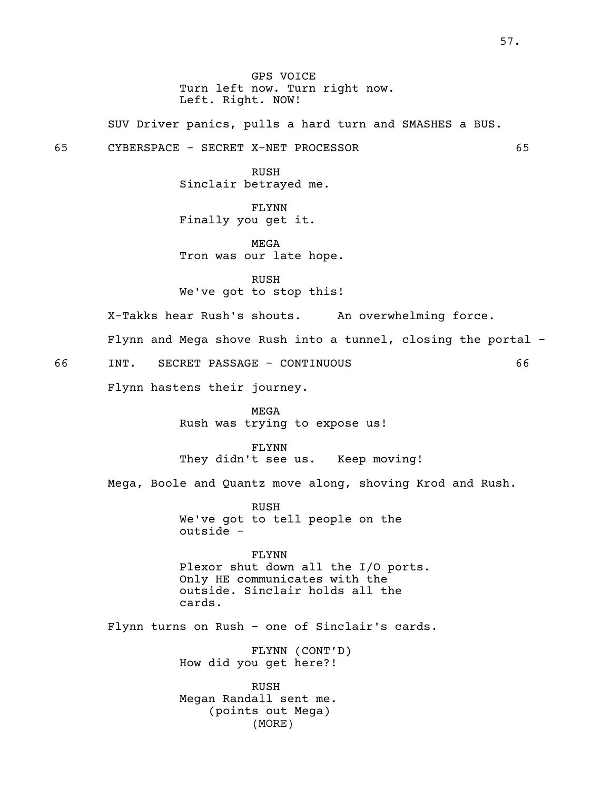GPS VOICE Turn left now. Turn right now. Left. Right. NOW!

SUV Driver panics, pulls a hard turn and SMASHES a BUS.

65 CYBERSPACE - SECRET X-NET PROCESSOR 65

RUSH Sinclair betrayed me.

FLYNN Finally you get it.

MEGA Tron was our late hope.

RUSH We've got to stop this!

X-Takks hear Rush's shouts. An overwhelming force.

Flynn and Mega shove Rush into a tunnel, closing the portal -

66 INT. SECRET PASSAGE - CONTINUOUS 66

Flynn hastens their journey.

MEGA Rush was trying to expose us!

FLYNN They didn't see us. Keep moving!

Mega, Boole and Quantz move along, shoving Krod and Rush.

RUSH We've got to tell people on the outside -

FLYNN Plexor shut down all the I/O ports. Only HE communicates with the outside. Sinclair holds all the cards.

Flynn turns on Rush - one of Sinclair's cards.

FLYNN (CONT'D) How did you get here?!

RUSH Megan Randall sent me. (points out Mega) (MORE)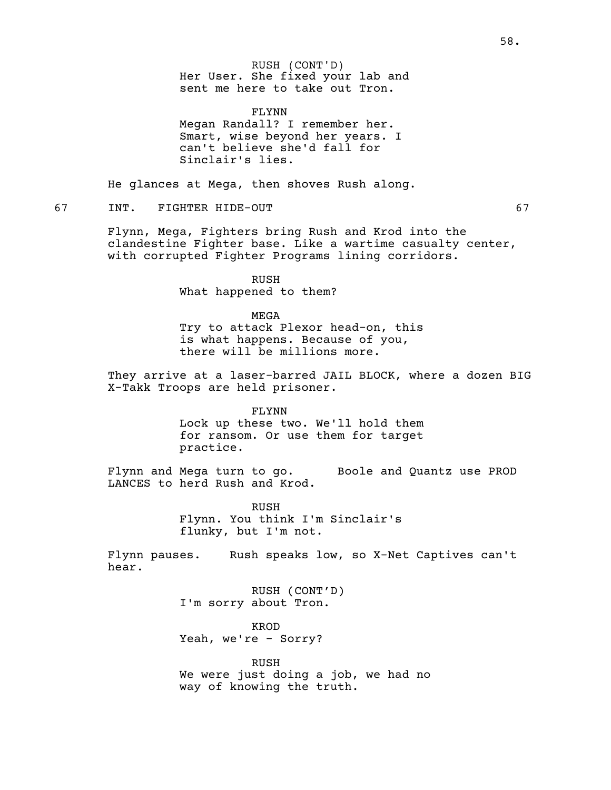Her User. She fixed your lab and sent me here to take out Tron. RUSH (CONT'D)

FLYNN<br>Megan Randall? I remember her. Smart, wise beyond her years. I can't believe she'd fall for Sinclair's lies.

He glances at Mega, then shoves Rush along.

67 INT. FIGHTER HIDE-OUT 67

Flynn, Mega, Fighters bring Rush and Krod into the clandestine Fighter base. Like <sup>a</sup> wartime casualty center, with corrupted Fighter Programs lining corridors.

> RUSH What happened to them?

MEGA Try to attack Plexor head-on, this is what happens. Because of you, there will be millions more.

They arrive at a laser-barred JAIL BLOCK, where a dozen BIG X-Takk Troops are held prisoner.

> FLYNN Lock up these two. We'll hold them for ransom. Or use them for target practice.

Flynn and Mega turn to go. Boole and Quantz use PROD LANCES to herd Rush and Krod.

> RUSH Flynn. You think I'm Sinclair's flunky, but I'm not.

Flynn pauses. Rush speaks low, so X-Net Captives can't hear.

> RUSH (CONT'D) I'm sorry about Tron.

KROD Yeah, we're - Sorry?

RUSH We were just doing a job, we had no way of knowing the truth.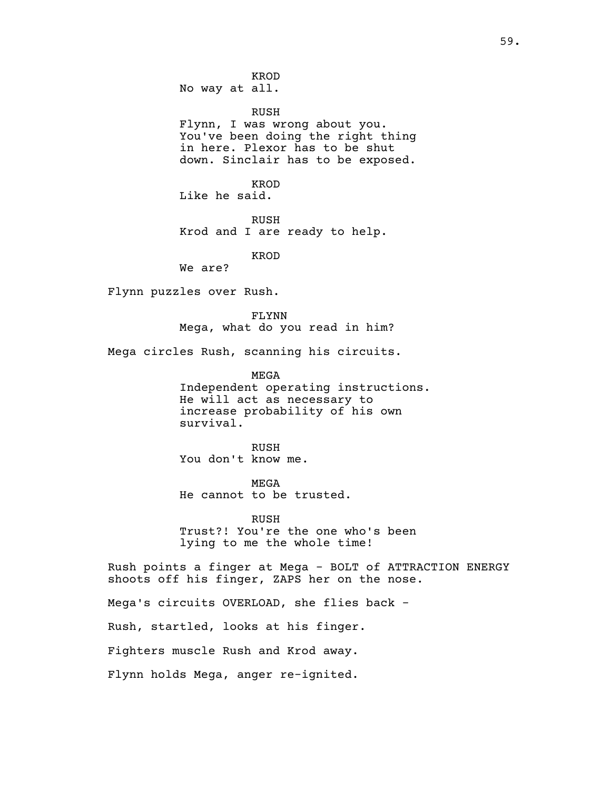KROD No way at all.

RUSH<br>Flynn, I was wrong about you. You've been doing the right thing in here. Plexor has to be shut down. Sinclair has to be exposed.

KROD Like he said.

RUSH Krod and I are ready to help.

KROD

We are?

Flynn puzzles over Rush.

FLYNN Mega, what do you read in him?

Mega circles Rush, scanning his circuits.

MEGA Independent operating instructions. He will act as necessary to increase probability of his own survival.

RUSH You don't know me.

MEGA He cannot to be trusted.

RUSH Trust?! You're the one who's been lying to me the whole time!

Rush points a finger at Mega - BOLT of ATTRACTION ENERGY shoots off his finger, ZAPS her on the nose.

Mega's circuits OVERLOAD, she flies back -

Rush, startled, looks at his finger.

Fighters muscle Rush and Krod away.

Flynn holds Mega, anger re-ignited.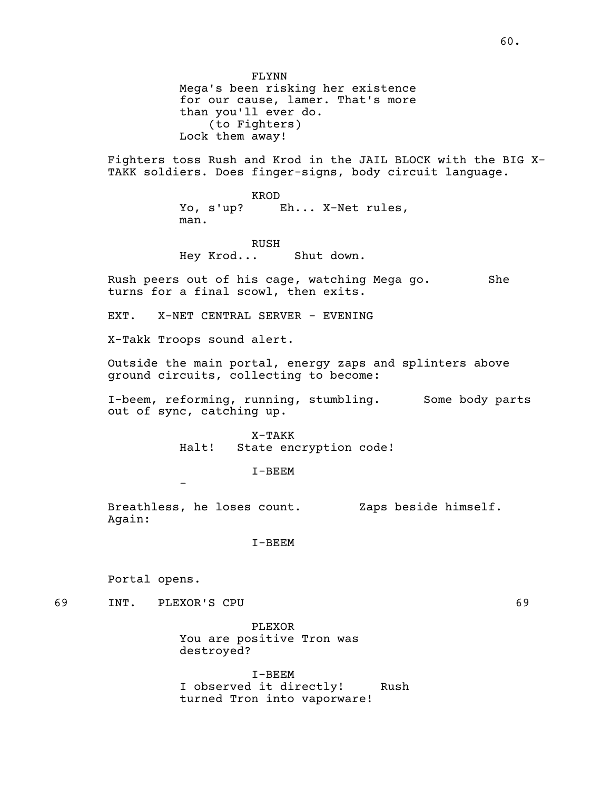FLYNN Mega's been risking her existence for our cause, lamer. That's more than you'll ever do.<br>(to Fighters) Lock them away!

Fighters toss Rush and Krod in the JAIL BLOCK with the BIG X- TAKK soldiers. Does finger-signs, body circuit language.

KROD Yo, s'up? Eh... X-Net rules, man.

RUSH Hey Krod... Shut down.

Rush peers out of his cage, watching Mega go. She turns for a final scowl, then exits.

EXT. X-NET CENTRAL SERVER - EVENING

X-Takk Troops sound alert.

-

Outside the main portal, energy zaps and splinters above ground circuits, collecting to become:

I-beem, reforming, running, stumbling. Some body parts out of sync, catching up.

> X-TAKK Halt! State encryption code!

> > I-BEEM

Breathless, he loses count. Zaps beside himself. Again:

I-BEEM

Portal opens.

69 INT. PLEXOR'S CPU 69

PLEXOR You are positive Tron was destroyed?

I-BEEM I observed it directly! Rush turned Tron into vaporware!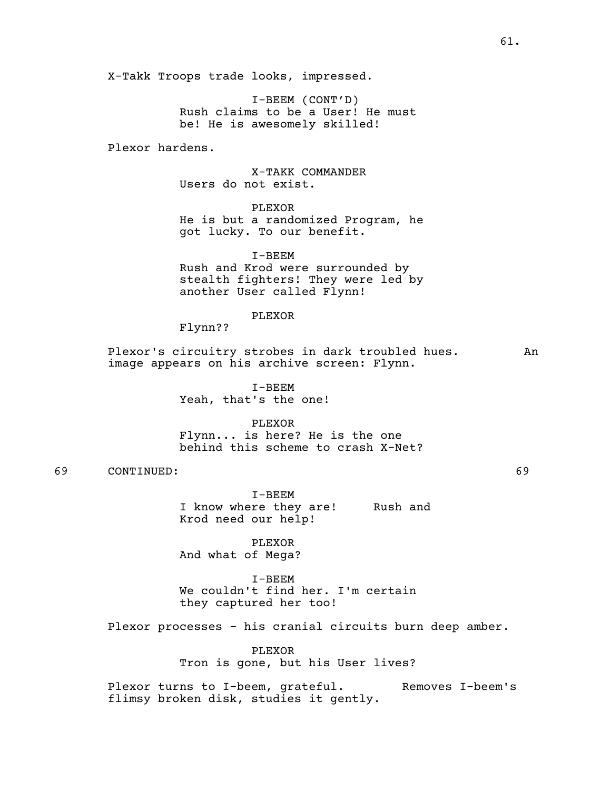X-Takk Troops trade looks, impressed.

I-BEEM (CONT'D) Rush claims to be a User! He must be! He is awesomely skilled!

Plexor hardens.

X-TAKK COMMANDER Users do not exist.

PLEXOR He is but a randomized Program, he got lucky. To our benefit.

I-BEEM Rush and Krod were surrounded by stealth fighters! They were led by another User called Flynn!

PLEXOR

Flynn??

Plexor's circuitry strobes in dark troubled hues. An image appears on his archive screen: Flynn.

> I-BEEM Yeah, that's the one!

PLEXOR Flynn... is here? He is the one behind this scheme to crash X-Net?

69 CONTINUED: 69

I-BEEM I know where they are! Rush and Krod need our help!

PLEXOR And what of Mega?

I-BEEM We couldn't find her. I'm certain they captured her too!

Plexor processes - his cranial circuits burn deep amber.

PLEXOR Tron is gone, but his User lives?

Plexor turns to I-beem, grateful. Removes I-beem's flimsy broken disk, studies it gently.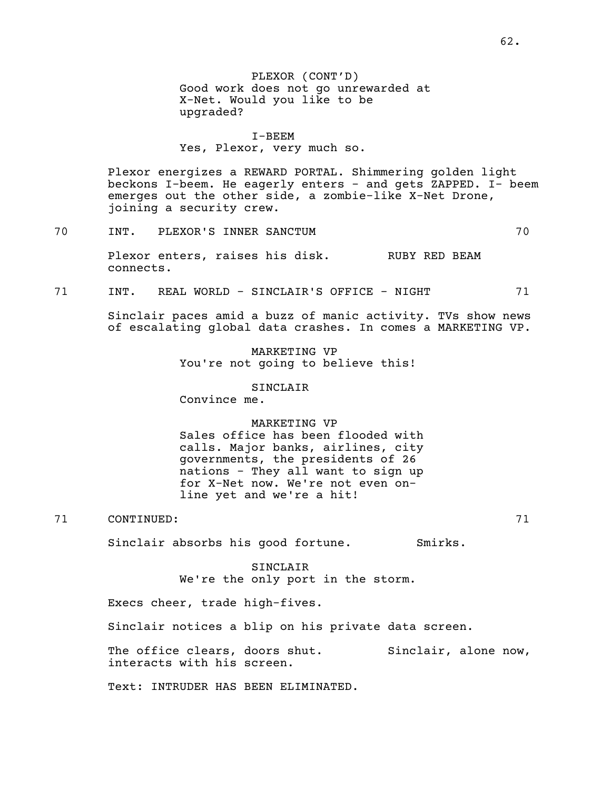PLEXOR (CONT'D) Good work does not go unrewarded at X-Net. Would you like to be upgraded?

#### I-BEEM

Yes, Plexor, very much so.

Plexor energizes a REWARD PORTAL. Shimmering golden light beckons I-beem. He eagerly enters - and gets ZAPPED. I- beem emerges out the other side, <sup>a</sup> zombie-like X-Net Drone, joining <sup>a</sup> security crew.

70 INT. PLEXOR'S INNER SANCTUM 70

Plexor enters, raises his disk. RUBY RED BEAM connects.

71 INT. REAL WORLD - SINCLAIR'S OFFICE - NIGHT 71

Sinclair paces amid a buzz of manic activity. TVs show news of escalating global data crashes. In comes a MARKETING VP.

> MARKETING VP You're not going to believe this!

> > SINCLAIR

Convince me.

#### MARKETING VP

Sales office has been flooded with calls. Major banks, airlines, city governments, the presidents of 26 nations - They all want to sign up for X-Net now. We're not even online yet and we're a hit!

71 CONTINUED: 71

Sinclair absorbs his good fortune. Smirks.

SINCLAIR We're the only port in the storm.

Execs cheer, trade high-fives.

Sinclair notices a blip on his private data screen.

The office clears, doors shut. Sinclair, alone now, interacts with his screen.

Text: INTRUDER HAS BEEN ELIMINATED.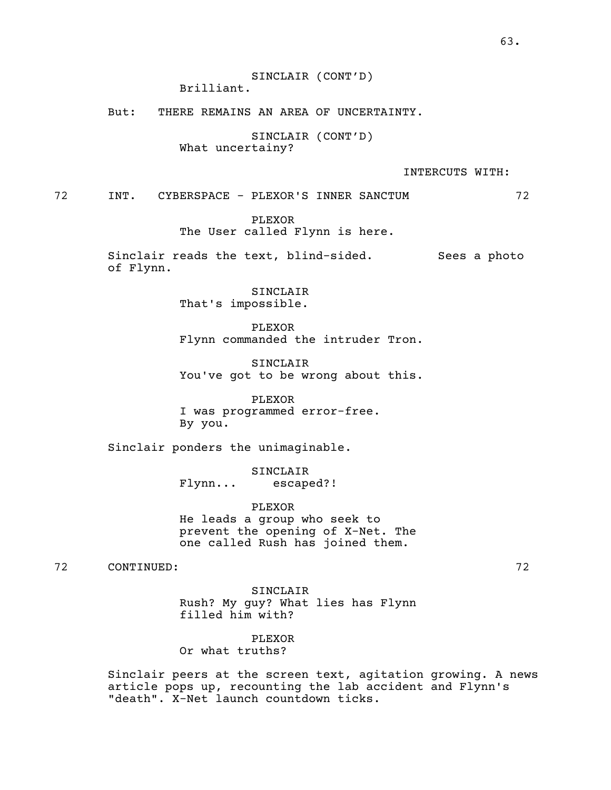SINCLAIR (CONT'D) Brilliant.

But: THERE REMAINS AN AREA OF UNCERTAINTY.

SINCLAIR (CONT'D) What uncertainy?

INTERCUTS WITH:

72 INT. CYBERSPACE - PLEXOR'S INNER SANCTUM 72

PLEXOR The User called Flynn is here.

Sinclair reads the text, blind-sided. Sees a photo of Flynn.

> SINCLAIR That's impossible.

PLEXOR Flynn commanded the intruder Tron.

SINCLAIR You've got to be wrong about this.

PLEXOR I was programmed error-free. By you.

Sinclair ponders the unimaginable.

SINCLAIR Flynn... escaped?!

PLEXOR He leads a group who seek to prevent the opening of X-Net. The one called Rush has joined them.

72 CONTINUED: 72

SINCLAIR Rush? My guy? What lies has Flynn filled him with?

PLEXOR Or what truths?

Sinclair peers at the screen text, agitation growing. A news article pops up, recounting the lab accident and Flynn's "death". X-Net launch countdown ticks.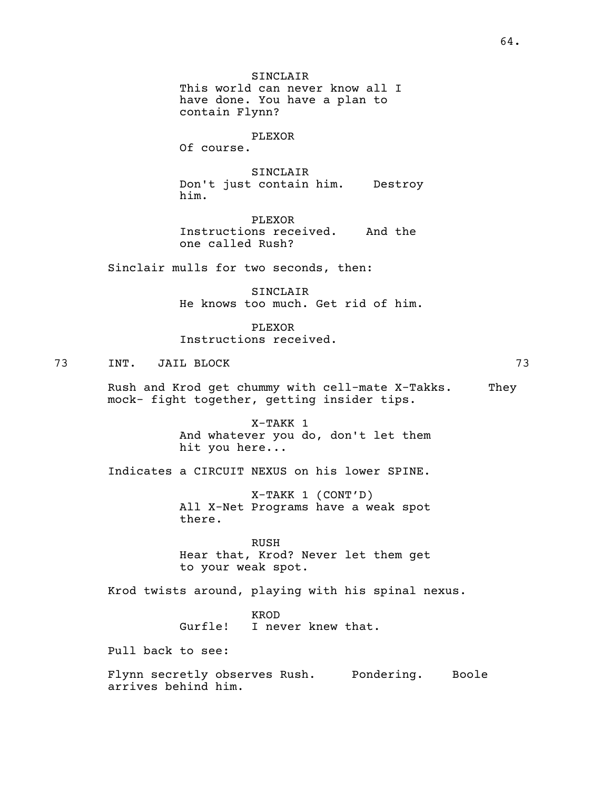SINCLAIR This world can never know all I have done. You have a plan to contain Flynn? PLEXOR Of course. SINCLAIR Don't just contain him. Destroy him. PLEXOR Instructions received. And the one called Rush? Sinclair mulls for two seconds, then: SINCLAIR He knows too much. Get rid of him. PLEXOR Instructions received. 73 INT. JAIL BLOCK 73 Rush and Krod get chummy with cell-mate X-Takks. They mock- fight together, getting insider tips. X-TAKK 1 And whatever you do, don't let them hit you here... Indicates a CIRCUIT NEXUS on his lower SPINE. X-TAKK 1 (CONT'D) All X-Net Programs have a weak spot there. RUSH Hear that, Krod? Never let them get to your weak spot. Krod twists around, playing with his spinal nexus. KROD Gurfle! I never knew that. Pull back to see: Flynn secretly observes Rush. Pondering. Boole arrives behind him.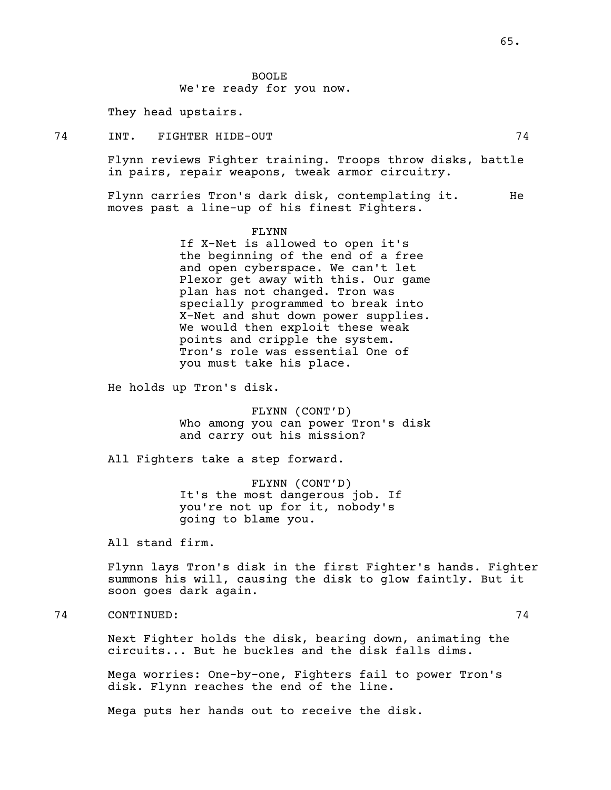BOOLE We're ready for you now.

They head upstairs.

74 INT. FIGHTER HIDE-OUT 74

Flynn reviews Fighter training. Troops throw disks, battle in pairs, repair weapons, tweak armor circuitry.

Flynn carries Tron's dark disk, contemplating it. He moves past a line-up of his finest Fighters.

FLYNN

If X-Net is allowed to open it's the beginning of the end of a free and open cyberspace. We can't let Plexor get away with this. Our game plan has not changed. Tron was specially programmed to break into X-Net and shut down power supplies.<br>We would then exploit these weak<br>points and cripple the system. Tron's role was essential One of you must take his place.

He holds up Tron's disk.

FLYNN (CONT'D) Who among you can power Tron's disk and carry out his mission?

All Fighters take a step forward.

FLYNN (CONT'D) It's the most dangerous job. If you're not up for it, nobody's going to blame you.

All stand firm.

Flynn lays Tron's disk in the first Fighter's hands. Fighter summons his will, causing the disk to glow faintly. But it soon goes dark again.

74 CONTINUED: 74

Next Fighter holds the disk, bearing down, animating the circuits... But he buckles and the disk falls dims.

Mega worries: One-by-one, Fighters fail to power Tron's disk. Flynn reaches the end of the line.

Mega puts her hands out to receive the disk.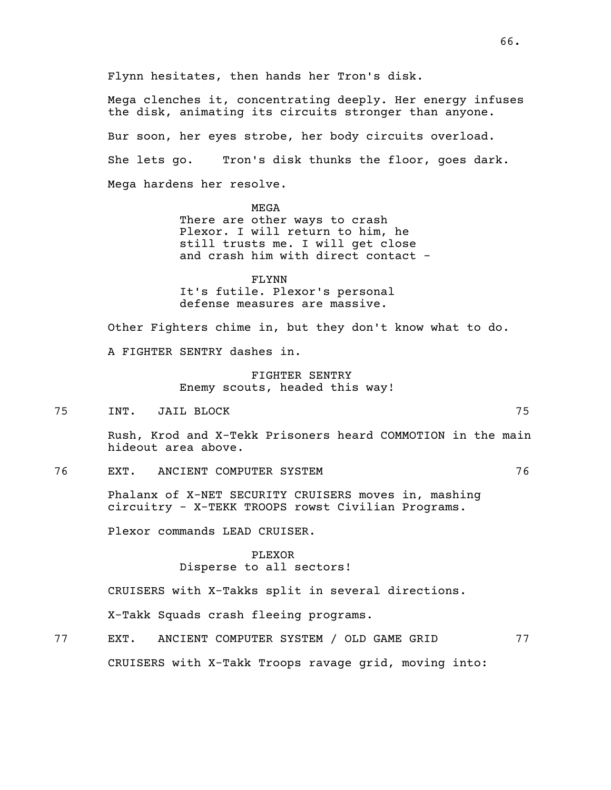Flynn hesitates, then hands her Tron's disk.

Mega clenches it, concentrating deeply. Her energy infuses the disk, animating its circuits stronger than anyone. Bur soon, her eyes strobe, her body circuits overload. She lets go. Tron's disk thunks the floor, goes dark. Mega hardens her resolve.

> MEGA There are other ways to crash Plexor. I will return to him, he still trusts me. I will get close and crash him with direct contact -

FLYNN It's futile. Plexor's personal defense measures are massive.

Other Fighters chime in, but they don't know what to do. A FIGHTER SENTRY dashes in.

> FIGHTER SENTRY Enemy scouts, headed this way!

75 INT. JAIL BLOCK 75

Rush, Krod and X-Tekk Prisoners heard COMMOTION in the main hideout area above.

76 EXT. ANCIENT COMPUTER SYSTEM 76

Phalanx of X-NET SECURITY CRUISERS moves in, mashing circuitry - X-TEKK TROOPS rowst Civilian Programs.

Plexor commands LEAD CRUISER.

PLEXOR Disperse to all sectors!

CRUISERS with X-Takks split in several directions.

X-Takk Squads crash fleeing programs.

77 EXT. ANCIENT COMPUTER SYSTEM / OLD GAME GRID 77 CRUISERS with X-Takk Troops ravage grid, moving into: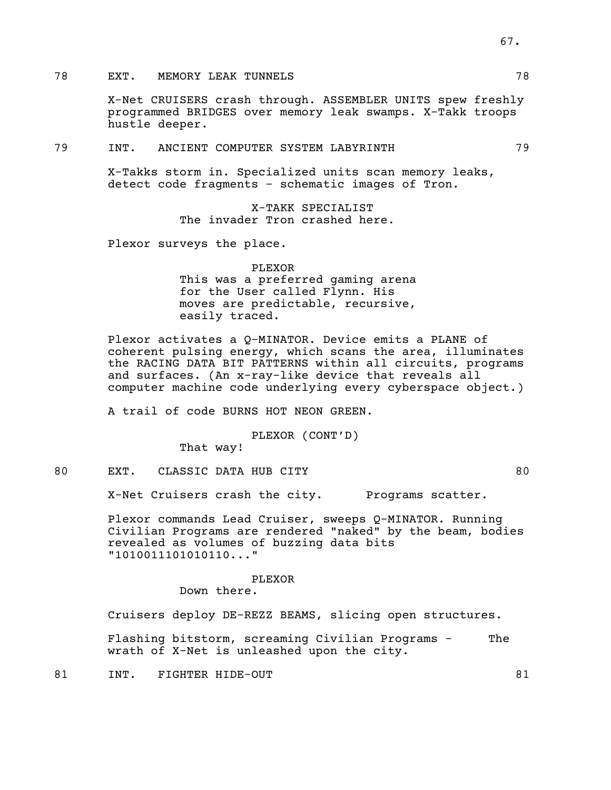# 78 EXT. MEMORY LEAK TUNNELS 78 78

X-Net CRUISERS crash through. ASSEMBLER UNITS spew freshly programmed BRIDGES over memory leak swamps. X-Takk troops hustle deeper.

### 79 INT. ANCIENT COMPUTER SYSTEM LABYRINTH 79

X-Takks storm in. Specialized units scan memory leaks, detect code fragments - schematic images of Tron.

X-TAKK SPECIALIST The invader Tron crashed here.

Plexor surveys the place.

### PLEXOR

This was a preferred gaming arena for the User called Flynn. His moves are predictable, recursive, easily traced.

Plexor activates a Q-MINATOR. Device emits a PLANE of coherent pulsing energy, which scans the area, illuminates the RACING DATA BIT PATTERNS within all circuits, programs and surfaces. (An x-ray-like device that reveals all computer machine code underlying every cyberspace object.)

A trail of code BURNS HOT NEON GREEN.

### PLEXOR (CONT'D)

That way!

80 EXT. CLASSIC DATA HUB CITY 60

X-Net Cruisers crash the city. Programs scatter.

Plexor commands Lead Cruiser, sweeps Q-MINATOR. Running Civilian Programs are rendered "naked" by the beam, bodies revealed as volumes of buzzing data bits "1010011101010110..."

#### PLEXOR

Down there.

Cruisers deploy DE-REZZ BEAMS, slicing open structures.

Flashing bitstorm, screaming Civilian Programs - The wrath of X-Net is unleashed upon the city.

81 INT. FIGHTER HIDE-OUT 81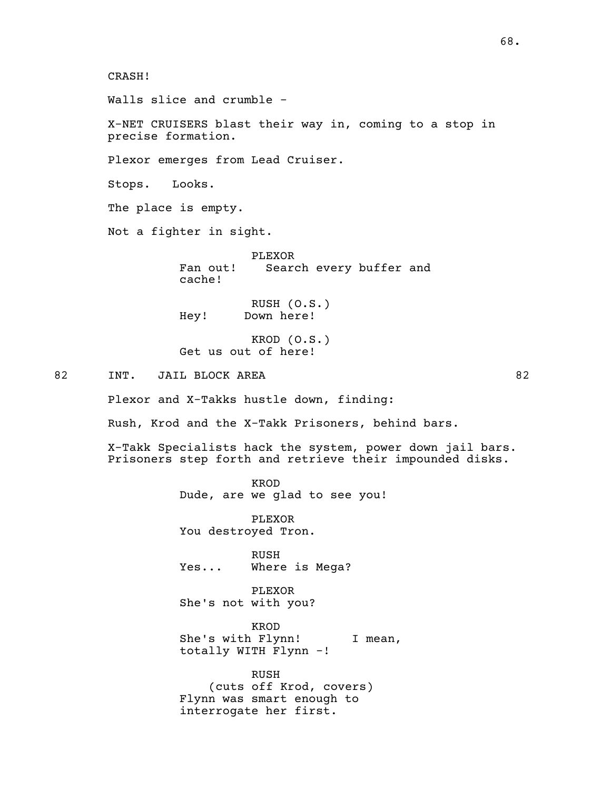CRASH!

Walls slice and crumble -

X-NET CRUISERS blast their way in, coming to a stop in precise formation.

Plexor emerges from Lead Cruiser.

Stops. Looks.

The place is empty.

Not a fighter in sight.

PLEXOR Fan out! Search every buffer and cache!

RUSH (O.S.) Hey! Down here!

KROD (O.S.) Get us out of here!

82 INT. JAIL BLOCK AREA 62

Plexor and X-Takks hustle down, finding:

Rush, Krod and the X-Takk Prisoners, behind bars.

X-Takk Specialists hack the system, power down jail bars. Prisoners step forth and retrieve their impounded disks.

> KROD Dude, are we glad to see you!

PLEXOR You destroyed Tron.

RUSH Yes... Where is Mega?

PLEXOR She's not with you?

KROD<br>She's with Flynn! She's with Flynn! I mean,<br>totally WITH Flynn -!

RUSH (cuts off Krod, covers) Flynn was smart enough to interrogate her first.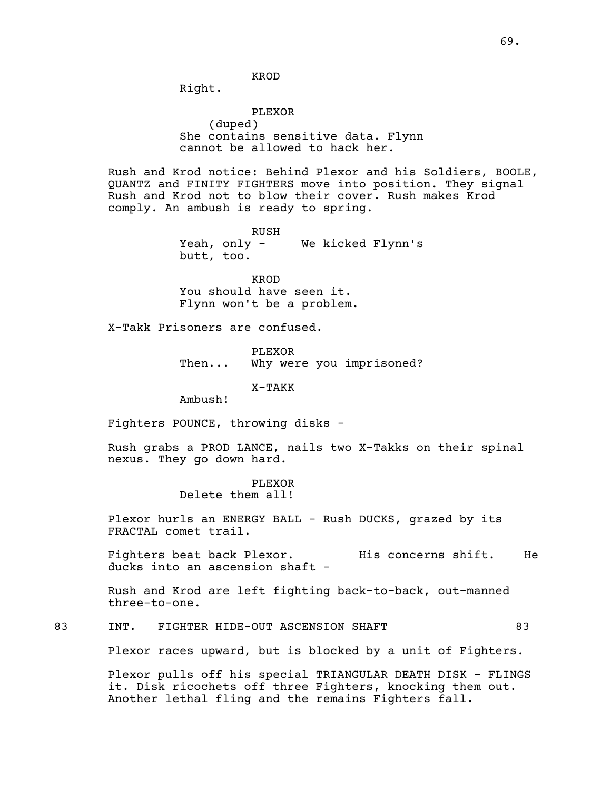KROD

Right.

PLEXOR (duped) She contains sensitive data. Flynn cannot be allowed to hack her.

Rush and Krod notice: Behind Plexor and his Soldiers, BOOLE, QUANTZ and FINITY FIGHTERS move into position. They signal Rush and Krod not to blow their cover. Rush makes Krod comply. An ambush is ready to spring.

> RUSH Yeah, only - We kicked Flynn's butt, too.

KROD<br>You should have seen it. Flynn won't be a problem.

X-Takk Prisoners are confused.

PLEXOR Then... Why were you imprisoned?

X-TAKK

Ambush!

Fighters POUNCE, throwing disks -

Rush grabs a PROD LANCE, nails two X-Takks on their spinal nexus. They go down hard.

> PLEXOR Delete them all!

Plexor hurls an ENERGY BALL - Rush DUCKS, grazed by its FRACTAL comet trail.

Fighters beat back Plexor. His concerns shift. He ducks into an ascension shaft -

Rush and Krod are left fighting back-to-back, out-manned three-to-one.

83 INT. FIGHTER HIDE-OUT ASCENSION SHAFT 83

Plexor races upward, but is blocked by a unit of Fighters.

Plexor pulls off his special TRIANGULAR DEATH DISK - FLINGS it. Disk ricochets off three Fighters, knocking them out. Another lethal fling and the remains Fighters fall.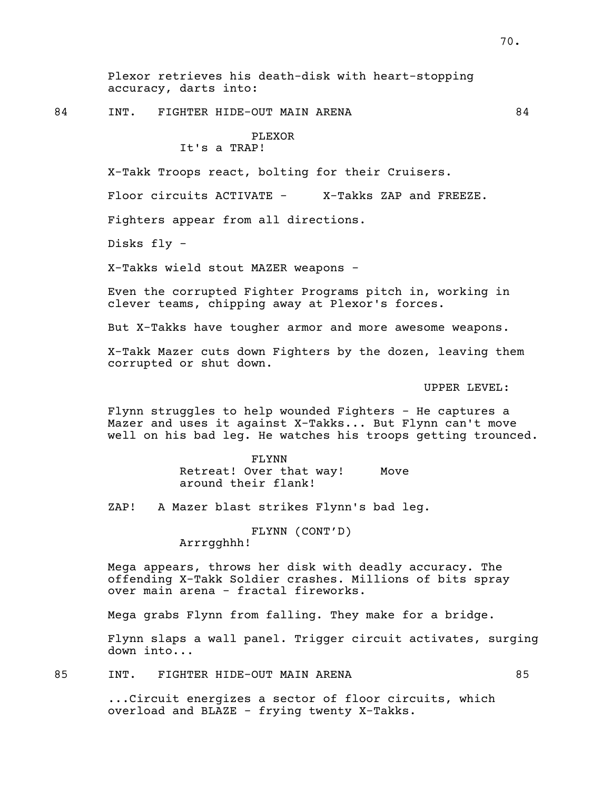Plexor retrieves his death-disk with heart-stopping accuracy, darts into:

84 INT. FIGHTER HIDE-OUT MAIN ARENA 84

### PLEXOR It's a TRAP!

X-Takk Troops react, bolting for their Cruisers.

Floor circuits ACTIVATE - X-Takks ZAP and FREEZE.

Fighters appear from all directions.

Disks fly -

X-Takks wield stout MAZER weapons -

Even the corrupted Fighter Programs pitch in, working in clever teams, chipping away at Plexor's forces.

But X-Takks have tougher armor and more awesome weapons.

X-Takk Mazer cuts down Fighters by the dozen, leaving them corrupted or shut down.

UPPER LEVEL:

Flynn struggles to help wounded Fighters - He captures a Mazer and uses it against X-Takks... But Flynn can't move well on his bad leg. He watches his troops getting trounced.

> FLYNN Retreat! Over that way! Move around their flank!

ZAP! A Mazer blast strikes Flynn's bad leg.

FLYNN (CONT'D) Arrrgghhh!

Mega appears, throws her disk with deadly accuracy. The offending X-Takk Soldier crashes. Millions of bits spray over main arena - fractal fireworks.

Mega grabs Flynn from falling. They make for a bridge.

Flynn slaps a wall panel. Trigger circuit activates, surging down into...

85 INT. FIGHTER HIDE-OUT MAIN ARENA 85

...Circuit energizes a sector of floor circuits, which overload and BLAZE - frying twenty X-Takks.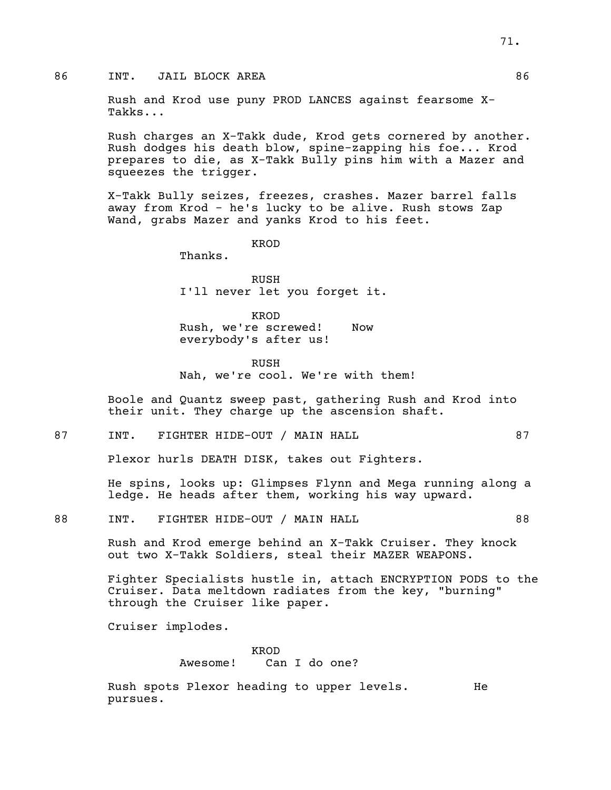### 86 INT. JAIL BLOCK AREA 86

Rush and Krod use puny PROD LANCES against fearsome X- Takks...

Rush charges an X-Takk dude, Krod gets cornered by another. Rush dodges his death blow, spine-zapping his foe... Krod prepares to die, as X-Takk Bully pins him with a Mazer and squeezes the trigger.

X-Takk Bully seizes, freezes, crashes. Mazer barrel falls away from Krod - he's lucky to be alive. Rush stows Zap Wand, grabs Mazer and yanks Krod to his feet.

KROD

Thanks.

RUSH I'll never let you forget it.

KROD Rush, we're screwed! Now everybody's after us!

RUSH Nah, we're cool. We're with them!

Boole and Quantz sweep past, gathering Rush and Krod into their unit. They charge up the ascension shaft.

87 INT. FIGHTER HIDE-OUT / MAIN HALL 87

Plexor hurls DEATH DISK, takes out Fighters.

He spins, looks up: Glimpses Flynn and Mega running along a ledge. He heads after them, working his way upward.

88 INT. FIGHTER HIDE-OUT / MAIN HALL 88

Rush and Krod emerge behind an X-Takk Cruiser. They knock out two X-Takk Soldiers, steal their MAZER WEAPONS.

Fighter Specialists hustle in, attach ENCRYPTION PODS to the Cruiser. Data meltdown radiates from the key, "burning" through the Cruiser like paper.

Cruiser implodes.

### KROD Awesome! Can I do one?

Rush spots Plexor heading to upper levels. He pursues.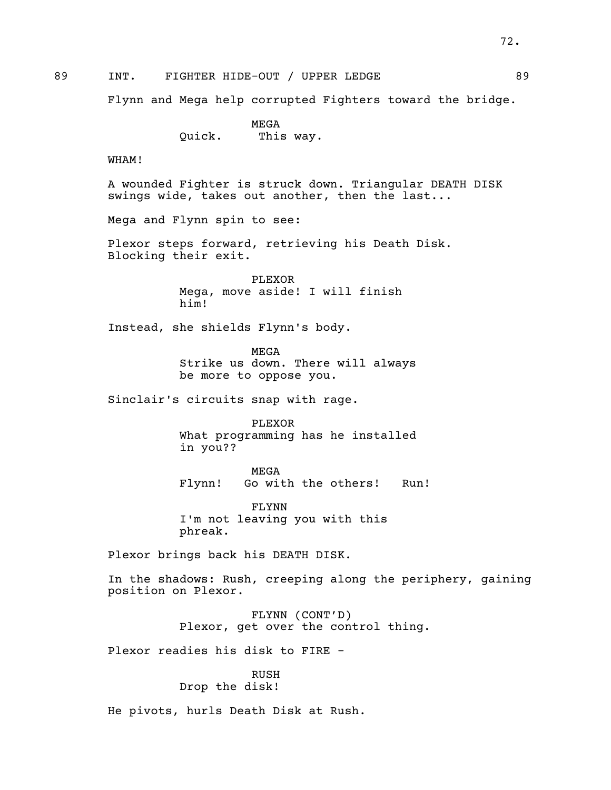72.

89 INT. FIGHTER HIDE-OUT / UPPER LEDGE 69

Flynn and Mega help corrupted Fighters toward the bridge.

MEGA Quick. This way.

WHAM!

A wounded Fighter is struck down. Triangular DEATH DISK swings wide, takes out another, then the last...

Mega and Flynn spin to see:

Plexor steps forward, retrieving his Death Disk. Blocking their exit.

PLEXOR Mega, move aside! I will finish him!

Instead, she shields Flynn's body.

MEGA Strike us down. There will always be more to oppose you.

Sinclair's circuits snap with rage.

PLEXOR What programming has he installed in you??

MEGA Flynn! Go with the others! Run!

FLYNN I'm not leaving you with this phreak.

Plexor brings back his DEATH DISK.

In the shadows: Rush, creeping along the periphery, gaining position on Plexor.

> FLYNN (CONT'D) Plexor, get over the control thing.

Plexor readies his disk to FIRE -

RUSH Drop the disk!

He pivots, hurls Death Disk at Rush.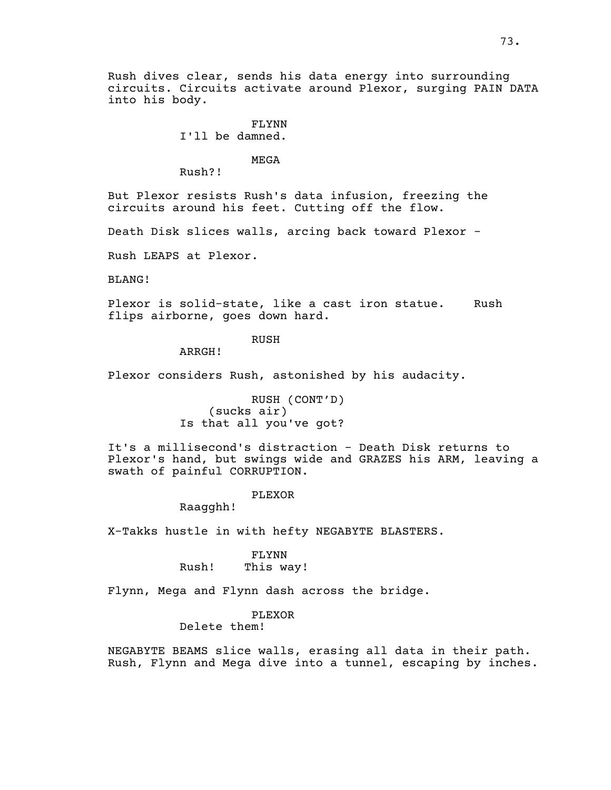Rush dives clear, sends his data energy into surrounding circuits. Circuits activate around Plexor, surging PAIN DATA into his body.

# FLYNN

## I'll be damned.

## MEGA

Rush?!

But Plexor resists Rush's data infusion, freezing the circuits around his feet. Cutting off the flow.

Death Disk slices walls, arcing back toward Plexor -

Rush LEAPS at Plexor.

BLANG!

Plexor is solid-state, like a cast iron statue. Rush flips airborne, goes down hard.

## RUSH

ARRGH!

Plexor considers Rush, astonished by his audacity.

RUSH (CONT'D) (sucks air) Is that all you've got?

It's a millisecond's distraction - Death Disk returns to Plexor's hand, but swings wide and GRAZES his ARM, leaving a swath of painful CORRUPTION.

#### PLEXOR

Raagghh!

X-Takks hustle in with hefty NEGABYTE BLASTERS.

FLYNN Rush! This way!

Flynn, Mega and Flynn dash across the bridge.

## PLEXOR

Delete them!

NEGABYTE BEAMS slice walls, erasing all data in their path. Rush, Flynn and Mega dive into <sup>a</sup> tunnel, escaping by inches.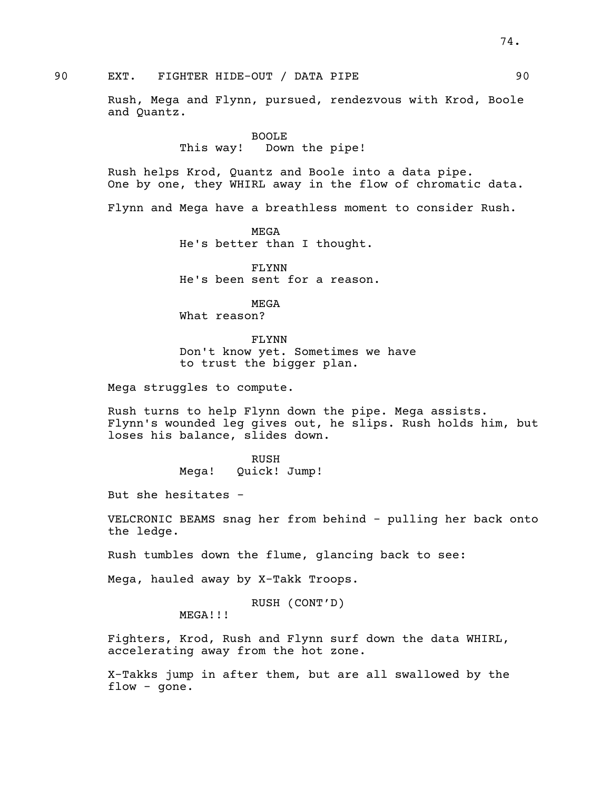Rush, Mega and Flynn, pursued, rendezvous with Krod, Boole and Quantz.

> BOOLE This way! Down the pipe!

Rush helps Krod, Quantz and Boole into <sup>a</sup> data pipe. One by one, they WHIRL away in the flow of chromatic data.

Flynn and Mega have a breathless moment to consider Rush.

MEGA He's better than I thought.

FLYNN He's been sent for a reason.

MEGA What reason?

FLYNN Don't know yet. Sometimes we have to trust the bigger plan.

Mega struggles to compute.

Rush turns to help Flynn down the pipe. Mega assists. Flynn's wounded leg gives out, he slips. Rush holds him, but loses his balance, slides down.

> RUSH Mega! Quick! Jump!

But she hesitates -

VELCRONIC BEAMS snag her from behind - pulling her back onto the ledge.

Rush tumbles down the flume, glancing back to see:

Mega, hauled away by X-Takk Troops.

RUSH (CONT'D)

MEGA!!!

Fighters, Krod, Rush and Flynn surf down the data WHIRL, accelerating away from the hot zone.

X-Takks jump in after them, but are all swallowed by the flow - gone.

74.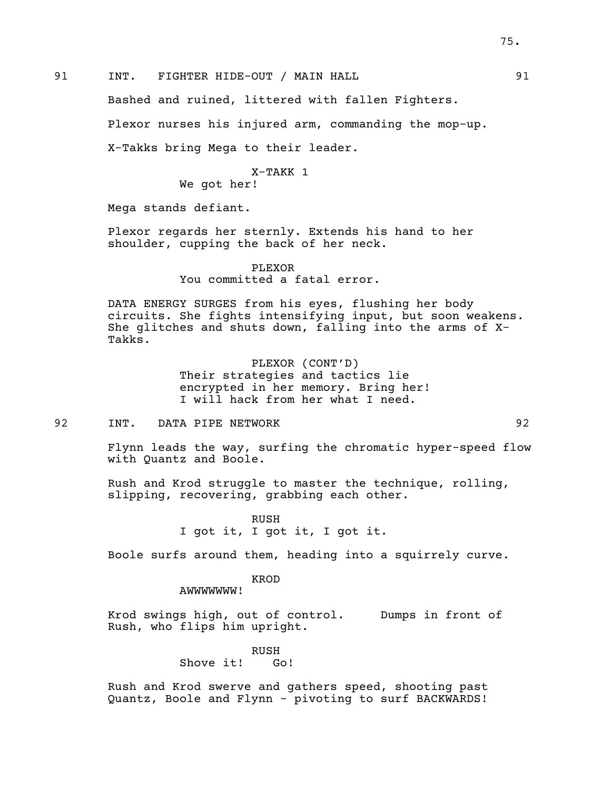Bashed and ruined, littered with fallen Fighters.

Plexor nurses his injured arm, commanding the mop-up.

X-Takks bring Mega to their leader.

## X-TAKK 1

We got her!

Mega stands defiant.

Plexor regards her sternly. Extends his hand to her shoulder, cupping the back of her neck.

> PLEXOR You committed a fatal error.

DATA ENERGY SURGES from his eyes, flushing her body<br>circuits. She fights intensifying input, but soon weakens. She glitches and shuts down, falling into the arms of X-<br>Takks.

> PLEXOR (CONT'D) Their strategies and tactics lie encrypted in her memory. Bring her! I will hack from her what I need.

92 INT. DATA PIPE NETWORK 92

Flynn leads the way, surfing the chromatic hyper-speed flow with Quantz and Boole.

Rush and Krod struggle to master the technique, rolling, slipping, recovering, grabbing each other.

> RUSH I got it, I got it, I got it.

Boole surfs around them, heading into a squirrely curve.

KROD

AWWWWWWW!

Krod swings high, out of control. Dumps in front of Rush, who flips him upright.

> RUSH Shove it! Go!

Rush and Krod swerve and gathers speed, shooting past Quantz, Boole and Flynn - pivoting to surf BACKWARDS!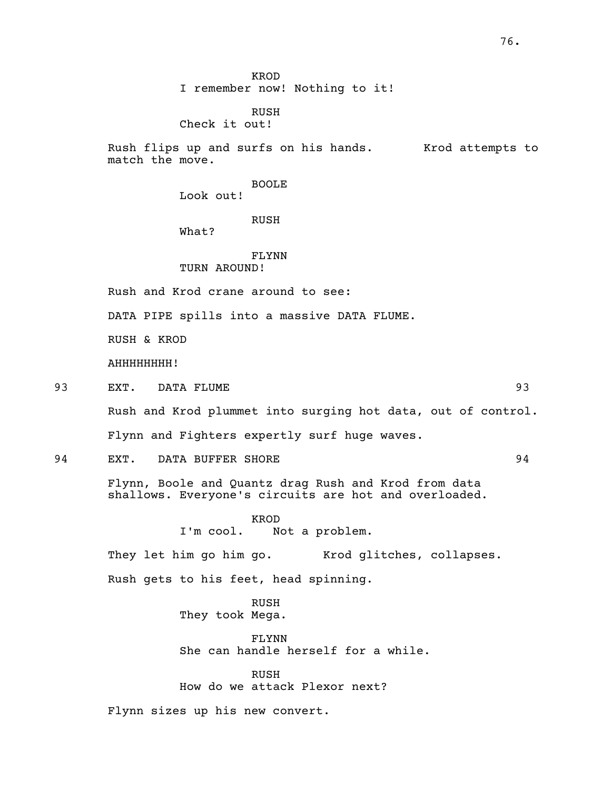KROD I remember now! Nothing to it!

## RUSH Check it out!

Rush flips up and surfs on his hands. Krod attempts to match the move.

BOOLE

Look out!

## RUSH

What?

#### FLYNN TURN AROUND!

Rush and Krod crane around to see:

DATA PIPE spills into a massive DATA FLUME.

RUSH & KROD

AHHHHHHHH!

93 EXT. DATA FLUME 93

Rush and Krod plummet into surging hot data, out of control.

Flynn and Fighters expertly surf huge waves.

94 EXT. DATA BUFFER SHORE 94

Flynn, Boole and Quantz drag Rush and Krod from data shallows. Everyone's circuits are hot and overloaded.

> KROD I'm cool. Not a problem.

They let him go him go. Krod glitches, collapses.

Rush gets to his feet, head spinning.

RUSH They took Mega.

FLYNN She can handle herself for a while.

RUSH How do we attack Plexor next?

Flynn sizes up his new convert.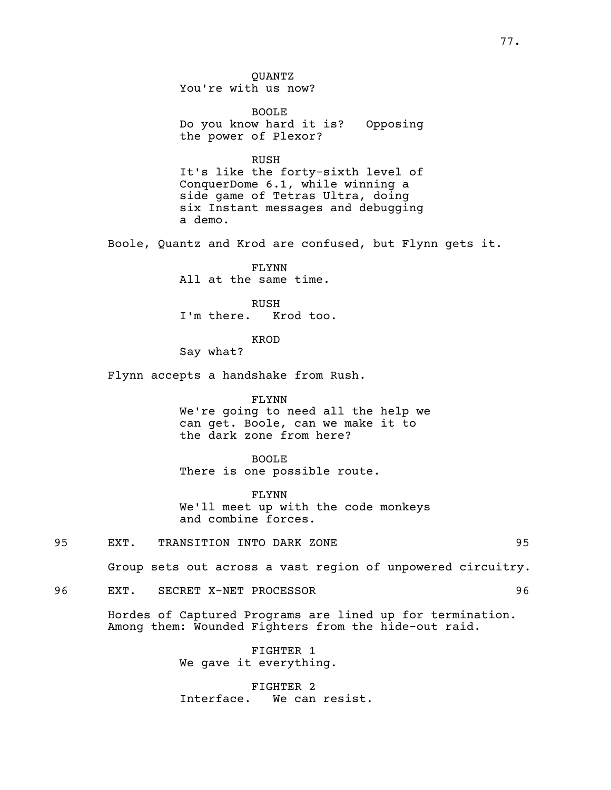QUANTZ You're with us now?

BOOLE Do you know hard it is? Opposing the power of Plexor?

RUSH

It's like the forty-sixth level of ConquerDome 6.1, while winning a side game of Tetras Ultra, doing six Instant messages and debugging a demo.

Boole, Quantz and Krod are confused, but Flynn gets it.

FLYNN All at the same time.

RUSH I'm there. Krod too.

KROD

Say what?

Flynn accepts a handshake from Rush.

FLYNN

We're going to need all the help we can get. Boole, can we make it to the dark zone from here?

BOOLE

There is one possible route.

FLYNN We'll meet up with the code monkeys and combine forces.

95 EXT. TRANSITION INTO DARK ZONE 95

Group sets out across a vast region of unpowered circuitry.

96 EXT. SECRET X-NET PROCESSOR 96

Hordes of Captured Programs are lined up for termination. Among them: Wounded Fighters from the hide-out raid.

FIGHTER 1 We gave it everything.

FIGHTER 2 Interface. We can resist.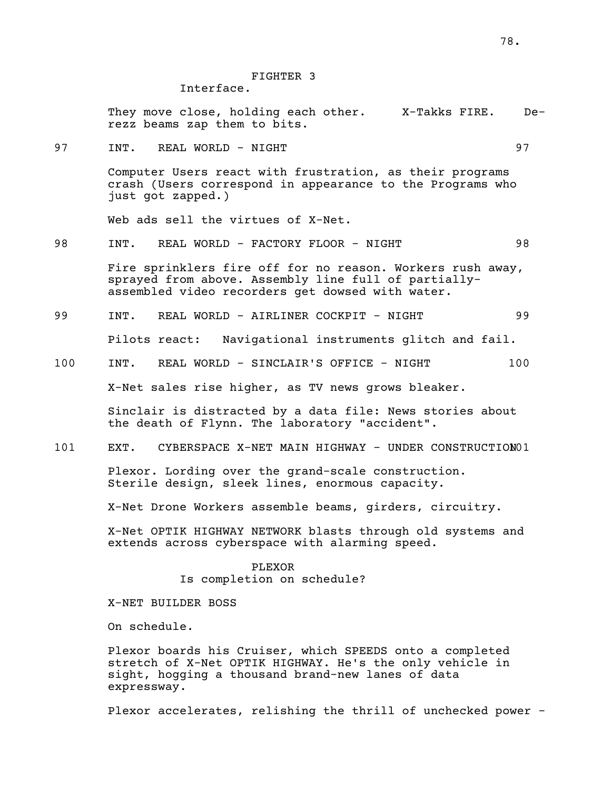## FIGHTER 3

Interface.

They move close, holding each other. X-Takks FIRE. De- rezz beams zap them to bits.

97 INT. REAL WORLD - NIGHT 97

Computer Users react with frustration, as their programs crash (Users correspond in appearance to the Programs who just got zapped.)

Web ads sell the virtues of X-Net.

98 INT. REAL WORLD - FACTORY FLOOR - NIGHT 98

Fire sprinklers fire off for no reason. Workers rush away, sprayed from above. Assembly line full of partially-<br>assembled video recorders get dowsed with water.

99 INT. REAL WORLD - AIRLINER COCKPIT - NIGHT 99

Pilots react: Navigational instruments glitch and fail.

100 INT. REAL WORLD - SINCLAIR'S OFFICE - NIGHT 100

X-Net sales rise higher, as TV news grows bleaker.

Sinclair is distracted by a data file: News stories about the death of Flynn. The laboratory "accident".

101 EXT. CYBERSPACE X-NET MAIN HIGHWAY - UNDER CONSTRUCTION01

Plexor. Lording over the grand-scale construction. Sterile design, sleek lines, enormous capacity.

X-Net Drone Workers assemble beams, girders, circuitry.

X-Net OPTIK HIGHWAY NETWORK blasts through old systems and extends across cyberspace with alarming speed.

## PLEXOR Is completion on schedule?

X-NET BUILDER BOSS

On schedule.

Plexor boards his Cruiser, which SPEEDS onto a completed stretch of X-Net OPTIK HIGHWAY. He's the only vehicle in sight, hogging a thousand brand-new lanes of data expressway.

Plexor accelerates, relishing the thrill of unchecked power -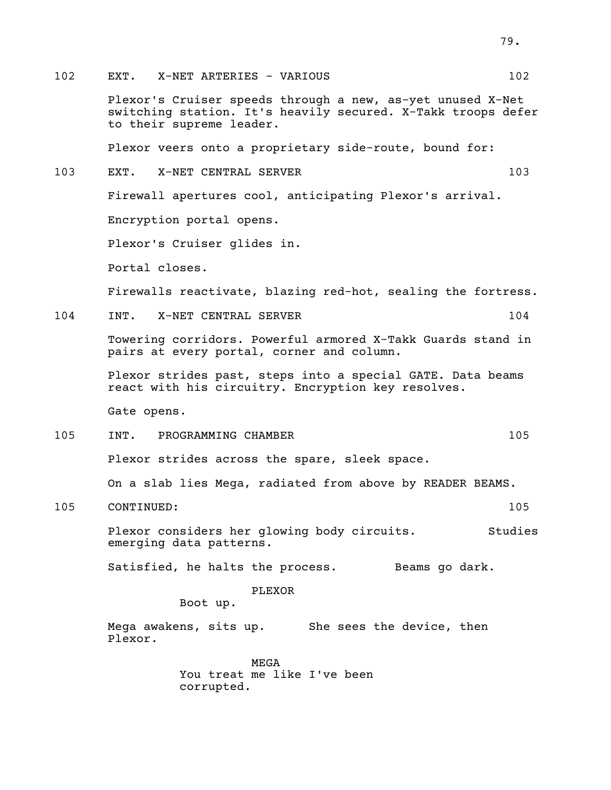Plexor's Cruiser speeds through a new, as-yet unused X-Net switching station. It's heavily secured. X-Takk troops defer to their supreme leader.

Plexor veers onto a proprietary side-route, bound for:

103 EXT. X-NET CENTRAL SERVER 103

Firewall apertures cool, anticipating Plexor's arrival.

Encryption portal opens.

Plexor's Cruiser glides in.

Portal closes.

Firewalls reactivate, blazing red-hot, sealing the fortress.

104 INT. X-NET CENTRAL SERVER 104

Towering corridors. Powerful armored X-Takk Guards stand in pairs at every portal, corner and column.

Plexor strides past, steps into a special GATE. Data beams react with his circuitry. Encryption key resolves.

Gate opens.

105 INT. PROGRAMMING CHAMBER 105

Plexor strides across the spare, sleek space.

On a slab lies Mega, radiated from above by READER BEAMS.

105 CONTINUED: 105

Plexor considers her glowing body circuits. Studies emerging data patterns.

Satisfied, he halts the process. Beams go dark.

PLEXOR

Boot up.

Mega awakens, sits up. She sees the device, then Plexor.

> MEGA You treat me like I've been corrupted.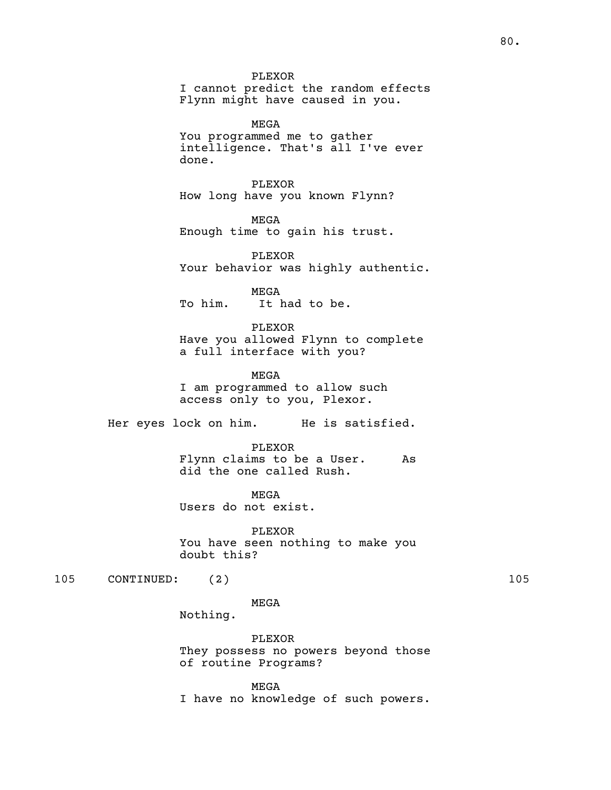PLEXOR I cannot predict the random effects Flynn might have caused in you.

MEGA You programmed me to gather intelligence. That's all I've ever done.

PLEXOR How long have you known Flynn?

MEGA Enough time to gain his trust.

PLEXOR Your behavior was highly authentic.

MEGA To him. It had to be.

PLEXOR Have you allowed Flynn to complete a full interface with you?

MEGA I am programmed to allow such access only to you, Plexor.

Her eyes lock on him. He is satisfied.

PLEXOR Flynn claims to be a User. As did the one called Rush.

MEGA Users do not exist.

PLEXOR You have seen nothing to make you doubt this?

105 CONTINUED: (2) 105

MEGA

Nothing.

PLEXOR They possess no powers beyond those of routine Programs?

MEGA I have no knowledge of such powers.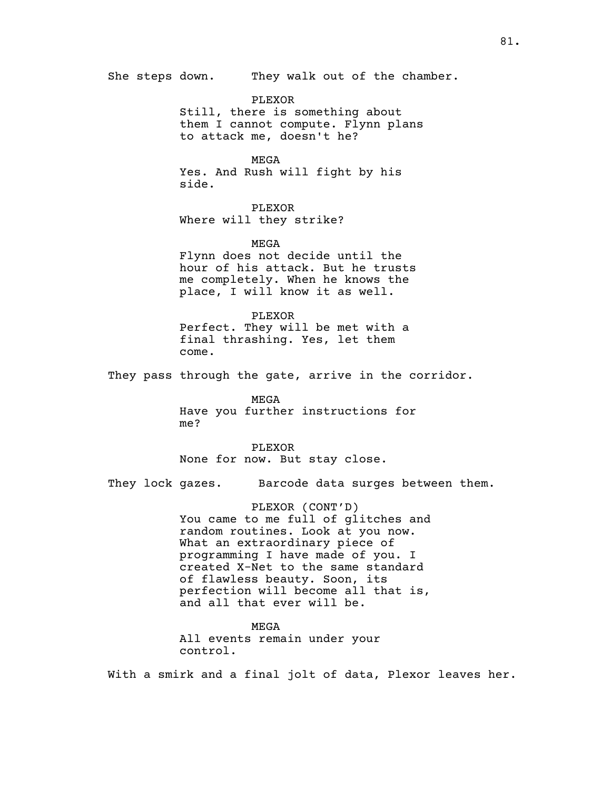She steps down. They walk out of the chamber. PLEXOR Still, there is something about them I cannot compute. Flynn plans to attack me, doesn't he? MEGA Yes. And Rush will fight by his side. PLEXOR Where will they strike? MEGA Flynn does not decide until the hour of his attack. But he trusts me completely. When he knows the place, I will know it as well. PLEXOR Perfect. They will be met with a final thrashing. Yes, let them come. They pass through the gate, arrive in the corridor. MEGA Have you further instructions for me? PLEXOR None for now. But stay close. They lock gazes. Barcode data surges between them. PLEXOR (CONT'D) You came to me full of glitches and random routines. Look at you now. What an extraordinary piece of programming I have made of you. I created X-Net to the same standard of flawless beauty. Soon, its perfection will become all that is, and all that ever will be. MEGA

control.

All events remain under your

With a smirk and a final jolt of data, Plexor leaves her.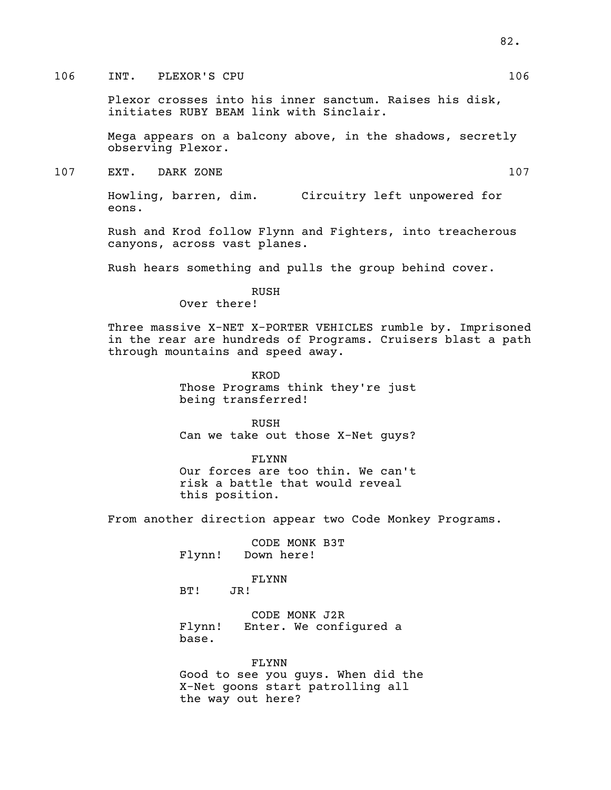## 106 INT. PLEXOR'S CPU 2008 2009 106

Plexor crosses into his inner sanctum. Raises his disk, initiates RUBY BEAM link with Sinclair.

Mega appears on a balcony above, in the shadows, secretly observing Plexor.

107 EXT. DARK ZONE 107

Howling, barren, dim. Circuitry left unpowered for eons.

Rush and Krod follow Flynn and Fighters, into treacherous canyons, across vast planes.

Rush hears something and pulls the group behind cover.

RUSH

Over there!

Three massive X-NET X-PORTER VEHICLES rumble by. Imprisoned in the rear are hundreds of Programs. Cruisers blast a path through mountains and speed away.

> KROD Those Programs think they're just being transferred!

> RUSH Can we take out those X-Net guys?

FLYNN Our forces are too thin. We can't risk a battle that would reveal this position.

From another direction appear two Code Monkey Programs.

CODE MONK B3T Flynn! Down here!

# FLYNN<br>JR!

 $BT!$ 

CODE MONK J2R Flynn! Enter. We configured a base.

FLYNN Good to see you guys. When did the X-Net goons start patrolling all the way out here?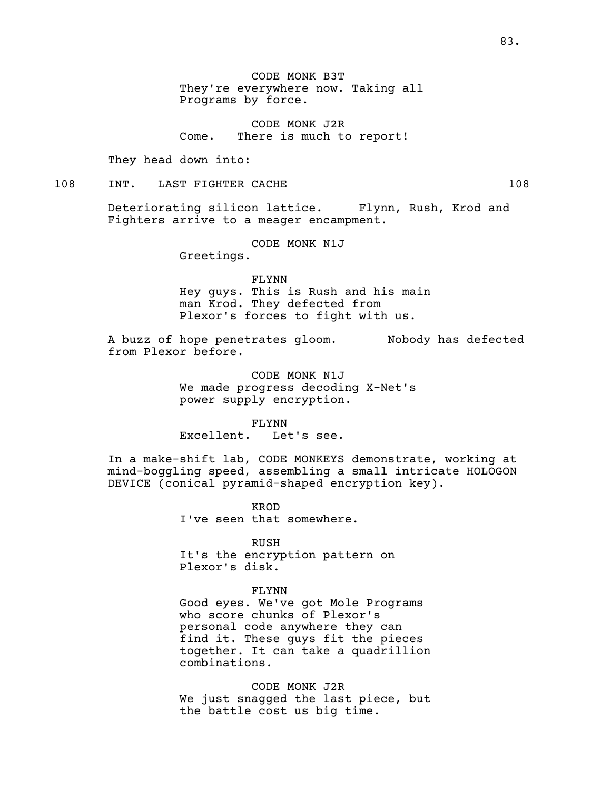CODE MONK B3T They're everywhere now. Taking all Programs by force.

CODE MONK J2R Come. There is much to report!

They head down into:

## 108 INT. LAST FIGHTER CACHE 108 108

Deteriorating silicon lattice. Flynn, Rush, Krod and Fighters arrive to a meager encampment.

CODE MONK N1J

Greetings.

FLYNN

Hey guys. This is Rush and his main man Krod. They defected from Plexor's forces to fight with us.

A buzz of hope penetrates gloom. Nobody has defected from Plexor before.

> CODE MONK N1J We made progress decoding X-Net's power supply encryption.

FLYNN Excellent. Let's see.

In a make-shift lab, CODE MONKEYS demonstrate, working at mind-boggling speed, assembling a small intricate HOLOGON DEVICE (conical pyramid-shaped encryption key).

> KROD I've seen that somewhere.

RUSH It's the encryption pattern on Plexor's disk.

FLYNN

Good eyes. We've got Mole Programs who score chunks of Plexor's personal code anywhere they can find it. These guys fit the pieces together. It can take a quadrillion combinations.

CODE MONK J2R We just snagged the last piece, but the battle cost us big time.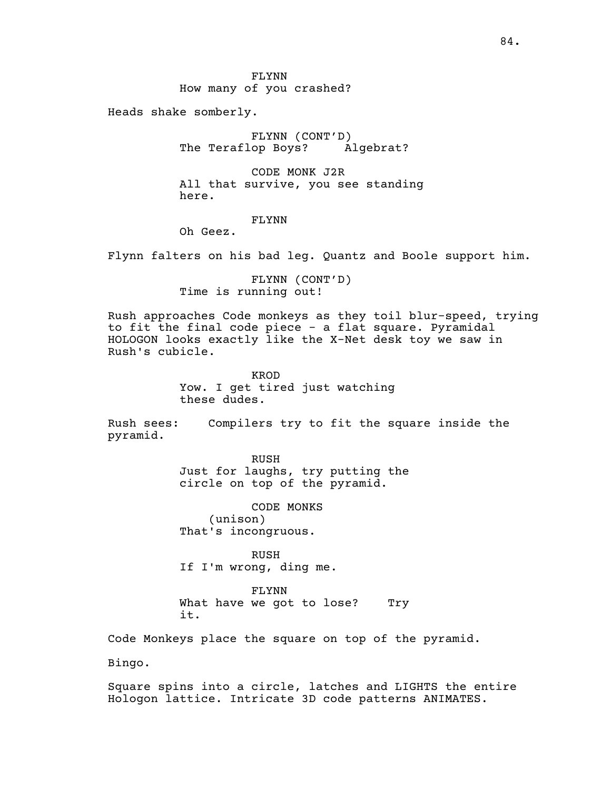FLYNN How many of you crashed?

Heads shake somberly.

FLYNN (CONT'D)<br>op Boys? Algebrat? The Teraflop Boys?

CODE MONK J2R All that survive, you see standing here.

## FLYNN

Oh Geez.

Flynn falters on his bad leg. Quantz and Boole support him.

FLYNN (CONT'D) Time is running out!

Rush approaches Code monkeys as they toil blur-speed, trying to fit the final code piece - a flat square. Pyramidal HOLOGON looks exactly like the X-Net desk toy we saw in Rush's cubicle.

> KROD Yow. I get tired just watching these dudes.

Rush sees: Compilers try to fit the square inside the pyramid.

> RUSH Just for laughs, try putting the circle on top of the pyramid.

CODE MONKS (unison) That's incongruous.

RUSH If I'm wrong, ding me.

FLYNN What have we got to lose? Try it.

Code Monkeys place the square on top of the pyramid.

Bingo.

Square spins into a circle, latches and LIGHTS the entire Hologon lattice. Intricate 3D code patterns ANIMATES.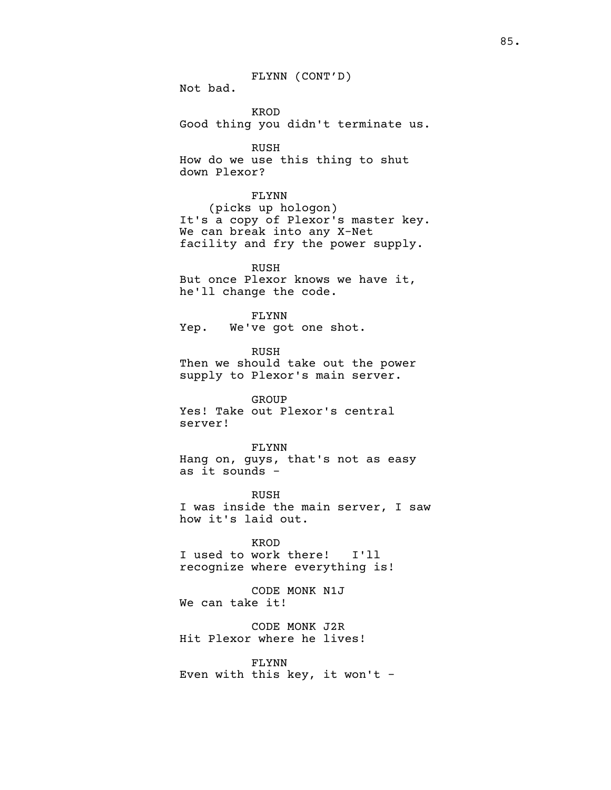FLYNN (CONT'D)

Not bad.

KROD Good thing you didn't terminate us.

RUSH How do we use this thing to shut down Plexor?

#### FLYNN

(picks up hologon) It's <sup>a</sup> copy of Plexor's master key. We can break into any X-Net facility and fry the power supply.

RUSH But once Plexor knows we have it, he'll change the code.

FLYNN Yep. We've got one shot.

RUSH Then we should take out the power supply to Plexor's main server.

GROUP Yes! Take out Plexor's central server!

FLYNN Hang on, guys, that's not as easy as it sounds -

RUSH I was inside the main server, I saw how it's laid out.

KROD I used to work there! I'll recognize where everything is!

CODE MONK N1J We can take it!

CODE MONK J2R Hit Plexor where he lives!

FLYNN Even with this key, it won't  $-$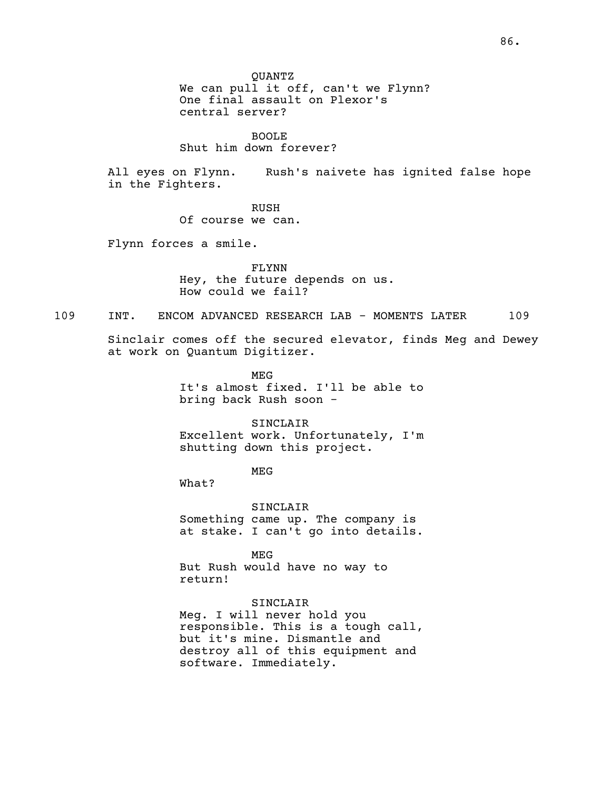QUANTZ We can pull it off, can't we Flynn? One final assault on Plexor's central server?

BOOLE Shut him down forever?

All eyes on Flynn. Rush's naivete has ignited false hope in the Fighters.

RUSH

Of course we can.

Flynn forces a smile.

FLYNN Hey, the future depends on us. How could we fail?

109 INT. ENCOM ADVANCED RESEARCH LAB - MOMENTS LATER 109

Sinclair comes off the secured elevator, finds Meg and Dewey at work on Quantum Digitizer.

> MEG It's almost fixed. I'll be able to bring back Rush soon -

> SINCLAIR Excellent work. Unfortunately, I'm shutting down this project.

> > MEG

What?

SINCLAIR Something came up. The company is at stake. I can't go into details.

MEG But Rush would have no way to return!

SINCLAIR

Meg. I will never hold you responsible. This is <sup>a</sup> tough call, but it's mine. Dismantle and destroy all of this equipment and software. Immediately.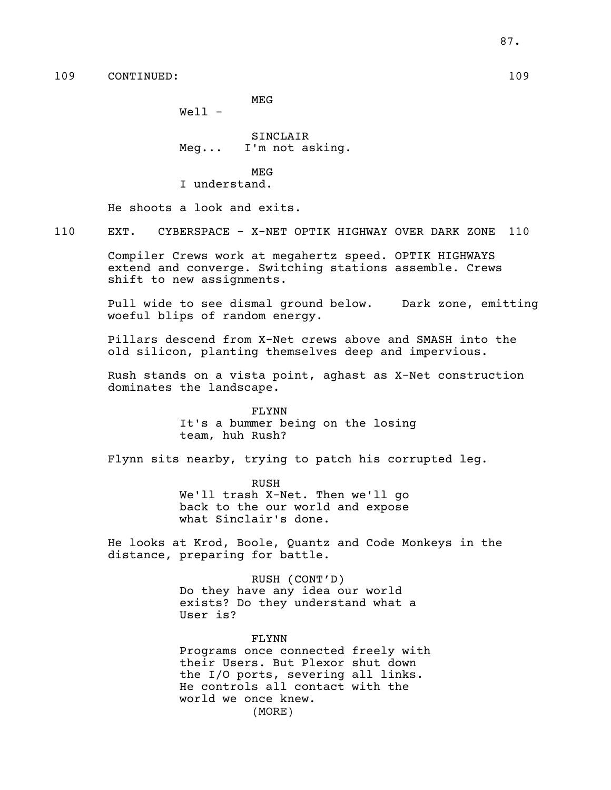MEG

Well -

SINCLAIR Meg... I'm not asking.

MEG I understand.

He shoots a look and exits.

110 EXT. CYBERSPACE - X-NET OPTIK HIGHWAY OVER DARK ZONE 110

Compiler Crews work at megahertz speed. OPTIK HIGHWAYS extend and converge. Switching stations assemble. Crews shift to new assignments.

Pull wide to see dismal ground below. Dark zone, emitting woeful blips of random energy.

Pillars descend from X-Net crews above and SMASH into the old silicon, planting themselves deep and impervious.

Rush stands on a vista point, aghast as X-Net construction dominates the landscape.

> FLYNN It's a bummer being on the losing team, huh Rush?

Flynn sits nearby, trying to patch his corrupted leg.

RUSH We'll trash X-Net. Then we'll go back to the our world and expose what Sinclair's done.

He looks at Krod, Boole, Quantz and Code Monkeys in the distance, preparing for battle.

> RUSH (CONT'D) Do they have any idea our world exists? Do they understand what a User is?

FLYNN Programs once connected freely with

their Users. But Plexor shut down the I/O ports, severing all links. He controls all contact with the world we once knew. (MORE)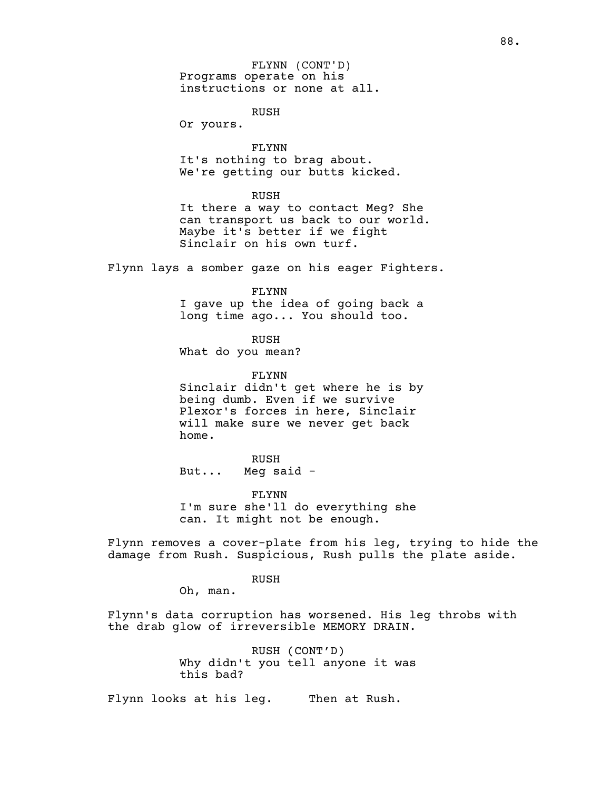Programs operate on his instructions or none at all. FLYNN (CONT'D)

RUSH

Or yours.

FLYNN<br>It's nothing to brag about. We're getting our butts kicked.

RUSH

It there a way to contact Meg? She can transport us back to our world. Maybe it's better if we fight Sinclair on his own turf.

Flynn lays a somber gaze on his eager Fighters.

FLYNN I gave up the idea of going back a long time ago... You should too.

RUSH What do you mean?

FLYNN Sinclair didn't get where he is by being dumb. Even if we survive Plexor's forces in here, Sinclair will make sure we never get back home.

RUSH But... Meg said -

FLYNN I'm sure she'll do everything she can. It might not be enough.

Flynn removes a cover-plate from his leg, trying to hide the damage from Rush. Suspicious, Rush pulls the plate aside.

RUSH

Oh, man.

Flynn's data corruption has worsened. His leg throbs with the drab glow of irreversible MEMORY DRAIN.

> RUSH (CONT'D) Why didn't you tell anyone it was this bad?

Flynn looks at his leg. Then at Rush.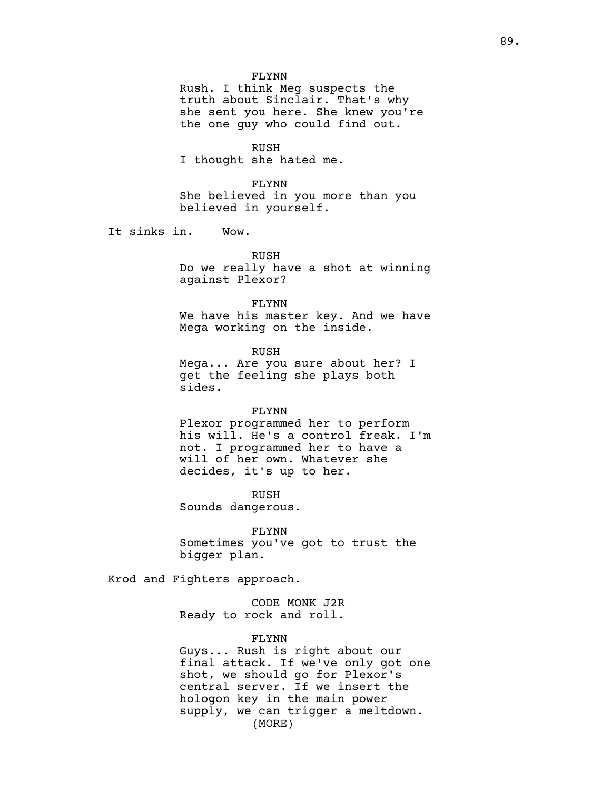#### FLYNN

Rush. I think Meg suspects the truth about Sinclair. That's why she sent you here. She knew you're the one guy who could find out.

#### RUSH

I thought she hated me.

#### FLYNN

She believed in you more than you believed in yourself.

It sinks in. Wow.

RUSH Do we really have a shot at winning against Plexor?

FLYNN We have his master key. And we have Mega working on the inside.

RUSH Mega... Are you sure about her? I get the feeling she plays both sides.

#### FLYNN

Plexor programmed her to perform his will. He's a control freak. I'm not. I programmed her to have a will of her own. Whatever she decides, it's up to her.

RUSH Sounds dangerous.

FLYNN Sometimes you've got to trust the bigger plan.

Krod and Fighters approach.

CODE MONK J2R Ready to rock and roll.

#### FLYNN

Guys... Rush is right about our final attack. If we've only got one shot, we should go for Plexor's central server. If we insert the hologon key in the main power supply, we can trigger a meltdown. (MORE)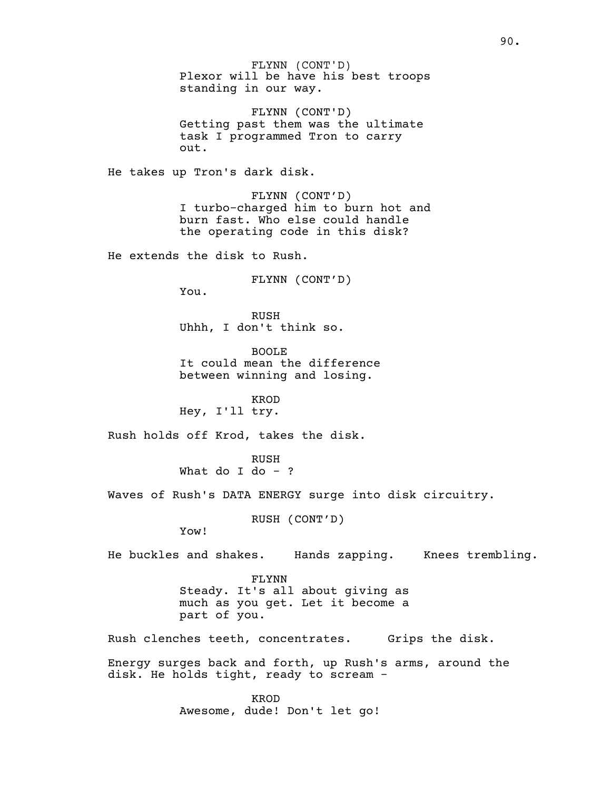Plexor will be have his best troops standing in our way. FLYNN (CONT'D)

FLYNN (CONT'D) Getting past them was the ultimate task I programmed Tron to carry out.

He takes up Tron's dark disk.

FLYNN (CONT'D) I turbo-charged him to burn hot and burn fast. Who else could handle the operating code in this disk?

He extends the disk to Rush.

FLYNN (CONT'D)

You.

RUSH Uhhh, I don't think so.

BOOLE It could mean the difference between winning and losing.

KROD Hey, I'll try.

Rush holds off Krod, takes the disk.

RUSH What do I do  $-$  ?

Waves of Rush's DATA ENERGY surge into disk circuitry.

RUSH (CONT'D)

Yow!

He buckles and shakes. Hands zapping. Knees trembling.

FLYNN Steady. It's all about giving as much as you get. Let it become a part of you.

Rush clenches teeth, concentrates. Grips the disk.

Energy surges back and forth, up Rush's arms, around the disk. He holds tight, ready to scream -

> KROD Awesome, dude! Don't let go!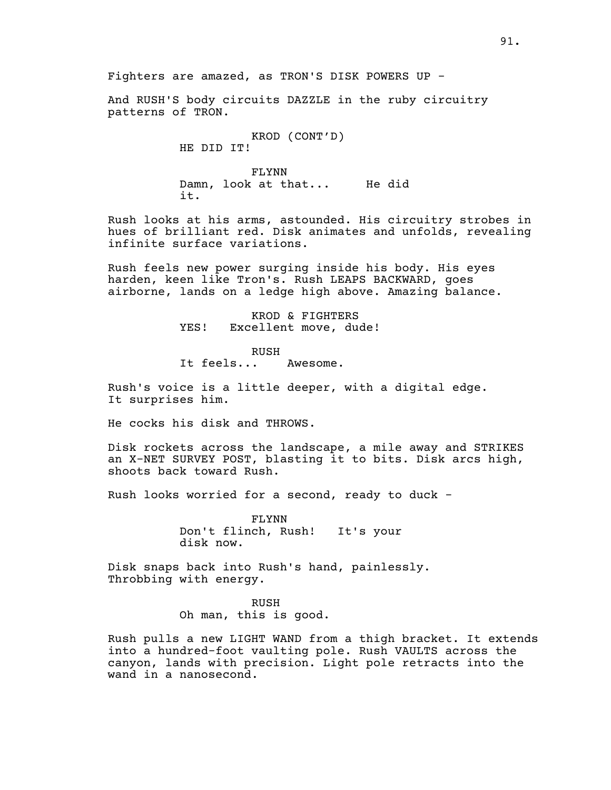And RUSH'S body circuits DAZZLE in the ruby circuitry patterns of TRON.

> KROD (CONT'D) HE DID IT!

FLYNN Damn, look at that... He did it.

Rush looks at his arms, astounded. His circuitry strobes in hues of brilliant red. Disk animates and unfolds, revealing infinite surface variations.

Rush feels new power surging inside his body. His eyes harden, keen like Tron's. Rush LEAPS BACKWARD, goes airborne, lands on a ledge high above. Amazing balance.

> KROD & FIGHTERS YES! Excellent move, dude!

RUSH It feels... Awesome.

Rush's voice is <sup>a</sup> little deeper, with <sup>a</sup> digital edge. It surprises him.

He cocks his disk and THROWS.

Disk rockets across the landscape, a mile away and STRIKES an X-NET SURVEY POST, blasting it to bits. Disk arcs high, shoots back toward Rush.

Rush looks worried for a second, ready to duck -

FLYNN Don't flinch, Rush! It's your disk now.

Disk snaps back into Rush's hand, painlessly. Throbbing with energy.

> RUSH Oh man, this is good.

Rush pulls a new LIGHT WAND from a thigh bracket. It extends into a hundred-foot vaulting pole. Rush VAULTS across the canyon, lands with precision. Light pole retracts into the wand in a nanosecond.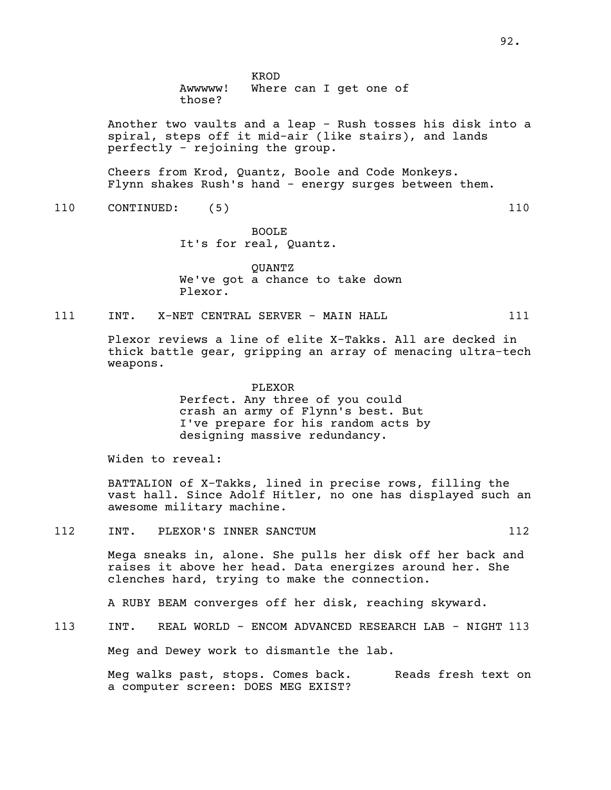KROD Awwwww! Where can I get one of

those?

Another two vaults and a leap - Rush tosses his disk into a spiral, steps off it mid-air (like stairs), and lands perfectly - rejoining the group.

Cheers from Krod, Quantz, Boole and Code Monkeys. Flynn shakes Rush's hand - energy surges between them.

110 CONTINUED: (5) 110

BOOLE It's for real, Quantz.

QUANTZ We've got a chance to take down Plexor.

111 INT. X-NET CENTRAL SERVER - MAIN HALL 111

Plexor reviews a line of elite X-Takks. All are decked in thick battle gear, gripping an array of menacing ultra-tech weapons.

> PLEXOR Perfect. Any three of you could crash an army of Flynn's best. But I've prepare for his random acts by designing massive redundancy.

Widen to reveal:

BATTALION of X-Takks, lined in precise rows, filling the vast hall. Since Adolf Hitler, no one has displayed such an awesome military machine.

112 INT. PLEXOR'S INNER SANCTUM 112

Mega sneaks in, alone. She pulls her disk off her back and raises it above her head. Data energizes around her. She clenches hard, trying to make the connection.

A RUBY BEAM converges off her disk, reaching skyward.

113 INT. REAL WORLD - ENCOM ADVANCED RESEARCH LAB - NIGHT 113

Meg and Dewey work to dismantle the lab.

Meg walks past, stops. Comes back. Reads fresh text on a computer screen: DOES MEG EXIST?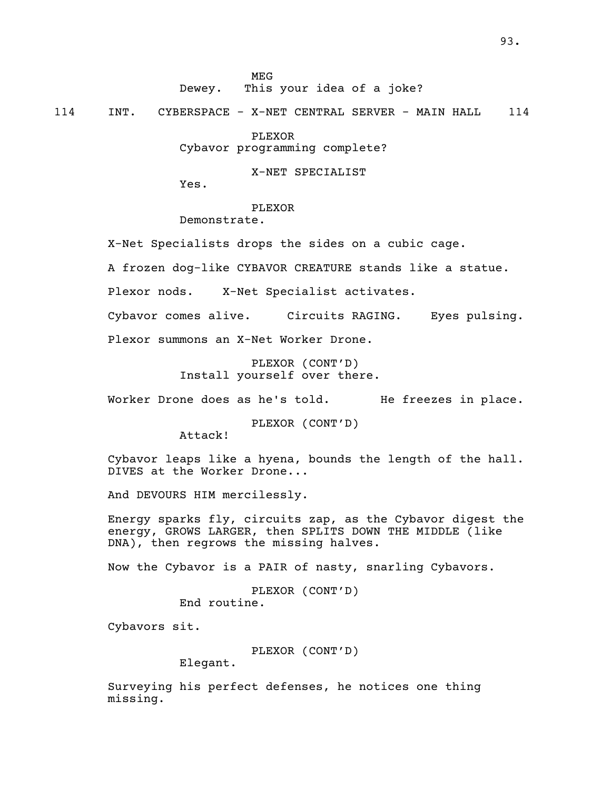MEG

Dewey. This your idea of a joke?

114 INT. CYBERSPACE - X-NET CENTRAL SERVER - MAIN HALL 114

PLEXOR

Cybavor programming complete?

X-NET SPECIALIST

Yes.

PLEXOR

Demonstrate.

X-Net Specialists drops the sides on a cubic cage.

A frozen dog-like CYBAVOR CREATURE stands like a statue.

Plexor nods. X-Net Specialist activates.

Cybavor comes alive. Circuits RAGING. Eyes pulsing. Plexor summons an X-Net Worker Drone.

> PLEXOR (CONT'D) Install yourself over there.

Worker Drone does as he's told. He freezes in place.

PLEXOR (CONT'D)

Attack!

Cybavor leaps like a hyena, bounds the length of the hall. DIVES at the Worker Drone...

And DEVOURS HIM mercilessly.

Energy sparks fly, circuits zap, as the Cybavor digest the energy, GROWS LARGER, then SPLITS DOWN THE MIDDLE (like DNA), then regrows the missing halves.

Now the Cybavor is a PAIR of nasty, snarling Cybavors.

PLEXOR (CONT'D) End routine.

Cybavors sit.

PLEXOR (CONT'D) Elegant.

Surveying his perfect defenses, he notices one thing missing.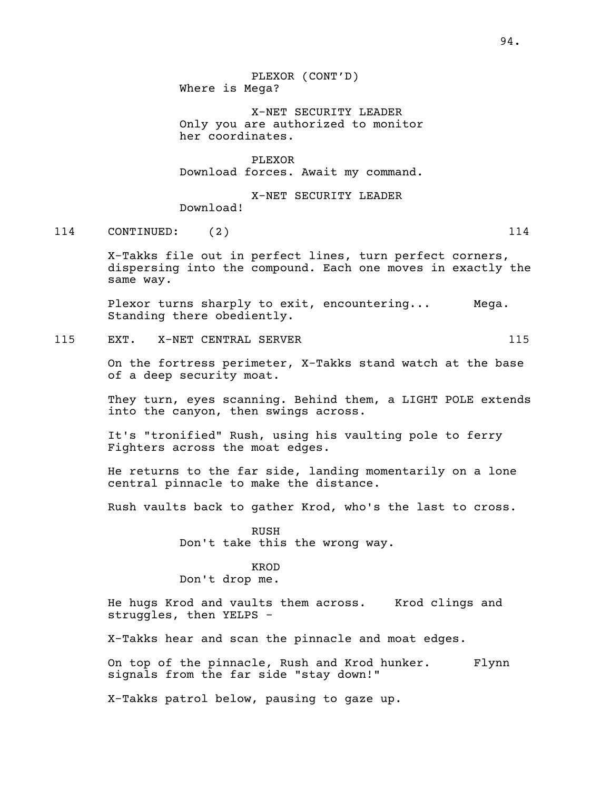PLEXOR (CONT'D) Where is Mega?

X-NET SECURITY LEADER Only you are authorized to monitor her coordinates.

PLEXOR Download forces. Await my command.

X-NET SECURITY LEADER Download!

114 CONTINUED: (2) 114

X-Takks file out in perfect lines, turn perfect corners, dispersing into the compound. Each one moves in exactly the same way.

Plexor turns sharply to exit, encountering... Mega.<br>Standing there obediently.

115 EXT. X-NET CENTRAL SERVER 115

On the fortress perimeter, X-Takks stand watch at the base of a deep security moat.

They turn, eyes scanning. Behind them, a LIGHT POLE extends into the canyon, then swings across.

It's "tronified" Rush, using his vaulting pole to ferry Fighters across the moat edges.

He returns to the far side, landing momentarily on a lone central pinnacle to make the distance.

Rush vaults back to gather Krod, who's the last to cross.

RUSH Don't take this the wrong way.

## KROD

Don't drop me.

He hugs Krod and vaults them across. Krod clings and struggles, then YELPS -

X-Takks hear and scan the pinnacle and moat edges.

On top of the pinnacle, Rush and Krod hunker. Flynn signals from the far side "stay down!"

X-Takks patrol below, pausing to gaze up.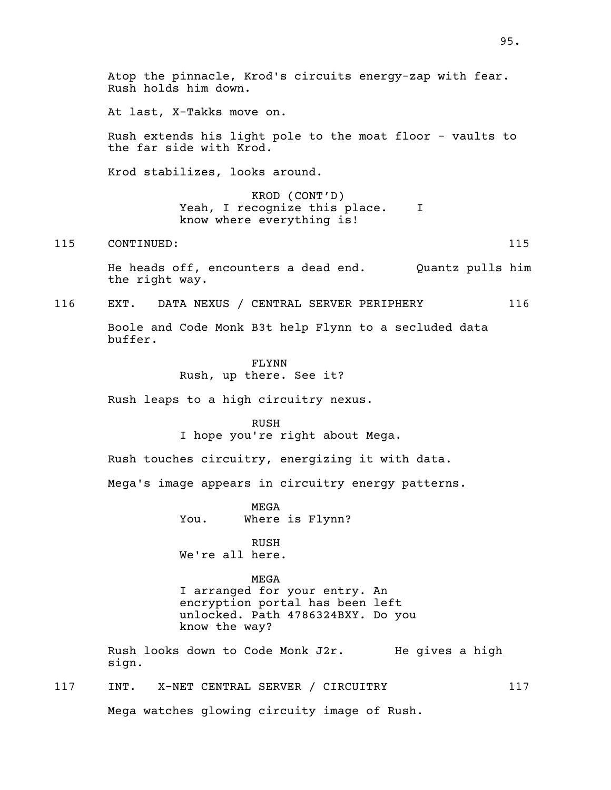Atop the pinnacle, Krod's circuits energy-zap with fear. Rush holds him down. At last, X-Takks move on. Rush extends his light pole to the moat floor - vaults to the far side with Krod. Krod stabilizes, looks around. KROD (CONT'D) Yeah, I recognize this place. I know where everything is! 115 CONTINUED: 115 He heads off, encounters a dead end. Quantz pulls him the right way. 116 EXT. DATA NEXUS / CENTRAL SERVER PERIPHERY 116 Boole and Code Monk B3t help Flynn to a secluded data buffer. FLYNN Rush, up there. See it? Rush leaps to a high circuitry nexus. RUSH I hope you're right about Mega. Rush touches circuitry, energizing it with data. Mega's image appears in circuitry energy patterns. MEGA You. Where is Flynn? RUSH We're all here. MEGA I arranged for your entry. An encryption portal has been left unlocked. Path 4786324BXY. Do you know the way? Rush looks down to Code Monk J2r. He gives a high sign. 117 INT. X-NET CENTRAL SERVER / CIRCUITRY 117 Mega watches glowing circuity image of Rush.

95.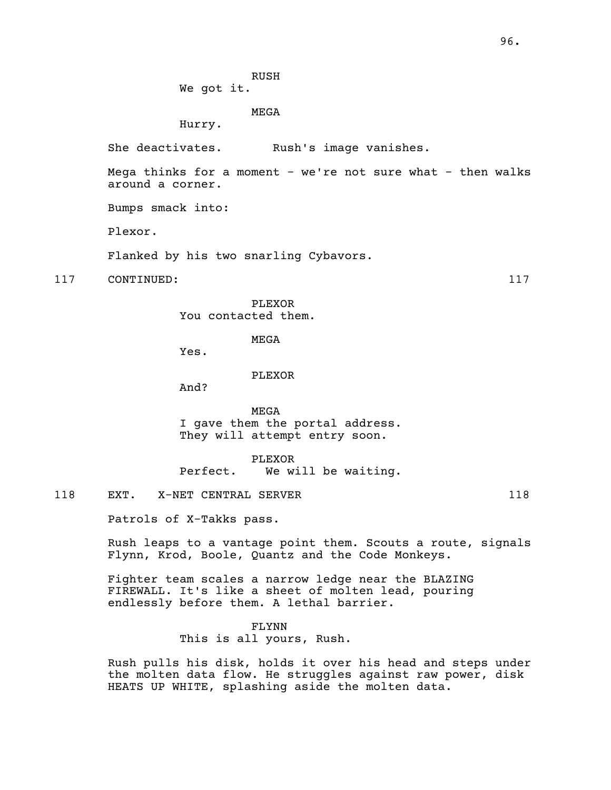RUSH We got it.

MEGA

Hurry.

She deactivates. Rush's image vanishes.

Mega thinks for a moment - we're not sure what - then walks around a corner.

Bumps smack into:

Plexor.

Flanked by his two snarling Cybavors.

117 CONTINUED: 117

PLEXOR You contacted them.

MEGA

Yes.

PLEXOR

And?

MEGA I gave them the portal address. They will attempt entry soon.

PLEXOR

Perfect. We will be waiting.

118 EXT. X-NET CENTRAL SERVER 118 118

Patrols of X-Takks pass.

Rush leaps to a vantage point them. Scouts a route, signals Flynn, Krod, Boole, Quantz and the Code Monkeys.

Fighter team scales a narrow ledge near the BLAZING FIREWALL. It's like a sheet of molten lead, pouring endlessly before them. A lethal barrier.

> FLYNN This is all yours, Rush.

Rush pulls his disk, holds it over his head and steps under the molten data flow. He struggles against raw power, disk HEATS UP WHITE, splashing aside the molten data.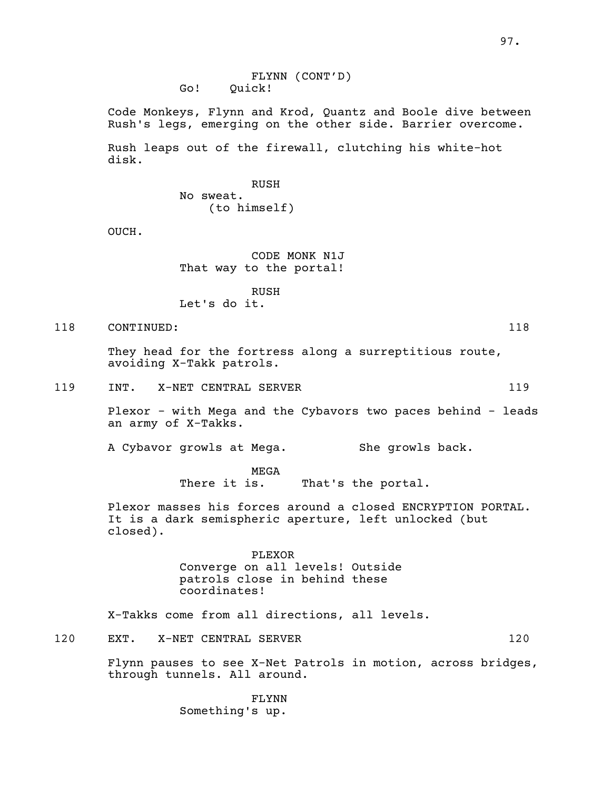Code Monkeys, Flynn and Krod, Quantz and Boole dive between Rush's legs, emerging on the other side. Barrier overcome.

Rush leaps out of the firewall, clutching his white-hot disk.

> RUSH No sweat. (to himself)

OUCH.

CODE MONK N1J That way to the portal!

RUSH Let's do it.

118 CONTINUED: 118

They head for the fortress along <sup>a</sup> surreptitious route, avoiding X-Takk patrols.

119 INT. X-NET CENTRAL SERVER 119

Plexor - with Mega and the Cybavors two paces behind - leads an army of X-Takks.

A Cybavor growls at Mega. She growls back.

MEGA<br>There it is. That's the portal.

Plexor masses his forces around a closed ENCRYPTION PORTAL. It is a dark semispheric aperture, left unlocked (but closed).

> PLEXOR Converge on all levels! Outside patrols close in behind these coordinates!

X-Takks come from all directions, all levels.

120 EXT. X-NET CENTRAL SERVER 120

Flynn pauses to see X-Net Patrols in motion, across bridges, through tunnels. All around.

FLYNN Something's up.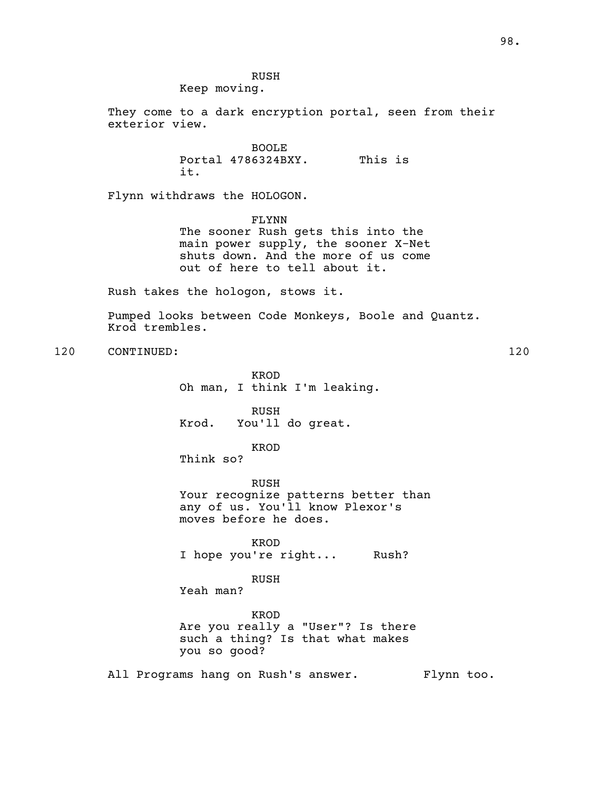RUSH Keep moving.

They come to a dark encryption portal, seen from their exterior view.

> BOOLE Portal 4786324BXY. This is it.

Flynn withdraws the HOLOGON.

FLYNN The sooner Rush gets this into the main power supply, the sooner X-Net shuts down. And the more of us come out of here to tell about it.

Rush takes the hologon, stows it.

Pumped looks between Code Monkeys, Boole and Quantz. Krod trembles.

120 CONTINUED: 120

KROD Oh man, I think I'm leaking.

RUSH Krod. You'll do great.

KROD

Think so?

RUSH Your recognize patterns better than any of us. You'll know Plexor's moves before he does.

KROD I hope you're right... Rush?

RUSH

Yeah man?

KROD Are you really a "User"? Is there such a thing? Is that what makes you so good?

All Programs hang on Rush's answer. Flynn too.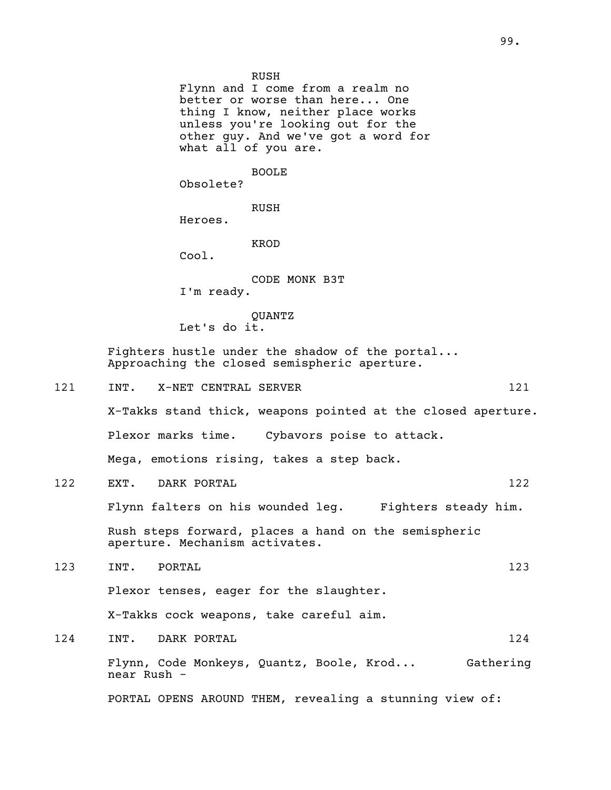RUSH Flynn and I come from a realm no better or worse than here... One thing I know, neither place works unless you're looking out for the other guy. And we've got a word for what all of you are. BOOLE Obsolete? RUSH Heroes. KROD Cool. CODE MONK B3T I'm ready. QUANTZ Let's do it. Fighters hustle under the shadow of the portal... Approaching the closed semispheric aperture. 121 INT. X-NET CENTRAL SERVER 121 X-Takks stand thick, weapons pointed at the closed aperture. Plexor marks time. Cybavors poise to attack. Mega, emotions rising, takes a step back. 122 EXT. DARK PORTAL 122 Flynn falters on his wounded leg. Fighters steady him. Rush steps forward, places a hand on the semispheric aperture. Mechanism activates. 123 INT. PORTAL 123 Plexor tenses, eager for the slaughter. X-Takks cock weapons, take careful aim.

124 INT. DARK PORTAL 224 Flynn, Code Monkeys, Quantz, Boole, Krod... Gathering near Rush - PORTAL OPENS AROUND THEM, revealing a stunning view of: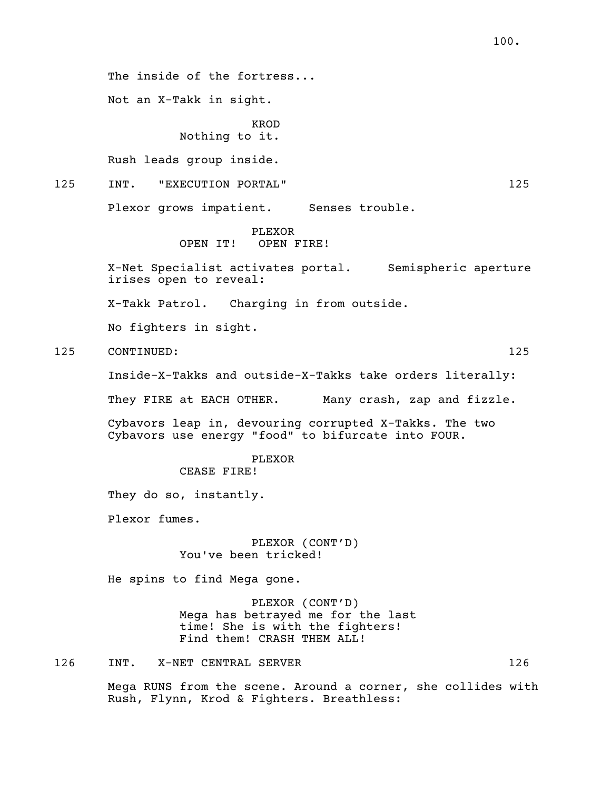The inside of the fortress...

Not an X-Takk in sight.

KROD Nothing to it.

Rush leads group inside.

125 INT. "EXECUTION PORTAL" 125

Plexor grows impatient. Senses trouble.

PLEXOR<br>OPEN IT! OPEN I OPEN FIRE!

X-Net Specialist activates portal. Semispheric aperture irises open to reveal:

X-Takk Patrol. Charging in from outside.

No fighters in sight.

125 CONTINUED: 125

Inside-X-Takks and outside-X-Takks take orders literally:

They FIRE at EACH OTHER. Many crash, zap and fizzle.

Cybavors leap in, devouring corrupted X-Takks. The two Cybavors use energy "food" to bifurcate into FOUR.

> PLEXOR CEASE FIRE!

They do so, instantly.

Plexor fumes.

PLEXOR (CONT'D) You've been tricked!

He spins to find Mega gone.

PLEXOR (CONT'D) Mega has betrayed me for the last time! She is with the fighters! Find them! CRASH THEM ALL!

126 INT. X-NET CENTRAL SERVER 126

Mega RUNS from the scene. Around a corner, she collides with Rush, Flynn, Krod & Fighters. Breathless: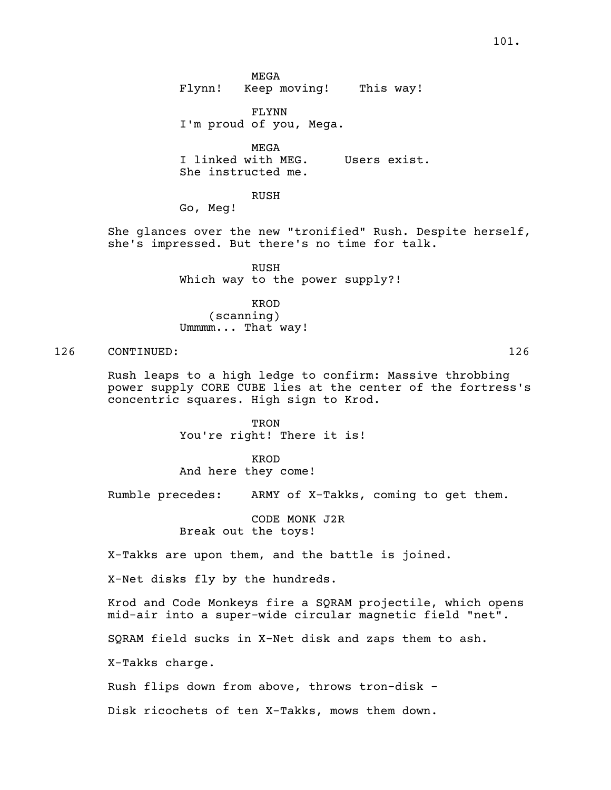FLYNN I'm proud of you, Mega.

MEGA <sup>I</sup> linked with MEG. Users exist. She instructed me.

#### RUSH

Go, Meg!

She glances over the new "tronified" Rush. Despite herself,<br>she's impressed. But there's no time for talk.

RUSH Which way to the power supply?!

KROD (scanning) Ummmm... That way!

126 CONTINUED: 126

Rush leaps to a high ledge to confirm: Massive throbbing power supply CORE CUBE lies at the center of the fortress's concentric squares. High sign to Krod.

> TRON You're right! There it is!

KROD And here they come!

Rumble precedes: ARMY of X-Takks, coming to get them.

CODE MONK J2R Break out the toys!

X-Takks are upon them, and the battle is joined.

X-Net disks fly by the hundreds.

Krod and Code Monkeys fire a SQRAM projectile, which opens mid-air into a super-wide circular magnetic field "net".

SQRAM field sucks in X-Net disk and zaps them to ash.

X-Takks charge.

Rush flips down from above, throws tron-disk -

Disk ricochets of ten X-Takks, mows them down.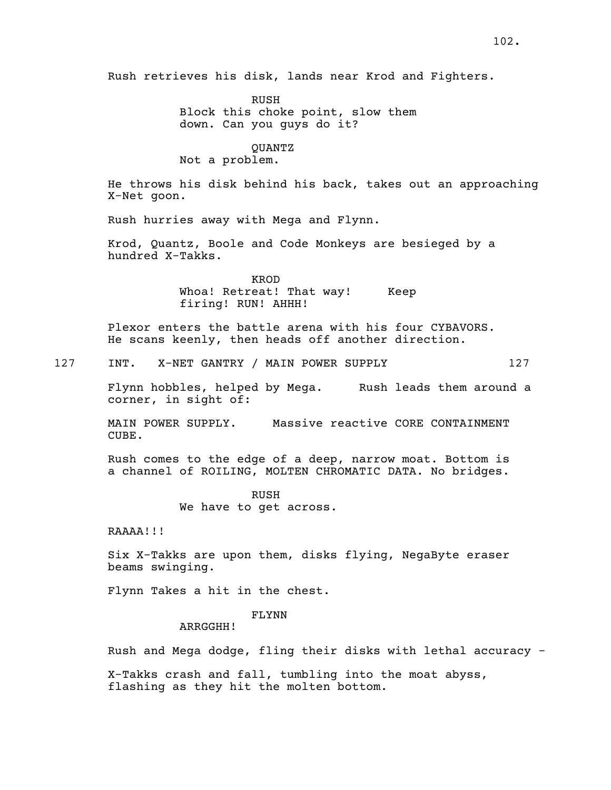Rush retrieves his disk, lands near Krod and Fighters.

RUSH Block this choke point, slow them down. Can you guys do it?

## QUANTZ Not a problem.

He throws his disk behind his back, takes out an approaching X-Net goon.

Rush hurries away with Mega and Flynn.

Krod, Quantz, Boole and Code Monkeys are besieged by a hundred X-Takks.

> KROD Whoa! Retreat! That way! Keep firing! RUN! AHHH!

Plexor enters the battle arena with his four CYBAVORS. He scans keenly, then heads off another direction.

127 INT. X-NET GANTRY / MAIN POWER SUPPLY 127

Flynn hobbles, helped by Mega. Rush leads them around a corner, in sight of:

MAIN POWER SUPPLY. Massive reactive CORE CONTAINMENT CUBE.

Rush comes to the edge of a deep, narrow moat. Bottom is a channel of ROILING, MOLTEN CHROMATIC DATA. No bridges.

> RUSH We have to get across.

RAAAA!!!

Six X-Takks are upon them, disks flying, NegaByte eraser beams swinging.

Flynn Takes a hit in the chest.

## FLYNN

ARRGGHH!

Rush and Mega dodge, fling their disks with lethal accuracy -

X-Takks crash and fall, tumbling into the moat abyss, flashing as they hit the molten bottom.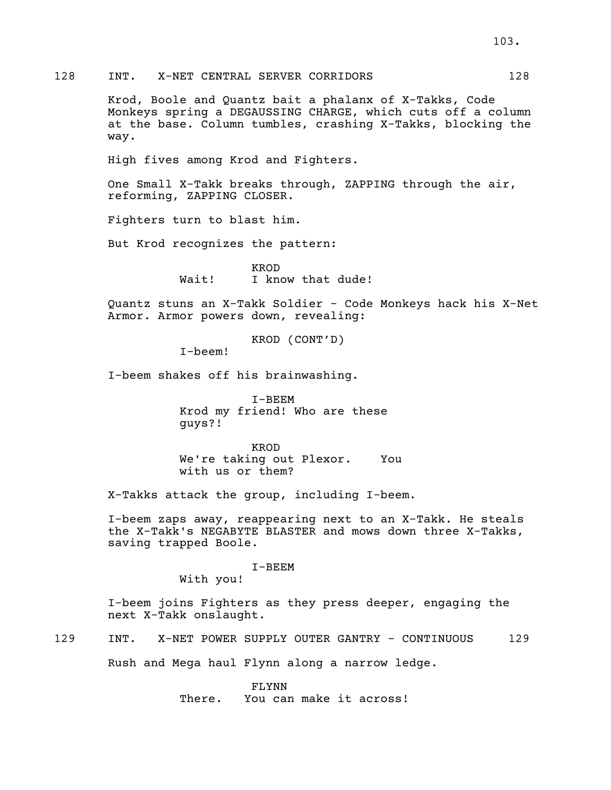## 128 INT. X-NET CENTRAL SERVER CORRIDORS 128

Krod, Boole and Quantz bait a phalanx of X-Takks, Code Monkeys spring a DEGAUSSING CHARGE, which cuts off a column at the base. Column tumbles, crashing X-Takks, blocking the way.

High fives among Krod and Fighters.

One Small X-Takk breaks through, ZAPPING through the air, reforming, ZAPPING CLOSER.

Fighters turn to blast him.

But Krod recognizes the pattern:

KROD Wait! I know that dude!

Quantz stuns an X-Takk Soldier - Code Monkeys hack his X-Net Armor. Armor powers down, revealing:

KROD (CONT'D)

I-beem!

I-beem shakes off his brainwashing.

I-BEEM Krod my friend! Who are these guys?!

KROD We're taking out Plexor. You with us or them?

X-Takks attack the group, including I-beem.

I-beem zaps away, reappearing next to an X-Takk. He steals the X-Takk's NEGABYTE BLASTER and mows down three X-Takks, saving trapped Boole.

#### I-BEEM

With you!

I-beem joins Fighters as they press deeper, engaging the next X-Takk onslaught.

129 INT. X-NET POWER SUPPLY OUTER GANTRY - CONTINUOUS 129

Rush and Mega haul Flynn along a narrow ledge.

FLYNN There. You can make it across!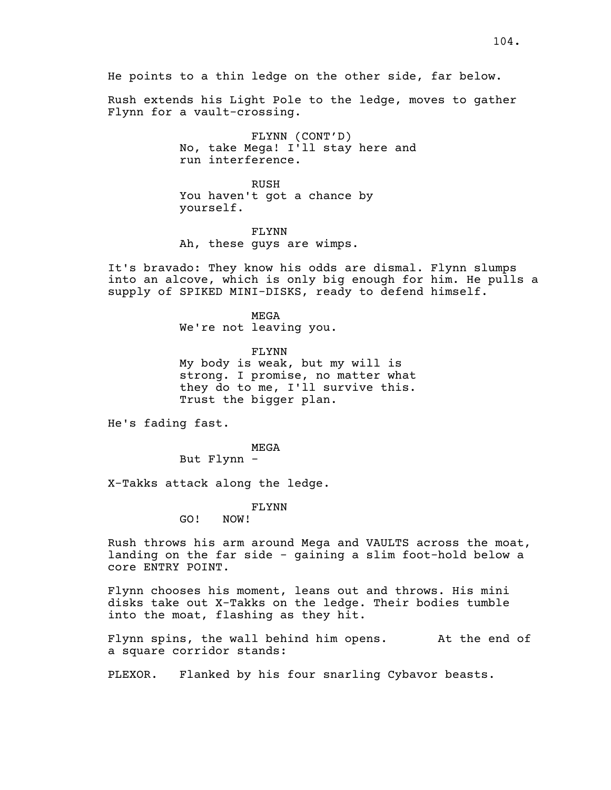Rush extends his Light Pole to the ledge, moves to gather Flynn for a vault-crossing.

> FLYNN (CONT'D) No, take Mega! I'll stay here and run interference.

RUSH You haven't got a chance by yourself.

FLYNN Ah, these guys are wimps.

It's bravado: They know his odds are dismal. Flynn slumps into an alcove, which is only big enough for him. He pulls a supply of SPIKED MINI-DISKS, ready to defend himself.

> MEGA We're not leaving you.

FLYNN My body is weak, but my will is strong. I promise, no matter what they do to me, I'll survive this. Trust the bigger plan.

He's fading fast.

MEGA

But Flynn -

X-Takks attack along the ledge.

FLYNN

GO! NOW!

Rush throws his arm around Mega and VAULTS across the moat, landing on the far side - gaining a slim foot-hold below a core ENTRY POINT.

Flynn chooses his moment, leans out and throws. His mini disks take out X-Takks on the ledge. Their bodies tumble into the moat, flashing as they hit.

Flynn spins, the wall behind him opens. At the end of a square corridor stands:

PLEXOR. Flanked by his four snarling Cybavor beasts.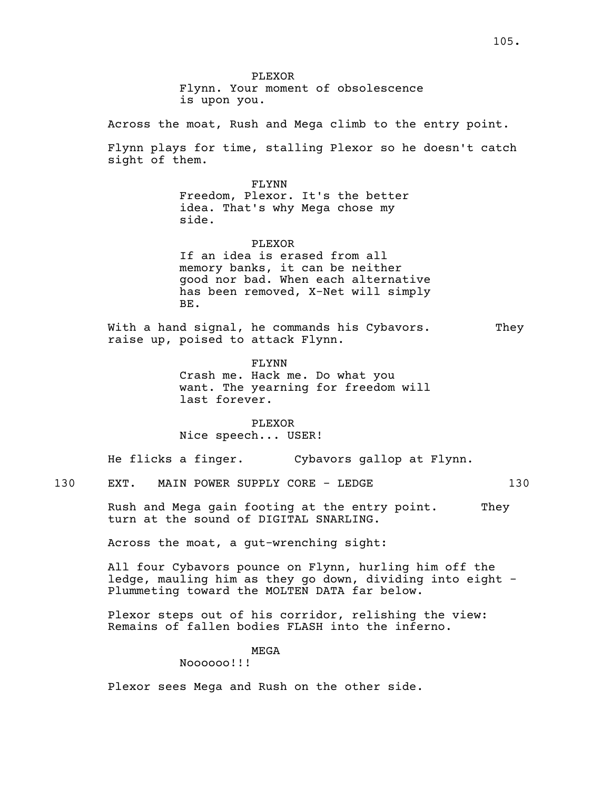PLEXOR Flynn. Your moment of obsolescence is upon you.

Across the moat, Rush and Mega climb to the entry point.

Flynn plays for time, stalling Plexor so he doesn't catch sight of them.

> FLYNN Freedom, Plexor. It's the better idea. That's why Mega chose my side.

PLEXOR If an idea is erased from all memory banks, it can be neither good nor bad. When each alternative has been removed, X-Net will simply BE.

With a hand signal, he commands his Cybavors. They raise up, poised to attack Flynn.

> FLYNN Crash me. Hack me. Do what you want. The yearning for freedom will last forever.

PLEXOR Nice speech... USER!

He flicks a finger. Cybavors gallop at Flynn.

130 EXT. MAIN POWER SUPPLY CORE - LEDGE 130

Rush and Mega gain footing at the entry point. They turn at the sound of DIGITAL SNARLING.

Across the moat, a gut-wrenching sight:

All four Cybavors pounce on Flynn, hurling him off the ledge, mauling him as they go down, dividing into eight - Plummeting toward the MOLTEN DATA far below.

Plexor steps out of his corridor, relishing the view: Remains of fallen bodies FLASH into the inferno.

MEGA

Noooooo!!!

Plexor sees Mega and Rush on the other side.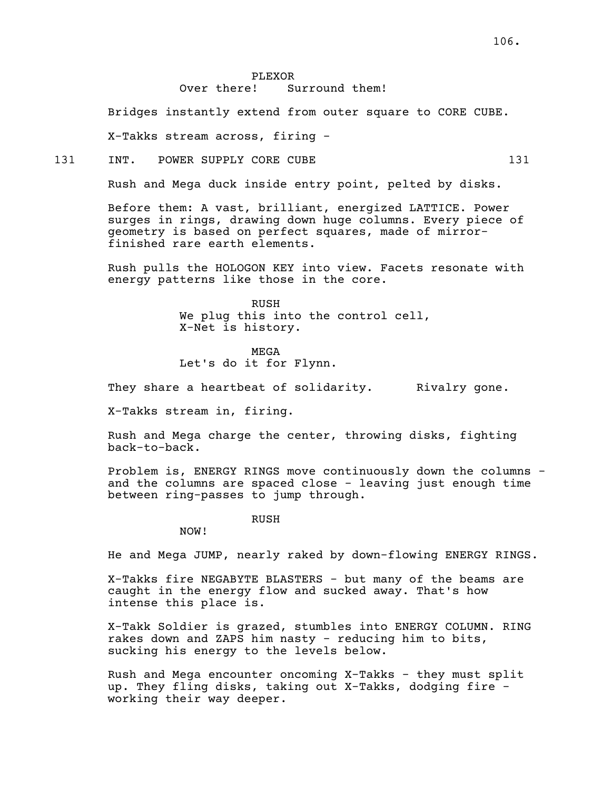Bridges instantly extend from outer square to CORE CUBE.

X-Takks stream across, firing -

#### 131 INT. POWER SUPPLY CORE CUBE 131

Rush and Mega duck inside entry point, pelted by disks.

Before them: A vast, brilliant, energized LATTICE. Power surges in rings, drawing down huge columns. Every piece of geometry is based on perfect squares, made of mirror- finished rare earth elements.

Rush pulls the HOLOGON KEY into view. Facets resonate with energy patterns like those in the core.

> RUSH We plug this into the control cell,<br>X-Net is history.

MEGA Let's do it for Flynn.

They share a heartbeat of solidarity. They alray gone.

X-Takks stream in, firing.

Rush and Mega charge the center, throwing disks, fighting back-to-back.

Problem is, ENERGY RINGS move continuously down the columns and the columns are spaced close - leaving just enough time between ring-passes to jump through.

RUSH

NOW!

He and Mega JUMP, nearly raked by down-flowing ENERGY RINGS.

X-Takks fire NEGABYTE BLASTERS - but many of the beams are caught in the energy flow and sucked away. That's how intense this place is.

X-Takk Soldier is grazed, stumbles into ENERGY COLUMN. RING rakes down and ZAPS him nasty - reducing him to bits, sucking his energy to the levels below.

Rush and Mega encounter oncoming X-Takks - they must split up. They fling disks, taking out X-Takks, dodging fire - working their way deeper.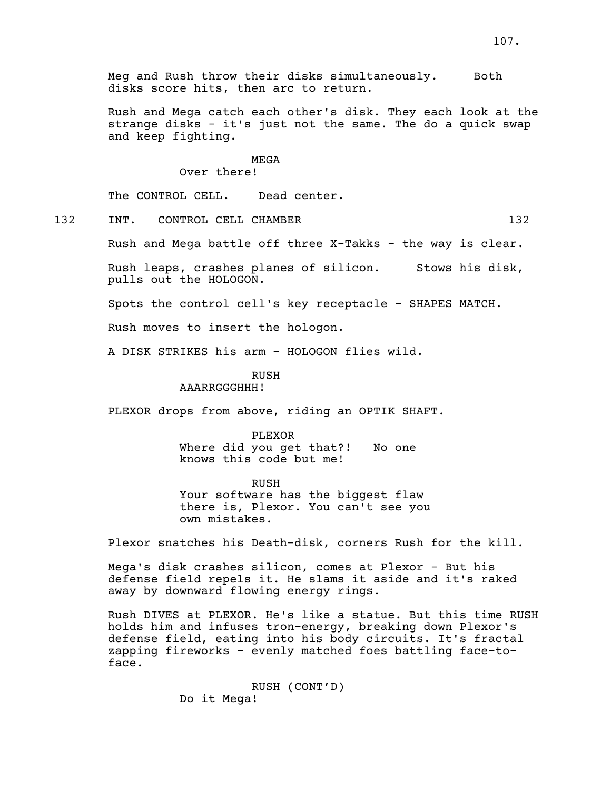Meg and Rush throw their disks simultaneously. Both disks score hits, then arc to return.

Rush and Mega catch each other's disk. They each look at the strange disks - it's just not the same. The do a quick swap and keep fighting.

## MEGA

## Over there!

The CONTROL CELL. Dead center.

- 
- 132 INT. CONTROL CELL CHAMBER 132

Rush and Mega battle off three X-Takks - the way is clear.

Rush leaps, crashes planes of silicon. Stows his disk, pulls out the HOLOGON.

Spots the control cell's key receptacle - SHAPES MATCH.

Rush moves to insert the hologon.

A DISK STRIKES his arm - HOLOGON flies wild.

RUSH

AAARRGGGHHH!

PLEXOR drops from above, riding an OPTIK SHAFT.

#### PLEXOR

Where did you get that?! No one knows this code but me!

RUSH Your software has the biggest flaw there is, Plexor. You can't see you own mistakes.

Plexor snatches his Death-disk, corners Rush for the kill.

Mega's disk crashes silicon, comes at Plexor - But his defense field repels it. He slams it aside and it's raked away by downward flowing energy rings.

Rush DIVES at PLEXOR. He's like a statue. But this time RUSH holds him and infuses tron-energy, breaking down Plexor's defense field, eating into his body circuits. It's fractal zapping fireworks - evenly matched foes battling face-to- face.

> RUSH (CONT'D) Do it Mega!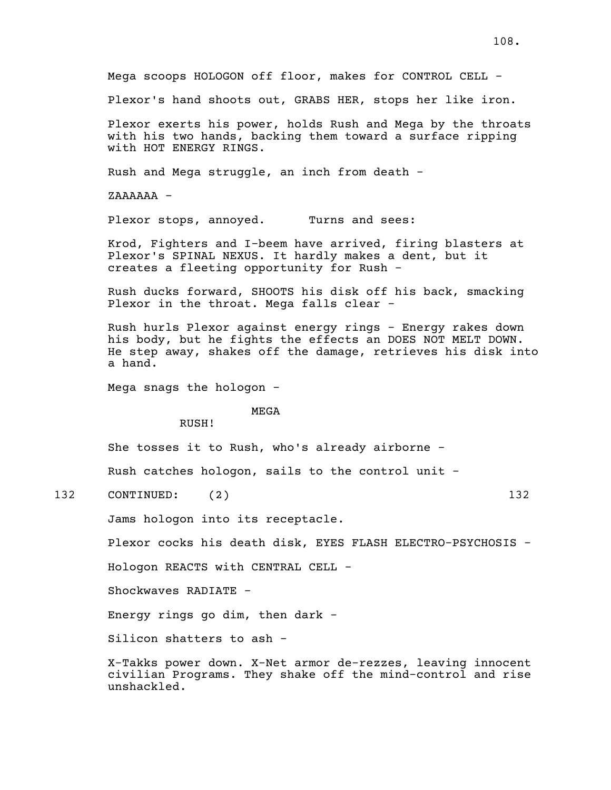Mega scoops HOLOGON off floor, makes for CONTROL CELL - Plexor's hand shoots out, GRABS HER, stops her like iron. Plexor exerts his power, holds Rush and Mega by the throats with his two hands, backing them toward a surface ripping with HOT ENERGY RINGS. Rush and Mega struggle, an inch from death - ZAAAAAA - Plexor stops, annoyed. Turns and sees: Krod, Fighters and I-beem have arrived, firing blasters at Plexor's SPINAL NEXUS. It hardly makes a dent, but it creates a fleeting opportunity for Rush - Rush ducks forward, SHOOTS his disk off his back, smacking Plexor in the throat. Mega falls clear - Rush hurls Plexor against energy rings - Energy rakes down<br>his body, but he fights the effects an DOES NOT MELT DOWN. He step away, shakes off the damage, retrieves his disk into a hand. Mega snags the hologon - MEGA RUSH! She tosses it to Rush, who's already airborne - Rush catches hologon, sails to the control unit - 132 CONTINUED: (2) 132 Jams hologon into its receptacle. Plexor cocks his death disk, EYES FLASH ELECTRO-PSYCHOSIS - Hologon REACTS with CENTRAL CELL - Shockwaves RADIATE - Energy rings go dim, then dark - Silicon shatters to ash - X-Takks power down. X-Net armor de-rezzes, leaving innocent civilian Programs. They shake off the mind-control and rise unshackled.

108.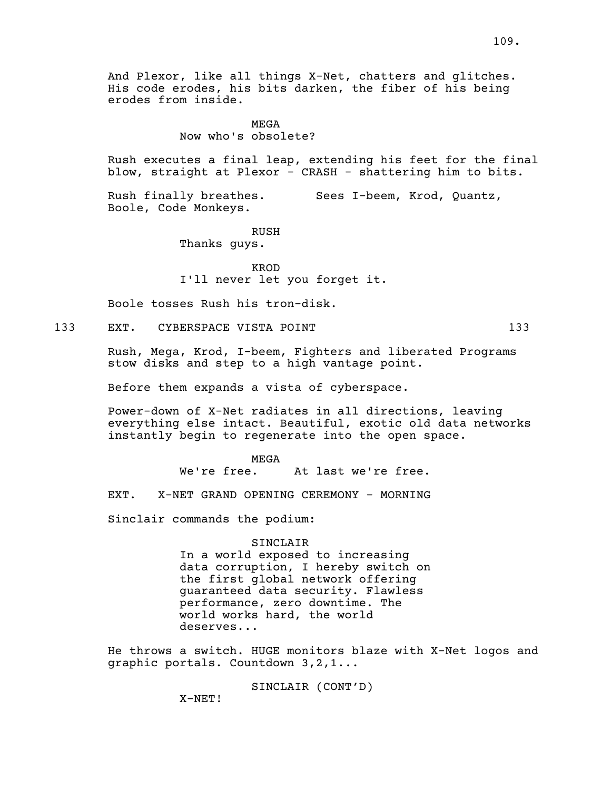And Plexor, like all things X-Net, chatters and glitches. His code erodes, his bits darken, the fiber of his being erodes from inside.

## MEGA Now who's obsolete?

Rush executes a final leap, extending his feet for the final blow, straight at Plexor - CRASH - shattering him to bits.

Rush finally breathes. Sees I-beem, Krod, Quantz, Boole, Code Monkeys.

RUSH

Thanks guys.

KROD I'll never let you forget it.

Boole tosses Rush his tron-disk.

133 EXT. CYBERSPACE VISTA POINT 133

Rush, Mega, Krod, I-beem, Fighters and liberated Programs stow disks and step to a high vantage point.

Before them expands a vista of cyberspace.

Power-down of X-Net radiates in all directions, leaving everything else intact. Beautiful, exotic old data networks instantly begin to regenerate into the open space.

MEGA

We're free. At last we're free.

EXT. X-NET GRAND OPENING CEREMONY - MORNING

Sinclair commands the podium:

SINCLAIR In a world exposed to increasing data corruption, I hereby switch on the first global network offering guaranteed data security. Flawless performance, zero downtime. The world works hard, the world deserves...

He throws a switch. HUGE monitors blaze with X-Net logos and graphic portals. Countdown 3,2,1...

SINCLAIR (CONT'D)

X-NET!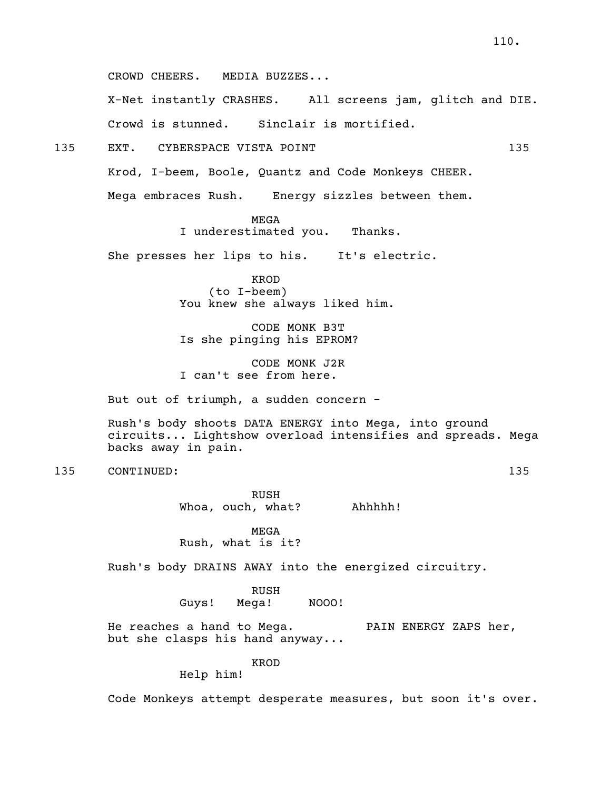CROWD CHEERS. MEDIA BUZZES...

X-Net instantly CRASHES. All screens jam, glitch and DIE. Crowd is stunned. Sinclair is mortified.

135 EXT. CYBERSPACE VISTA POINT 135

Krod, I-beem, Boole, Quantz and Code Monkeys CHEER.

Mega embraces Rush. Energy sizzles between them.

MEGA

I underestimated you. Thanks.

She presses her lips to his. It's electric.

KROD (to I-beem) You knew she always liked him.

CODE MONK B3T Is she pinging his EPROM?

CODE MONK J2R I can't see from here.

But out of triumph, a sudden concern -

Rush's body shoots DATA ENERGY into Mega, into ground circuits... Lightshow overload intensifies and spreads. Mega backs away in pain.

135 CONTINUED: 135

RUSH Whoa, ouch, what? Ahhhhh!

MEGA Rush, what is it?

Rush's body DRAINS AWAY into the energized circuitry.

RUSH<br>Mega! Guys! Mega! NOOO!

He reaches a hand to Mega. PAIN ENERGY ZAPS her,<br>but she clasps his hand anyway...

KROD

Help him!

Code Monkeys attempt desperate measures, but soon it's over.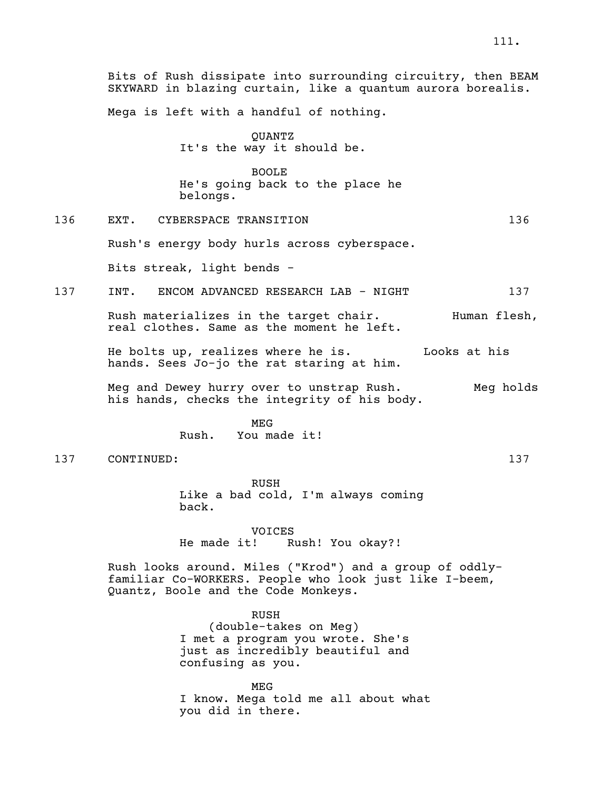Mega is left with a handful of nothing.

QUANTZ It's the way it should be.

BOOLE He's going back to the place he belongs.

136 EXT. CYBERSPACE TRANSITION 136

Rush's energy body hurls across cyberspace.

Bits streak, light bends -

137 INT. ENCOM ADVANCED RESEARCH LAB - NIGHT 137

Rush materializes in the target chair. Human flesh,<br>real clothes. Same as the moment he left.

He bolts up, realizes where he is. Looks at his hands. Sees Jo-jo the rat staring at him.

Meg and Dewey hurry over to unstrap Rush. Meg holds his hands, checks the integrity of his body.

> MEG Rush. You made it!

137 CONTINUED: 137

RUSH Like a bad cold, I'm always coming back.

VOICES He made it! Rush! You okay?!

Rush looks around. Miles ("Krod") and a group of oddlyfamiliar Co-WORKERS. People who look just like I-beem, Quantz, Boole and the Code Monkeys.

> RUSH (double-takes on Meg) I met a program you wrote. She's just as incredibly beautiful and confusing as you.

MEG I know. Mega told me all about what you did in there.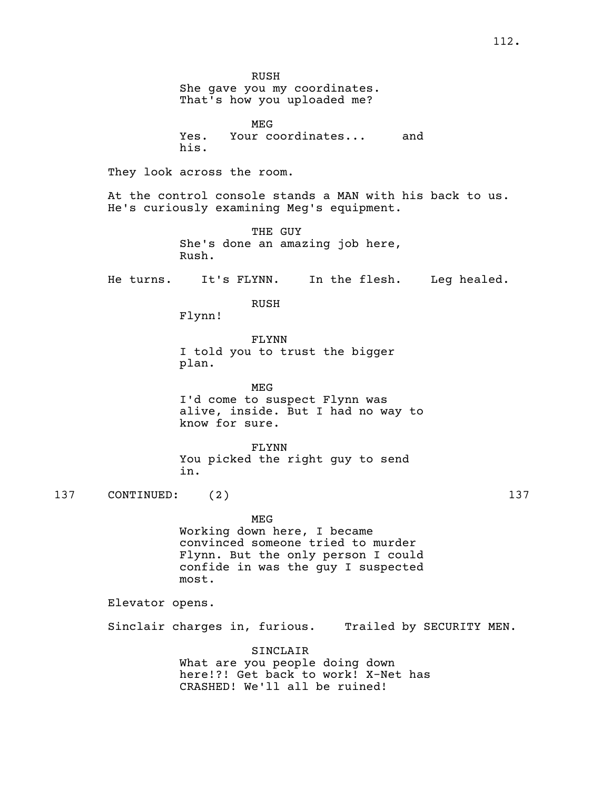RUSH<br>She qave you my coordinates. That's how you uploaded me? MEG Yes. Your coordinates... and his. They look across the room. At the control console stands <sup>a</sup> MAN with his back to us. He's curiously examining Meg's equipment. THE GUY She's done an amazing job here, Rush. He turns. It's FLYNN. In the flesh. Leg healed. RUSH Flynn! FLYNN I told you to trust the bigger plan. MEG I'd come to suspect Flynn was alive, inside. But I had no way to know for sure. FLYNN You picked the right guy to send in. 137 CONTINUED: (2) 137 MEG Working down here, I became convinced someone tried to murder Flynn. But the only person I could confide in was the guy I suspected most. Elevator opens. Sinclair charges in, furious. Trailed by SECURITY MEN. SINCLAIR What are you people doing down

here!?! Get back to work! X-Net has CRASHED! We'll all be ruined!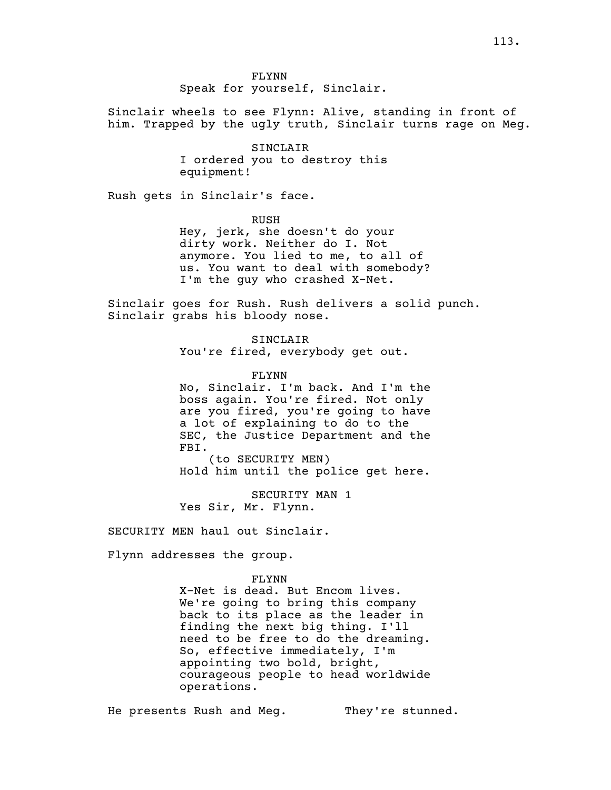FLYNN Speak for yourself, Sinclair.

Sinclair wheels to see Flynn: Alive, standing in front of him. Trapped by the ugly truth, Sinclair turns rage on Meg.

> SINCLAIR I ordered you to destroy this equipment!

Rush gets in Sinclair's face.

RUSH

Hey, jerk, she doesn't do your dirty work. Neither do I. Not anymore. You lied to me, to all of us. You want to deal with somebody? I'm the guy who crashed X-Net.

Sinclair goes for Rush. Rush delivers <sup>a</sup> solid punch. Sinclair grabs his bloody nose.

SINCLAIR You're fired, everybody get out.

FLYNN

No, Sinclair. I'm back. And I'm the boss again. You're fired. Not only are you fired, you're going to have a lot of explaining to do to the SEC, the Justice Department and the FBI. (to SECURITY MEN)

Hold him until the police get here.

SECURITY MAN 1 Yes Sir, Mr. Flynn.

SECURITY MEN haul out Sinclair.

Flynn addresses the group.

FLYNN

X-Net is dead. But Encom lives. We're going to bring this company back to its place as the leader in finding the next big thing. I'll need to be free to do the dreaming. So, effective immediately, I'm appointing two bold, bright, courageous people to head worldwide operations.

He presents Rush and Meg. They're stunned.